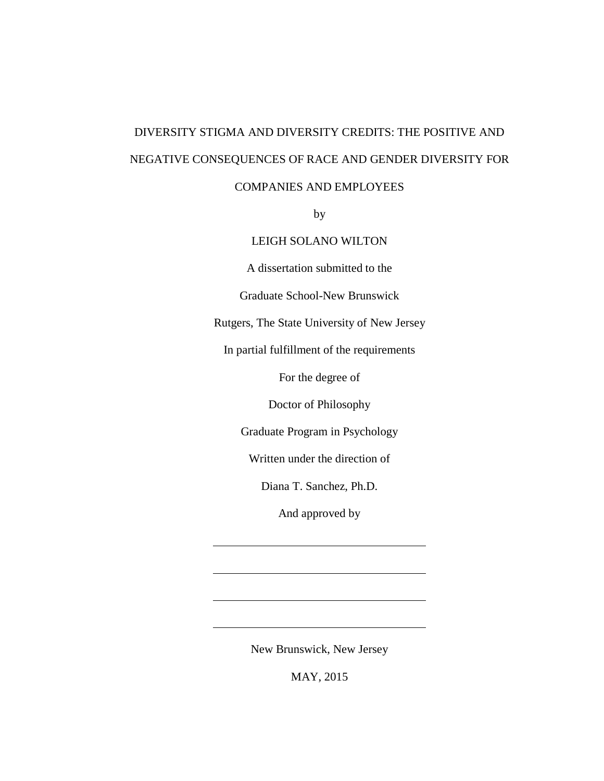# DIVERSITY STIGMA AND DIVERSITY CREDITS: THE POSITIVE AND NEGATIVE CONSEQUENCES OF RACE AND GENDER DIVERSITY FOR

# COMPANIES AND EMPLOYEES

by

### LEIGH SOLANO WILTON

A dissertation submitted to the

Graduate School-New Brunswick

Rutgers, The State University of New Jersey

In partial fulfillment of the requirements

For the degree of

Doctor of Philosophy

Graduate Program in Psychology

Written under the direction of

Diana T. Sanchez, Ph.D.

And approved by

New Brunswick, New Jersey

MAY, 2015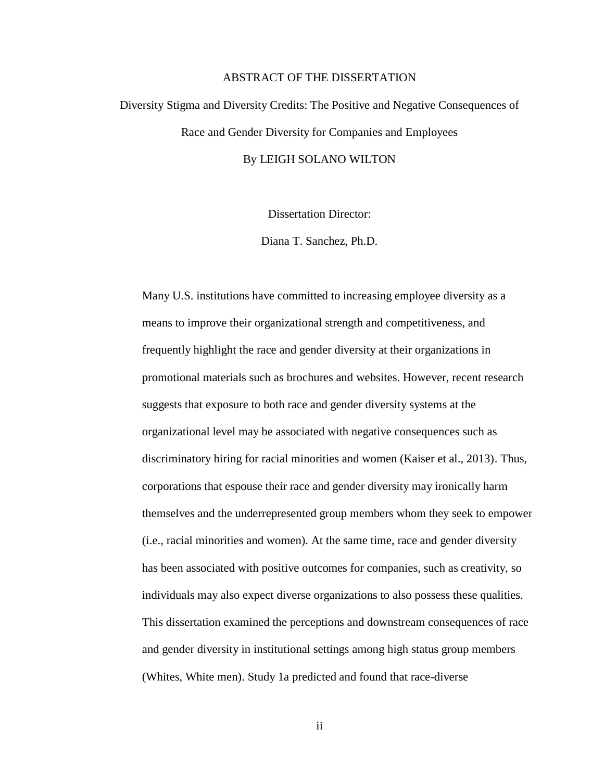#### ABSTRACT OF THE DISSERTATION

# Diversity Stigma and Diversity Credits: The Positive and Negative Consequences of Race and Gender Diversity for Companies and Employees By LEIGH SOLANO WILTON

Dissertation Director:

Diana T. Sanchez, Ph.D.

Many U.S. institutions have committed to increasing employee diversity as a means to improve their organizational strength and competitiveness, and frequently highlight the race and gender diversity at their organizations in promotional materials such as brochures and websites. However, recent research suggests that exposure to both race and gender diversity systems at the organizational level may be associated with negative consequences such as discriminatory hiring for racial minorities and women (Kaiser et al., 2013). Thus, corporations that espouse their race and gender diversity may ironically harm themselves and the underrepresented group members whom they seek to empower (i.e., racial minorities and women). At the same time, race and gender diversity has been associated with positive outcomes for companies, such as creativity, so individuals may also expect diverse organizations to also possess these qualities. This dissertation examined the perceptions and downstream consequences of race and gender diversity in institutional settings among high status group members (Whites, White men). Study 1a predicted and found that race-diverse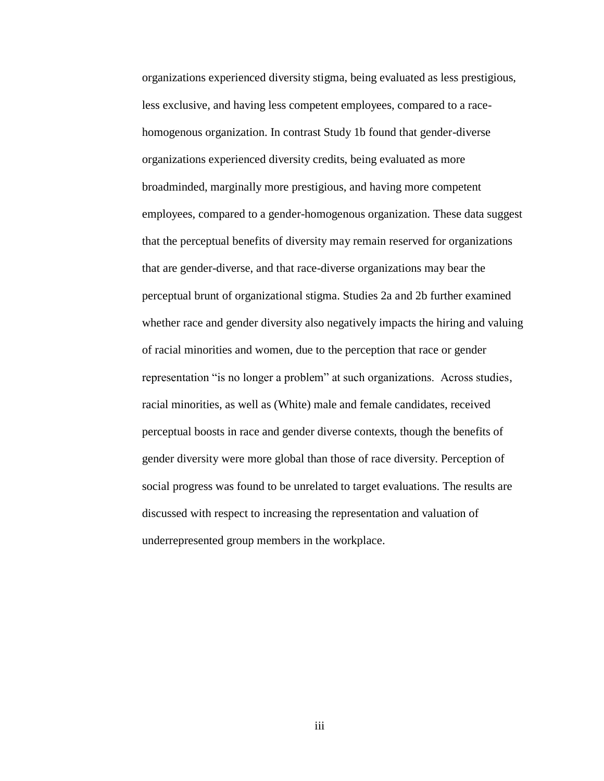organizations experienced diversity stigma, being evaluated as less prestigious, less exclusive, and having less competent employees, compared to a racehomogenous organization. In contrast Study 1b found that gender-diverse organizations experienced diversity credits, being evaluated as more broadminded, marginally more prestigious, and having more competent employees, compared to a gender-homogenous organization. These data suggest that the perceptual benefits of diversity may remain reserved for organizations that are gender-diverse, and that race-diverse organizations may bear the perceptual brunt of organizational stigma. Studies 2a and 2b further examined whether race and gender diversity also negatively impacts the hiring and valuing of racial minorities and women, due to the perception that race or gender representation "is no longer a problem" at such organizations. Across studies, racial minorities, as well as (White) male and female candidates, received perceptual boosts in race and gender diverse contexts, though the benefits of gender diversity were more global than those of race diversity. Perception of social progress was found to be unrelated to target evaluations. The results are discussed with respect to increasing the representation and valuation of underrepresented group members in the workplace.

iii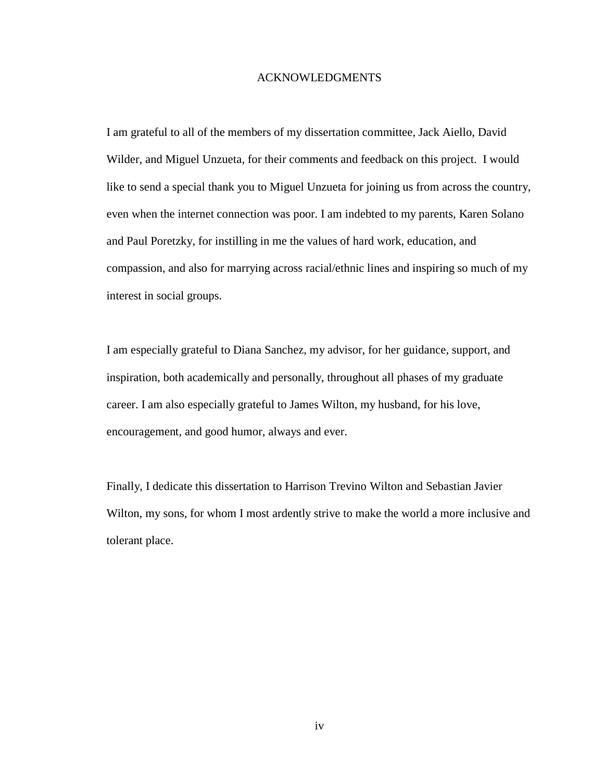#### ACKNOWLEDGMENTS

I am grateful to all of the members of my dissertation committee, Jack Aiello, David Wilder, and Miguel Unzueta, for their comments and feedback on this project. I would like to send a special thank you to Miguel Unzueta for joining us from across the country, even when the internet connection was poor. I am indebted to my parents, Karen Solano and Paul Poretzky, for instilling in me the values of hard work, education, and compassion, and also for marrying across racial/ethnic lines and inspiring so much of my interest in social groups.

I am especially grateful to Diana Sanchez, my advisor, for her guidance, support, and inspiration, both academically and personally, throughout all phases of my graduate career. I am also especially grateful to James Wilton, my husband, for his love, encouragement, and good humor, always and ever.

Finally, I dedicate this dissertation to Harrison Trevino Wilton and Sebastian Javier Wilton, my sons, for whom I most ardently strive to make the world a more inclusive and tolerant place.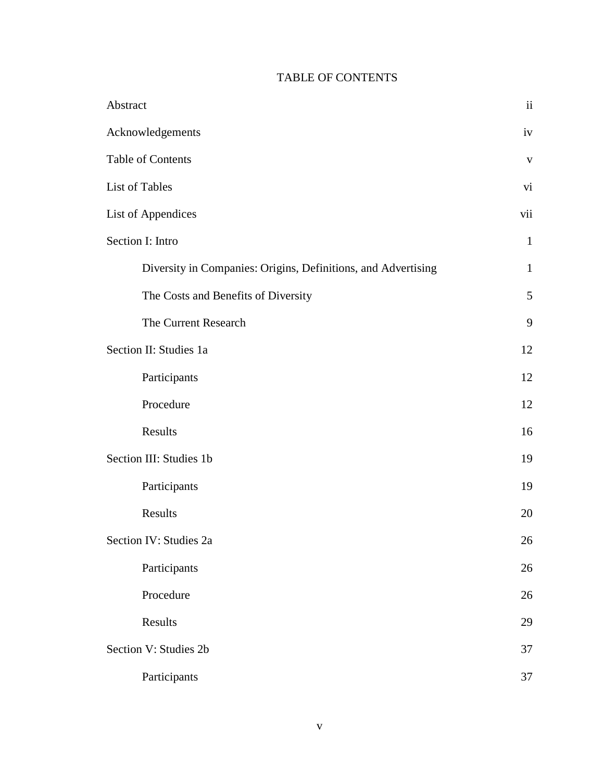# TABLE OF CONTENTS

| Abstract                                                      | ii                       |
|---------------------------------------------------------------|--------------------------|
| Acknowledgements                                              | iv                       |
| <b>Table of Contents</b>                                      | $\mathbf{V}$             |
| List of Tables                                                | $\overline{\mathbf{vi}}$ |
| List of Appendices                                            | vii                      |
| Section I: Intro                                              | $\mathbf{1}$             |
| Diversity in Companies: Origins, Definitions, and Advertising | $\mathbf{1}$             |
| The Costs and Benefits of Diversity                           | $\mathfrak{S}$           |
| The Current Research                                          | 9                        |
| Section II: Studies 1a                                        | 12                       |
| Participants                                                  | 12                       |
| Procedure                                                     | 12                       |
| Results                                                       | 16                       |
| Section III: Studies 1b                                       | 19                       |
| Participants                                                  | 19                       |
| Results                                                       | 20                       |
| Section IV: Studies 2a                                        | 26                       |
| Participants                                                  | 26                       |
| Procedure                                                     | 26                       |
| Results                                                       | 29                       |
| Section V: Studies 2b                                         | 37                       |
| Participants                                                  | 37                       |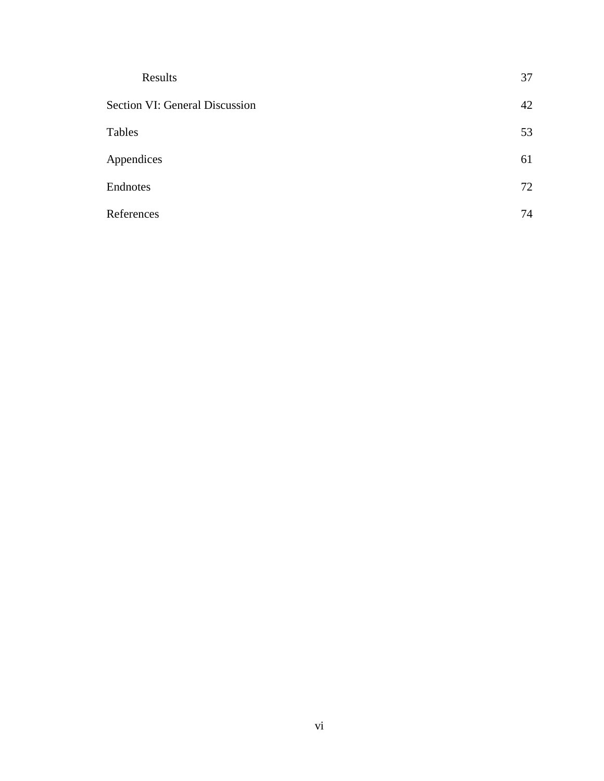| Results                               | 37 |
|---------------------------------------|----|
| <b>Section VI: General Discussion</b> | 42 |
| Tables                                | 53 |
| Appendices                            | 61 |
| Endnotes                              | 72 |
| References                            | 74 |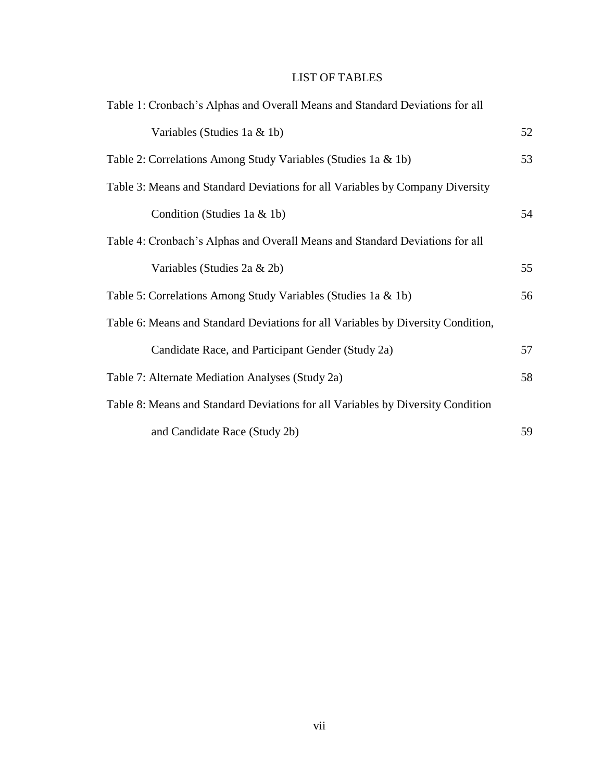# LIST OF TABLES

| Table 1: Cronbach's Alphas and Overall Means and Standard Deviations for all     |    |
|----------------------------------------------------------------------------------|----|
| Variables (Studies 1a & 1b)                                                      | 52 |
| Table 2: Correlations Among Study Variables (Studies 1a & 1b)                    | 53 |
| Table 3: Means and Standard Deviations for all Variables by Company Diversity    |    |
| Condition (Studies 1a & 1b)                                                      | 54 |
| Table 4: Cronbach's Alphas and Overall Means and Standard Deviations for all     |    |
| Variables (Studies 2a & 2b)                                                      | 55 |
| Table 5: Correlations Among Study Variables (Studies 1a & 1b)                    | 56 |
| Table 6: Means and Standard Deviations for all Variables by Diversity Condition, |    |
| Candidate Race, and Participant Gender (Study 2a)                                | 57 |
| Table 7: Alternate Mediation Analyses (Study 2a)                                 | 58 |
| Table 8: Means and Standard Deviations for all Variables by Diversity Condition  |    |
| and Candidate Race (Study 2b)                                                    | 59 |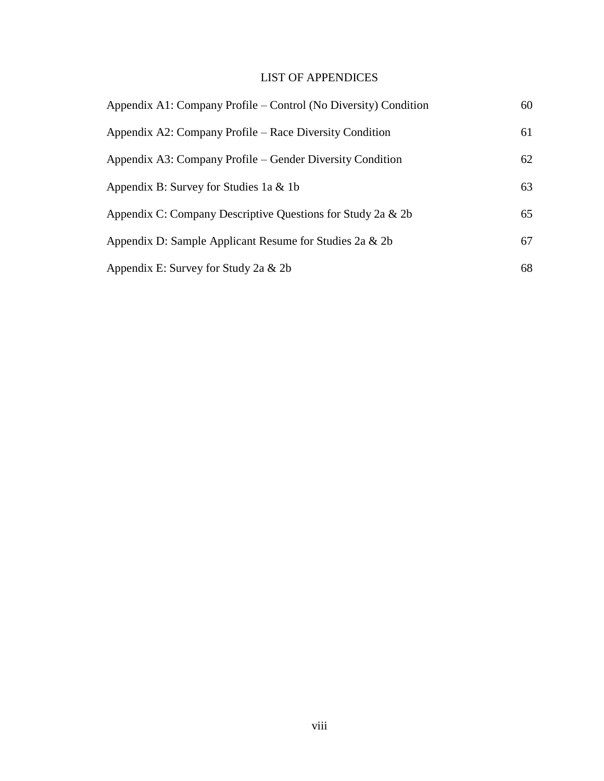# LIST OF APPENDICES

| Appendix A1: Company Profile – Control (No Diversity) Condition | 60 |
|-----------------------------------------------------------------|----|
| Appendix A2: Company Profile – Race Diversity Condition         | 61 |
| Appendix A3: Company Profile – Gender Diversity Condition       | 62 |
| Appendix B: Survey for Studies 1a $&$ 1b                        | 63 |
| Appendix C: Company Descriptive Questions for Study 2a & 2b     | 65 |
| Appendix D: Sample Applicant Resume for Studies 2a & 2b         | 67 |
| Appendix E: Survey for Study 2a & 2b                            | 68 |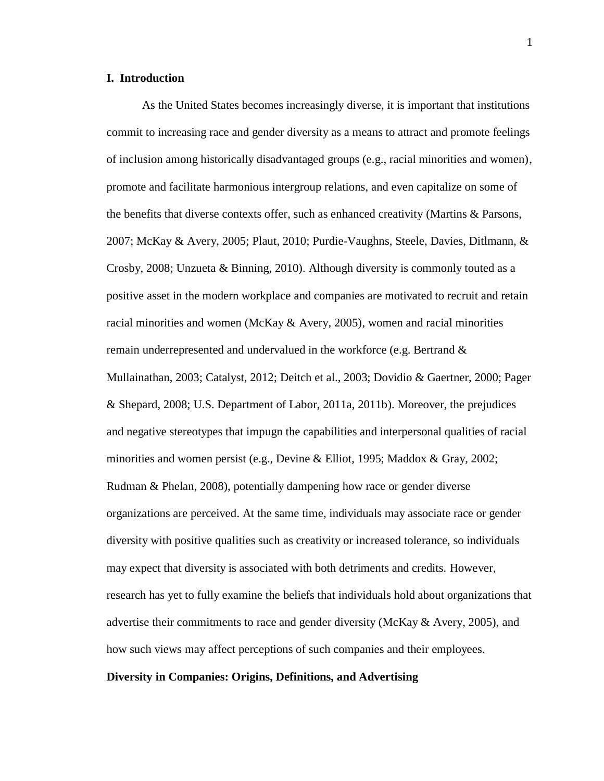#### **I. Introduction**

As the United States becomes increasingly diverse, it is important that institutions commit to increasing race and gender diversity as a means to attract and promote feelings of inclusion among historically disadvantaged groups (e.g., racial minorities and women), promote and facilitate harmonious intergroup relations, and even capitalize on some of the benefits that diverse contexts offer, such as enhanced creativity (Martins & Parsons, 2007; McKay & Avery, 2005; Plaut, 2010; Purdie-Vaughns, Steele, Davies, Ditlmann, & Crosby, 2008; Unzueta & Binning, 2010). Although diversity is commonly touted as a positive asset in the modern workplace and companies are motivated to recruit and retain racial minorities and women (McKay & Avery, 2005), women and racial minorities remain underrepresented and undervalued in the workforce (e.g. Bertrand & Mullainathan, 2003; Catalyst, 2012; Deitch et al., 2003; Dovidio & Gaertner, 2000; Pager & Shepard, 2008; U.S. Department of Labor, 2011a, 2011b). Moreover, the prejudices and negative stereotypes that impugn the capabilities and interpersonal qualities of racial minorities and women persist (e.g., Devine & Elliot, 1995; Maddox & Gray, 2002; Rudman & Phelan, 2008), potentially dampening how race or gender diverse organizations are perceived. At the same time, individuals may associate race or gender diversity with positive qualities such as creativity or increased tolerance, so individuals may expect that diversity is associated with both detriments and credits. However, research has yet to fully examine the beliefs that individuals hold about organizations that advertise their commitments to race and gender diversity (McKay & Avery, 2005), and how such views may affect perceptions of such companies and their employees.

#### **Diversity in Companies: Origins, Definitions, and Advertising**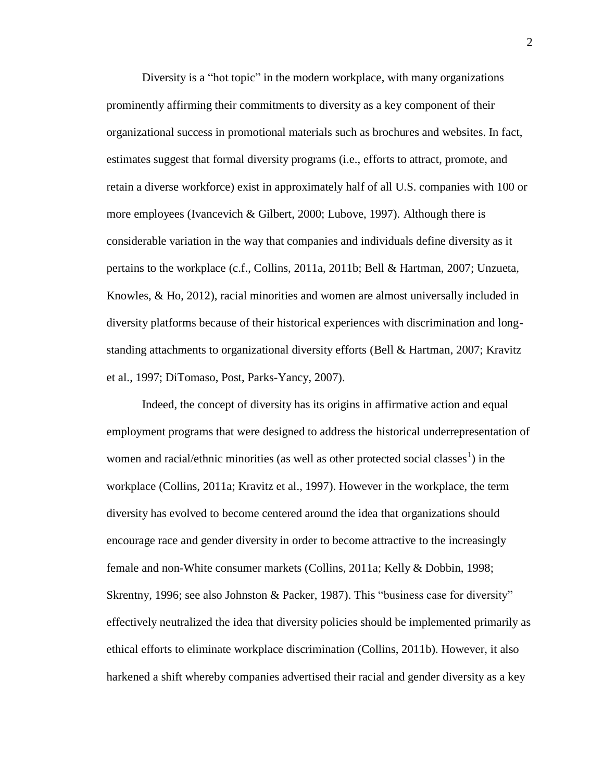Diversity is a "hot topic" in the modern workplace, with many organizations prominently affirming their commitments to diversity as a key component of their organizational success in promotional materials such as brochures and websites. In fact, estimates suggest that formal diversity programs (i.e., efforts to attract, promote, and retain a diverse workforce) exist in approximately half of all U.S. companies with 100 or more employees (Ivancevich & Gilbert, 2000; Lubove, 1997). Although there is considerable variation in the way that companies and individuals define diversity as it pertains to the workplace (c.f., Collins, 2011a, 2011b; Bell & Hartman, 2007; Unzueta, Knowles, & Ho, 2012), racial minorities and women are almost universally included in diversity platforms because of their historical experiences with discrimination and longstanding attachments to organizational diversity efforts (Bell & Hartman, 2007; Kravitz et al., 1997; DiTomaso, Post, Parks-Yancy, 2007).

Indeed, the concept of diversity has its origins in affirmative action and equal employment programs that were designed to address the historical underrepresentation of women and racial/ethnic minorities (as well as other protected social classes<sup>1</sup>) in the workplace (Collins, 2011a; Kravitz et al., 1997). However in the workplace, the term diversity has evolved to become centered around the idea that organizations should encourage race and gender diversity in order to become attractive to the increasingly female and non-White consumer markets (Collins, 2011a; Kelly & Dobbin, 1998; Skrentny, 1996; see also Johnston & Packer, 1987). This "business case for diversity" effectively neutralized the idea that diversity policies should be implemented primarily as ethical efforts to eliminate workplace discrimination (Collins, 2011b). However, it also harkened a shift whereby companies advertised their racial and gender diversity as a key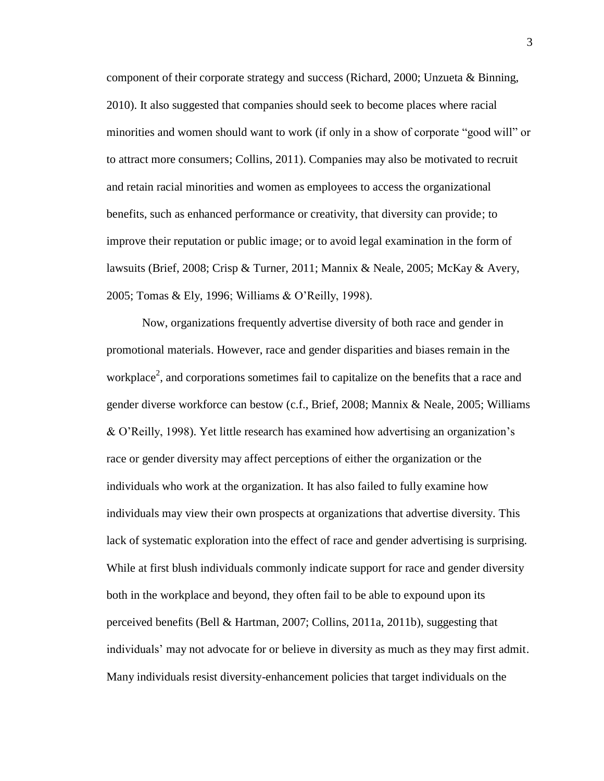component of their corporate strategy and success (Richard, 2000; Unzueta & Binning, 2010). It also suggested that companies should seek to become places where racial minorities and women should want to work (if only in a show of corporate "good will" or to attract more consumers; Collins, 2011). Companies may also be motivated to recruit and retain racial minorities and women as employees to access the organizational benefits, such as enhanced performance or creativity, that diversity can provide; to improve their reputation or public image; or to avoid legal examination in the form of lawsuits (Brief, 2008; Crisp & Turner, 2011; Mannix & Neale, 2005; McKay & Avery, 2005; Tomas & Ely, 1996; Williams & O'Reilly, 1998).

Now, organizations frequently advertise diversity of both race and gender in promotional materials. However, race and gender disparities and biases remain in the workplace<sup>2</sup>, and corporations sometimes fail to capitalize on the benefits that a race and gender diverse workforce can bestow (c.f., Brief, 2008; Mannix & Neale, 2005; Williams & O'Reilly, 1998). Yet little research has examined how advertising an organization's race or gender diversity may affect perceptions of either the organization or the individuals who work at the organization. It has also failed to fully examine how individuals may view their own prospects at organizations that advertise diversity. This lack of systematic exploration into the effect of race and gender advertising is surprising. While at first blush individuals commonly indicate support for race and gender diversity both in the workplace and beyond, they often fail to be able to expound upon its perceived benefits (Bell & Hartman, 2007; Collins, 2011a, 2011b), suggesting that individuals' may not advocate for or believe in diversity as much as they may first admit. Many individuals resist diversity-enhancement policies that target individuals on the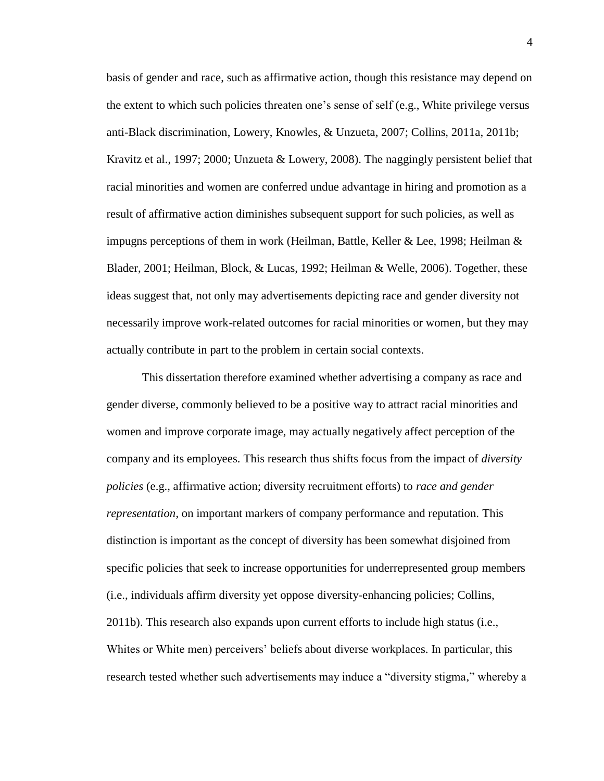basis of gender and race, such as affirmative action, though this resistance may depend on the extent to which such policies threaten one's sense of self (e.g., White privilege versus anti-Black discrimination, Lowery, Knowles, & Unzueta, 2007; Collins, 2011a, 2011b; Kravitz et al., 1997; 2000; Unzueta & Lowery, 2008). The naggingly persistent belief that racial minorities and women are conferred undue advantage in hiring and promotion as a result of affirmative action diminishes subsequent support for such policies, as well as impugns perceptions of them in work (Heilman, Battle, Keller & Lee, 1998; Heilman & Blader, 2001; Heilman, Block, & Lucas, 1992; Heilman & Welle, 2006). Together, these ideas suggest that, not only may advertisements depicting race and gender diversity not necessarily improve work-related outcomes for racial minorities or women, but they may actually contribute in part to the problem in certain social contexts.

This dissertation therefore examined whether advertising a company as race and gender diverse, commonly believed to be a positive way to attract racial minorities and women and improve corporate image, may actually negatively affect perception of the company and its employees. This research thus shifts focus from the impact of *diversity policies* (e.g., affirmative action; diversity recruitment efforts) to *race and gender representation*, on important markers of company performance and reputation. This distinction is important as the concept of diversity has been somewhat disjoined from specific policies that seek to increase opportunities for underrepresented group members (i.e., individuals affirm diversity yet oppose diversity-enhancing policies; Collins, 2011b). This research also expands upon current efforts to include high status (i.e., Whites or White men) perceivers' beliefs about diverse workplaces. In particular, this research tested whether such advertisements may induce a "diversity stigma," whereby a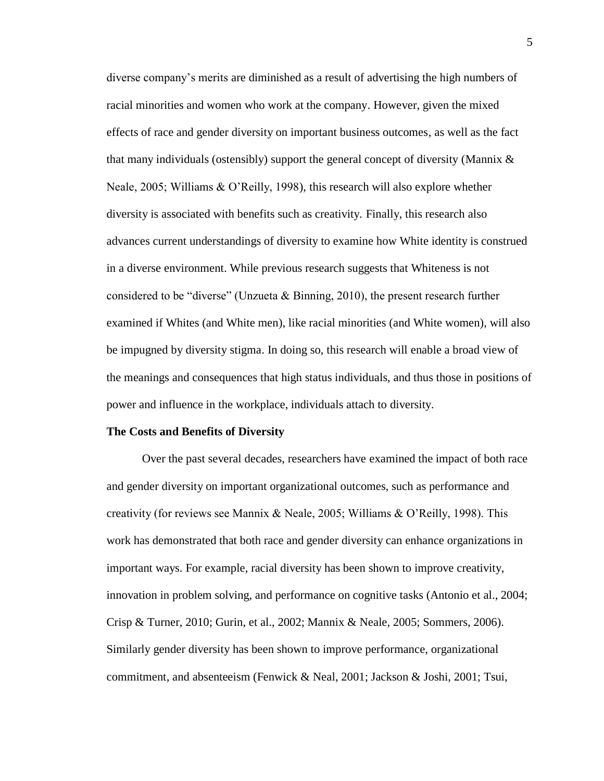diverse company's merits are diminished as a result of advertising the high numbers of racial minorities and women who work at the company. However, given the mixed effects of race and gender diversity on important business outcomes, as well as the fact that many individuals (ostensibly) support the general concept of diversity (Mannix  $\&$ Neale, 2005; Williams  $\& O'$ Reilly, 1998), this research will also explore whether diversity is associated with benefits such as creativity. Finally, this research also advances current understandings of diversity to examine how White identity is construed in a diverse environment. While previous research suggests that Whiteness is not considered to be "diverse" (Unzueta & Binning, 2010), the present research further examined if Whites (and White men), like racial minorities (and White women), will also be impugned by diversity stigma. In doing so, this research will enable a broad view of the meanings and consequences that high status individuals, and thus those in positions of power and influence in the workplace, individuals attach to diversity.

#### **The Costs and Benefits of Diversity**

Over the past several decades, researchers have examined the impact of both race and gender diversity on important organizational outcomes, such as performance and creativity (for reviews see Mannix & Neale, 2005; Williams & O'Reilly, 1998). This work has demonstrated that both race and gender diversity can enhance organizations in important ways. For example, racial diversity has been shown to improve creativity, innovation in problem solving, and performance on cognitive tasks (Antonio et al., 2004; Crisp & Turner, 2010; Gurin, et al., 2002; Mannix & Neale, 2005; Sommers, 2006). Similarly gender diversity has been shown to improve performance, organizational commitment, and absenteeism (Fenwick & Neal, 2001; Jackson & Joshi, 2001; Tsui,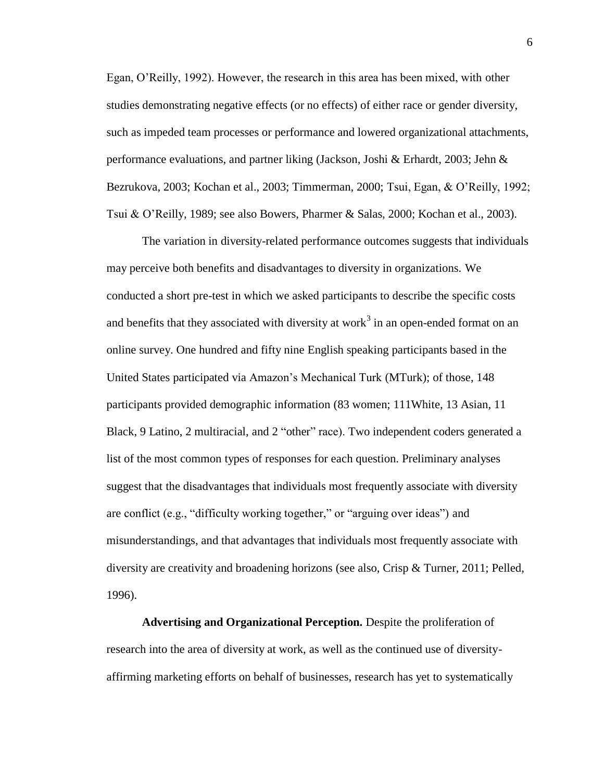Egan, O'Reilly, 1992). However, the research in this area has been mixed, with other studies demonstrating negative effects (or no effects) of either race or gender diversity, such as impeded team processes or performance and lowered organizational attachments, performance evaluations, and partner liking (Jackson, Joshi & Erhardt, 2003; Jehn & Bezrukova, 2003; Kochan et al., 2003; Timmerman, 2000; Tsui, Egan, & O'Reilly, 1992; Tsui & O'Reilly, 1989; see also Bowers, Pharmer & Salas, 2000; Kochan et al., 2003).

The variation in diversity-related performance outcomes suggests that individuals may perceive both benefits and disadvantages to diversity in organizations. We conducted a short pre-test in which we asked participants to describe the specific costs and benefits that they associated with diversity at work<sup>3</sup> in an open-ended format on an online survey. One hundred and fifty nine English speaking participants based in the United States participated via Amazon's Mechanical Turk (MTurk); of those, 148 participants provided demographic information (83 women; 111White, 13 Asian, 11 Black, 9 Latino, 2 multiracial, and 2 "other" race). Two independent coders generated a list of the most common types of responses for each question. Preliminary analyses suggest that the disadvantages that individuals most frequently associate with diversity are conflict (e.g., "difficulty working together," or "arguing over ideas") and misunderstandings, and that advantages that individuals most frequently associate with diversity are creativity and broadening horizons (see also, Crisp & Turner, 2011; Pelled, 1996).

**Advertising and Organizational Perception.** Despite the proliferation of research into the area of diversity at work, as well as the continued use of diversityaffirming marketing efforts on behalf of businesses, research has yet to systematically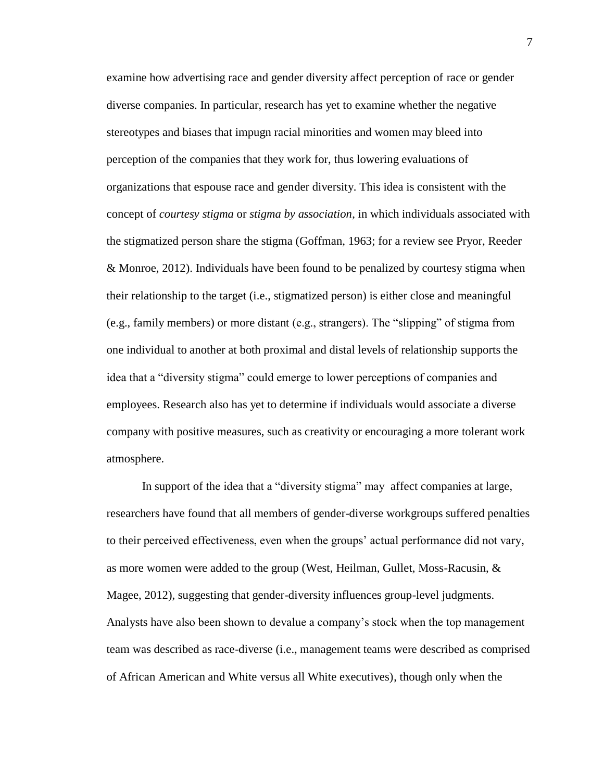examine how advertising race and gender diversity affect perception of race or gender diverse companies. In particular, research has yet to examine whether the negative stereotypes and biases that impugn racial minorities and women may bleed into perception of the companies that they work for, thus lowering evaluations of organizations that espouse race and gender diversity. This idea is consistent with the concept of *courtesy stigma* or *stigma by association*, in which individuals associated with the stigmatized person share the stigma (Goffman, 1963; for a review see Pryor, Reeder & Monroe, 2012). Individuals have been found to be penalized by courtesy stigma when their relationship to the target (i.e., stigmatized person) is either close and meaningful (e.g., family members) or more distant (e.g., strangers). The "slipping" of stigma from one individual to another at both proximal and distal levels of relationship supports the idea that a "diversity stigma" could emerge to lower perceptions of companies and employees. Research also has yet to determine if individuals would associate a diverse company with positive measures, such as creativity or encouraging a more tolerant work atmosphere.

In support of the idea that a "diversity stigma" may affect companies at large, researchers have found that all members of gender-diverse workgroups suffered penalties to their perceived effectiveness, even when the groups' actual performance did not vary, as more women were added to the group (West, Heilman, Gullet, Moss-Racusin, & Magee, 2012), suggesting that gender-diversity influences group-level judgments. Analysts have also been shown to devalue a company's stock when the top management team was described as race-diverse (i.e., management teams were described as comprised of African American and White versus all White executives), though only when the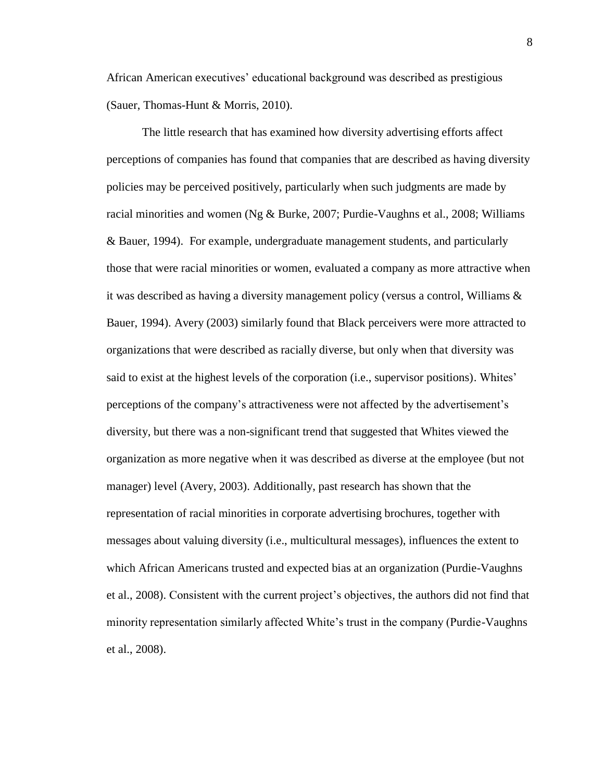African American executives' educational background was described as prestigious (Sauer, Thomas-Hunt & Morris, 2010).

The little research that has examined how diversity advertising efforts affect perceptions of companies has found that companies that are described as having diversity policies may be perceived positively, particularly when such judgments are made by racial minorities and women (Ng  $\&$  Burke, 2007; Purdie-Vaughns et al., 2008; Williams & Bauer, 1994). For example, undergraduate management students, and particularly those that were racial minorities or women, evaluated a company as more attractive when it was described as having a diversity management policy (versus a control, Williams & Bauer, 1994). Avery (2003) similarly found that Black perceivers were more attracted to organizations that were described as racially diverse, but only when that diversity was said to exist at the highest levels of the corporation (i.e., supervisor positions). Whites' perceptions of the company's attractiveness were not affected by the advertisement's diversity, but there was a non-significant trend that suggested that Whites viewed the organization as more negative when it was described as diverse at the employee (but not manager) level (Avery, 2003). Additionally, past research has shown that the representation of racial minorities in corporate advertising brochures, together with messages about valuing diversity (i.e., multicultural messages), influences the extent to which African Americans trusted and expected bias at an organization (Purdie-Vaughns et al., 2008). Consistent with the current project's objectives, the authors did not find that minority representation similarly affected White's trust in the company (Purdie-Vaughns et al., 2008).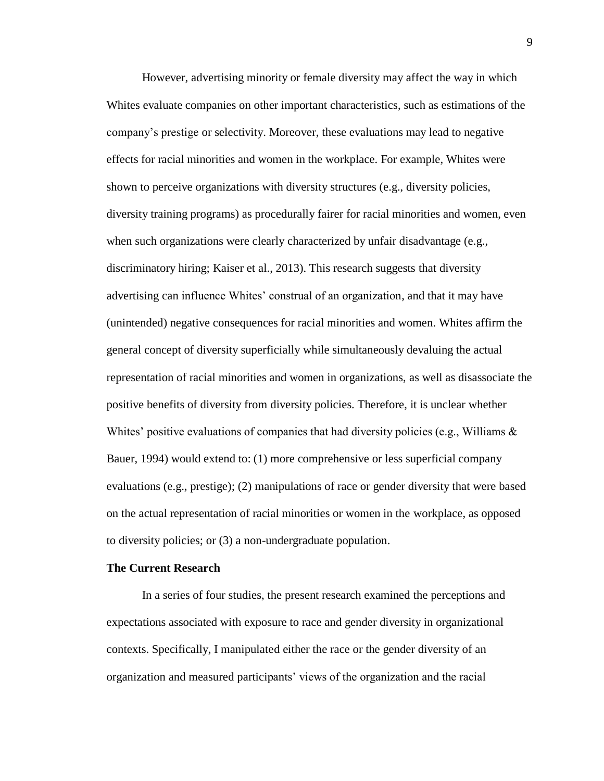However, advertising minority or female diversity may affect the way in which Whites evaluate companies on other important characteristics, such as estimations of the company's prestige or selectivity. Moreover, these evaluations may lead to negative effects for racial minorities and women in the workplace. For example, Whites were shown to perceive organizations with diversity structures (e.g., diversity policies, diversity training programs) as procedurally fairer for racial minorities and women, even when such organizations were clearly characterized by unfair disadvantage (e.g., discriminatory hiring; Kaiser et al., 2013). This research suggests that diversity advertising can influence Whites' construal of an organization, and that it may have (unintended) negative consequences for racial minorities and women. Whites affirm the general concept of diversity superficially while simultaneously devaluing the actual representation of racial minorities and women in organizations, as well as disassociate the positive benefits of diversity from diversity policies. Therefore, it is unclear whether Whites' positive evaluations of companies that had diversity policies (e.g., Williams  $\&$ Bauer, 1994) would extend to: (1) more comprehensive or less superficial company evaluations (e.g., prestige); (2) manipulations of race or gender diversity that were based on the actual representation of racial minorities or women in the workplace, as opposed to diversity policies; or (3) a non-undergraduate population.

#### **The Current Research**

In a series of four studies, the present research examined the perceptions and expectations associated with exposure to race and gender diversity in organizational contexts. Specifically, I manipulated either the race or the gender diversity of an organization and measured participants' views of the organization and the racial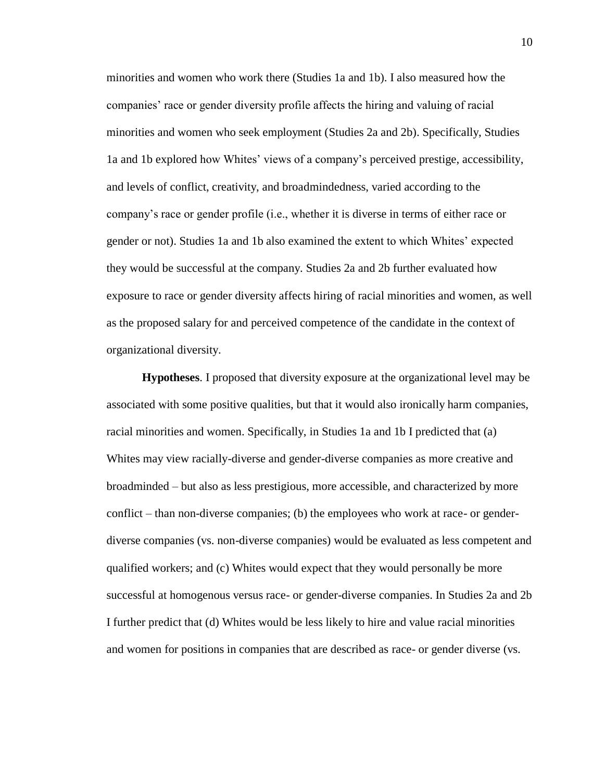minorities and women who work there (Studies 1a and 1b). I also measured how the companies' race or gender diversity profile affects the hiring and valuing of racial minorities and women who seek employment (Studies 2a and 2b). Specifically, Studies 1a and 1b explored how Whites' views of a company's perceived prestige, accessibility, and levels of conflict, creativity, and broadmindedness, varied according to the company's race or gender profile (i.e., whether it is diverse in terms of either race or gender or not). Studies 1a and 1b also examined the extent to which Whites' expected they would be successful at the company. Studies 2a and 2b further evaluated how exposure to race or gender diversity affects hiring of racial minorities and women, as well as the proposed salary for and perceived competence of the candidate in the context of organizational diversity.

**Hypotheses**. I proposed that diversity exposure at the organizational level may be associated with some positive qualities, but that it would also ironically harm companies, racial minorities and women. Specifically, in Studies 1a and 1b I predicted that (a) Whites may view racially-diverse and gender-diverse companies as more creative and broadminded – but also as less prestigious, more accessible, and characterized by more conflict – than non-diverse companies; (b) the employees who work at race- or genderdiverse companies (vs. non-diverse companies) would be evaluated as less competent and qualified workers; and (c) Whites would expect that they would personally be more successful at homogenous versus race- or gender-diverse companies. In Studies 2a and 2b I further predict that (d) Whites would be less likely to hire and value racial minorities and women for positions in companies that are described as race- or gender diverse (vs.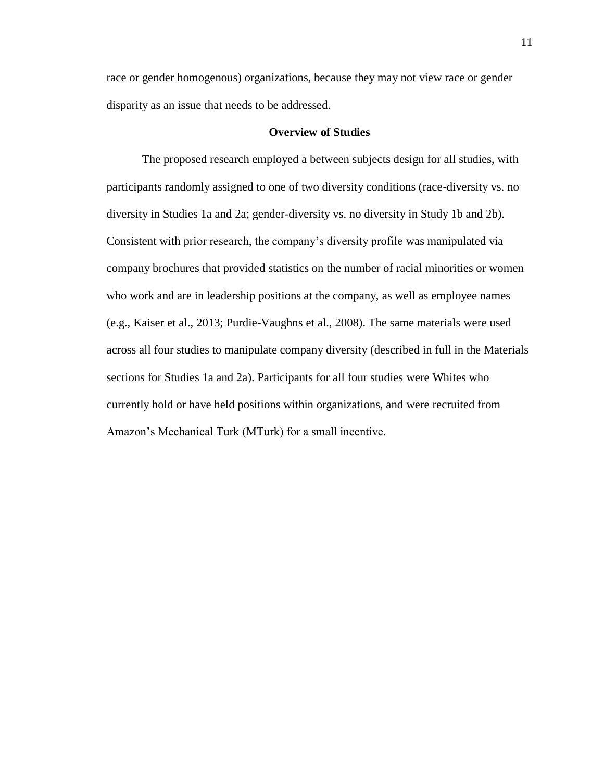race or gender homogenous) organizations, because they may not view race or gender disparity as an issue that needs to be addressed.

#### **Overview of Studies**

The proposed research employed a between subjects design for all studies, with participants randomly assigned to one of two diversity conditions (race-diversity vs. no diversity in Studies 1a and 2a; gender-diversity vs. no diversity in Study 1b and 2b). Consistent with prior research, the company's diversity profile was manipulated via company brochures that provided statistics on the number of racial minorities or women who work and are in leadership positions at the company, as well as employee names (e.g., Kaiser et al., 2013; Purdie-Vaughns et al., 2008). The same materials were used across all four studies to manipulate company diversity (described in full in the Materials sections for Studies 1a and 2a). Participants for all four studies were Whites who currently hold or have held positions within organizations, and were recruited from Amazon's Mechanical Turk (MTurk) for a small incentive.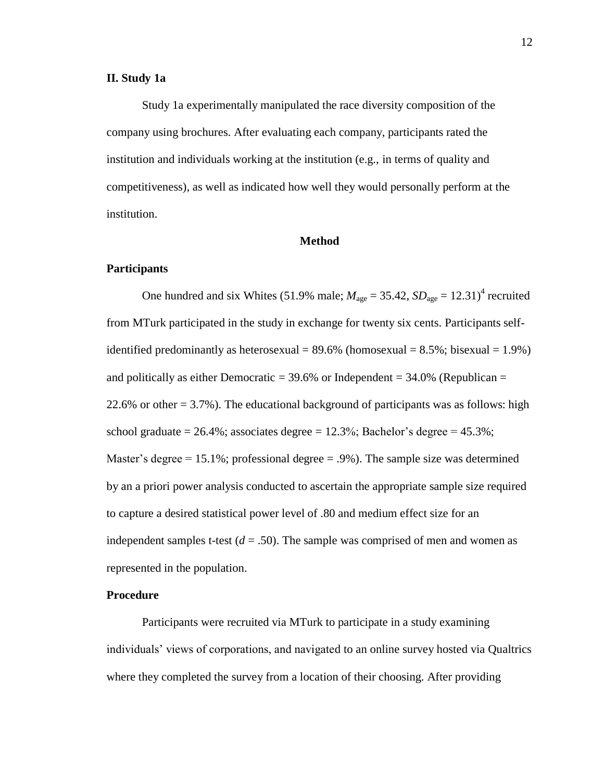#### **II. Study 1a**

Study 1a experimentally manipulated the race diversity composition of the company using brochures. After evaluating each company, participants rated the institution and individuals working at the institution (e.g., in terms of quality and competitiveness), as well as indicated how well they would personally perform at the institution.

#### **Method**

#### **Participants**

One hundred and six Whites (51.9% male;  $M_{\text{age}} = 35.42$ ,  $SD_{\text{age}} = 12.31$ <sup>4</sup> recruited from MTurk participated in the study in exchange for twenty six cents. Participants selfidentified predominantly as heterosexual =  $89.6\%$  (homosexual =  $8.5\%$ ; bisexual =  $1.9\%$ ) and politically as either Democratic  $=$  39.6% or Independent  $=$  34.0% (Republican  $=$ 22.6% or other  $= 3.7$ %). The educational background of participants was as follows: high school graduate =  $26.4\%$ ; associates degree =  $12.3\%$ ; Bachelor's degree =  $45.3\%$ ; Master's degree  $= 15.1\%$ ; professional degree  $= .9\%$ ). The sample size was determined by an a priori power analysis conducted to ascertain the appropriate sample size required to capture a desired statistical power level of .80 and medium effect size for an independent samples t-test  $(d = .50)$ . The sample was comprised of men and women as represented in the population.

#### **Procedure**

Participants were recruited via MTurk to participate in a study examining individuals' views of corporations, and navigated to an online survey hosted via Qualtrics where they completed the survey from a location of their choosing. After providing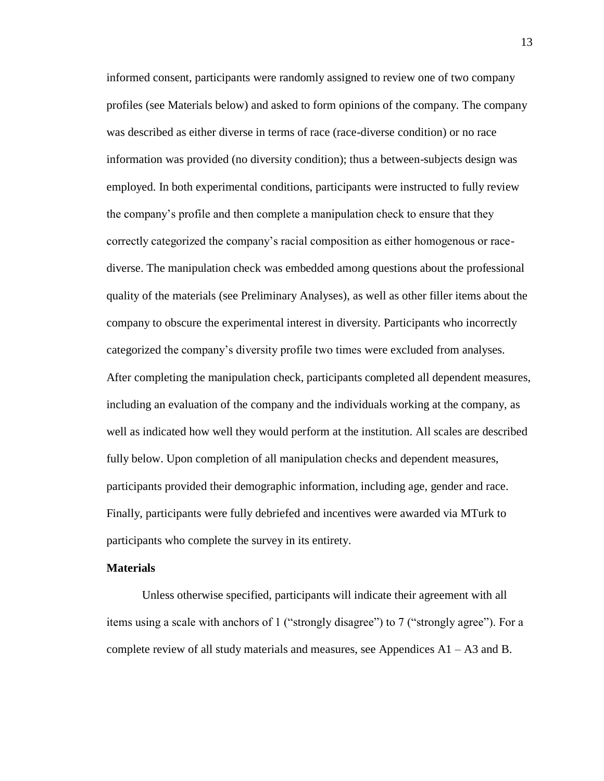informed consent, participants were randomly assigned to review one of two company profiles (see Materials below) and asked to form opinions of the company. The company was described as either diverse in terms of race (race-diverse condition) or no race information was provided (no diversity condition); thus a between-subjects design was employed. In both experimental conditions, participants were instructed to fully review the company's profile and then complete a manipulation check to ensure that they correctly categorized the company's racial composition as either homogenous or racediverse. The manipulation check was embedded among questions about the professional quality of the materials (see Preliminary Analyses), as well as other filler items about the company to obscure the experimental interest in diversity. Participants who incorrectly categorized the company's diversity profile two times were excluded from analyses. After completing the manipulation check, participants completed all dependent measures, including an evaluation of the company and the individuals working at the company, as well as indicated how well they would perform at the institution. All scales are described fully below. Upon completion of all manipulation checks and dependent measures, participants provided their demographic information, including age, gender and race. Finally, participants were fully debriefed and incentives were awarded via MTurk to participants who complete the survey in its entirety.

#### **Materials**

Unless otherwise specified, participants will indicate their agreement with all items using a scale with anchors of 1 ("strongly disagree") to 7 ("strongly agree"). For a complete review of all study materials and measures, see Appendices A1 – A3 and B.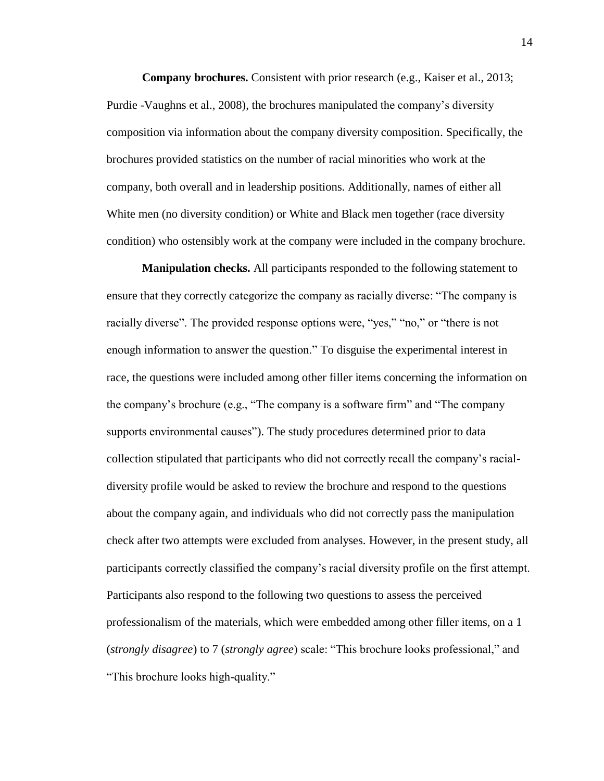**Company brochures.** Consistent with prior research (e.g., Kaiser et al., 2013; Purdie -Vaughns et al., 2008), the brochures manipulated the company's diversity composition via information about the company diversity composition. Specifically, the brochures provided statistics on the number of racial minorities who work at the company, both overall and in leadership positions. Additionally, names of either all White men (no diversity condition) or White and Black men together (race diversity condition) who ostensibly work at the company were included in the company brochure.

**Manipulation checks.** All participants responded to the following statement to ensure that they correctly categorize the company as racially diverse: "The company is racially diverse". The provided response options were, "yes," "no," or "there is not enough information to answer the question." To disguise the experimental interest in race, the questions were included among other filler items concerning the information on the company's brochure (e.g., "The company is a software firm" and "The company supports environmental causes"). The study procedures determined prior to data collection stipulated that participants who did not correctly recall the company's racialdiversity profile would be asked to review the brochure and respond to the questions about the company again, and individuals who did not correctly pass the manipulation check after two attempts were excluded from analyses. However, in the present study, all participants correctly classified the company's racial diversity profile on the first attempt. Participants also respond to the following two questions to assess the perceived professionalism of the materials, which were embedded among other filler items, on a 1 (*strongly disagree*) to 7 (*strongly agree*) scale: "This brochure looks professional," and "This brochure looks high-quality."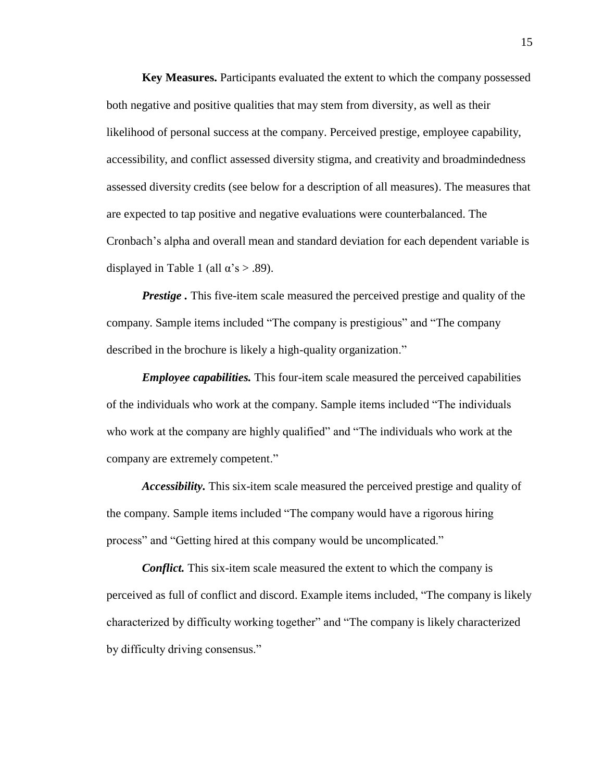**Key Measures.** Participants evaluated the extent to which the company possessed both negative and positive qualities that may stem from diversity, as well as their likelihood of personal success at the company. Perceived prestige, employee capability, accessibility, and conflict assessed diversity stigma, and creativity and broadmindedness assessed diversity credits (see below for a description of all measures). The measures that are expected to tap positive and negative evaluations were counterbalanced. The Cronbach's alpha and overall mean and standard deviation for each dependent variable is displayed in Table 1 (all  $\alpha$ 's > .89).

*Prestige* . This five-item scale measured the perceived prestige and quality of the company. Sample items included "The company is prestigious" and "The company described in the brochure is likely a high-quality organization."

*Employee capabilities.* This four-item scale measured the perceived capabilities of the individuals who work at the company. Sample items included "The individuals who work at the company are highly qualified" and "The individuals who work at the company are extremely competent."

*Accessibility.* This six-item scale measured the perceived prestige and quality of the company. Sample items included "The company would have a rigorous hiring process" and "Getting hired at this company would be uncomplicated."

*Conflict.* This six-item scale measured the extent to which the company is perceived as full of conflict and discord. Example items included, "The company is likely characterized by difficulty working together" and "The company is likely characterized by difficulty driving consensus."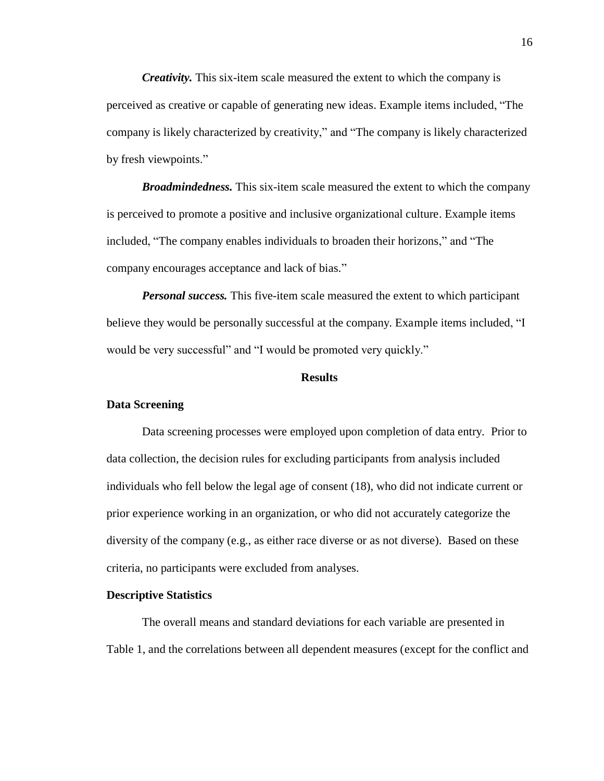*Creativity.* This six-item scale measured the extent to which the company is perceived as creative or capable of generating new ideas. Example items included, "The company is likely characterized by creativity," and "The company is likely characterized by fresh viewpoints."

*Broadmindedness.* This six-item scale measured the extent to which the company is perceived to promote a positive and inclusive organizational culture. Example items included, "The company enables individuals to broaden their horizons," and "The company encourages acceptance and lack of bias."

*Personal success.* This five-item scale measured the extent to which participant believe they would be personally successful at the company. Example items included, "I would be very successful" and "I would be promoted very quickly."

#### **Results**

#### **Data Screening**

Data screening processes were employed upon completion of data entry. Prior to data collection, the decision rules for excluding participants from analysis included individuals who fell below the legal age of consent (18), who did not indicate current or prior experience working in an organization, or who did not accurately categorize the diversity of the company (e.g., as either race diverse or as not diverse). Based on these criteria, no participants were excluded from analyses.

#### **Descriptive Statistics**

The overall means and standard deviations for each variable are presented in Table 1, and the correlations between all dependent measures (except for the conflict and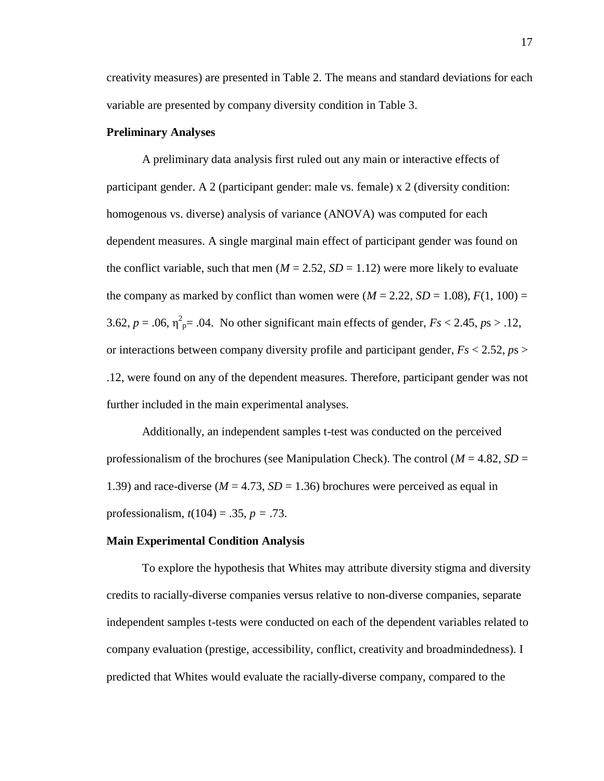creativity measures) are presented in Table 2. The means and standard deviations for each variable are presented by company diversity condition in Table 3.

#### **Preliminary Analyses**

A preliminary data analysis first ruled out any main or interactive effects of participant gender. A 2 (participant gender: male vs. female) x 2 (diversity condition: homogenous vs. diverse) analysis of variance (ANOVA) was computed for each dependent measures. A single marginal main effect of participant gender was found on the conflict variable, such that men  $(M = 2.52, SD = 1.12)$  were more likely to evaluate the company as marked by conflict than women were  $(M = 2.22, SD = 1.08)$ ,  $F(1, 100) =$ 3.62,  $p = .06$ ,  $\eta^2_{\text{p}} = .04$ . No other significant main effects of gender,  $Fs < 2.45$ ,  $ps > .12$ , or interactions between company diversity profile and participant gender, *Fs* < 2.52, *p*s > .12, were found on any of the dependent measures. Therefore, participant gender was not further included in the main experimental analyses.

Additionally, an independent samples t-test was conducted on the perceived professionalism of the brochures (see Manipulation Check). The control ( $M = 4.82$ ,  $SD =$ 1.39) and race-diverse ( $M = 4.73$ ,  $SD = 1.36$ ) brochures were perceived as equal in professionalism, *t*(104) = .35, *p =* .73.

#### **Main Experimental Condition Analysis**

To explore the hypothesis that Whites may attribute diversity stigma and diversity credits to racially-diverse companies versus relative to non-diverse companies, separate independent samples t-tests were conducted on each of the dependent variables related to company evaluation (prestige, accessibility, conflict, creativity and broadmindedness). I predicted that Whites would evaluate the racially-diverse company, compared to the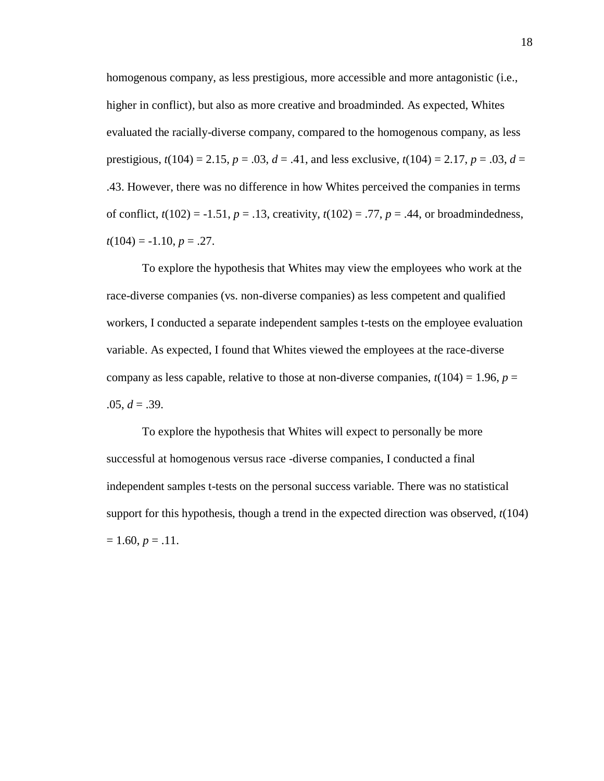homogenous company, as less prestigious, more accessible and more antagonistic (i.e., higher in conflict), but also as more creative and broadminded. As expected, Whites evaluated the racially-diverse company, compared to the homogenous company, as less prestigious,  $t(104) = 2.15$ ,  $p = .03$ ,  $d = .41$ , and less exclusive,  $t(104) = 2.17$ ,  $p = .03$ ,  $d =$ .43. However, there was no difference in how Whites perceived the companies in terms of conflict,  $t(102) = -1.51$ ,  $p = .13$ , creativity,  $t(102) = .77$ ,  $p = .44$ , or broadmindedness,  $t(104) = -1.10, p = .27.$ 

To explore the hypothesis that Whites may view the employees who work at the race-diverse companies (vs. non-diverse companies) as less competent and qualified workers, I conducted a separate independent samples t-tests on the employee evaluation variable. As expected, I found that Whites viewed the employees at the race-diverse company as less capable, relative to those at non-diverse companies,  $t(104) = 1.96$ ,  $p =$  $.05, d = .39.$ 

To explore the hypothesis that Whites will expect to personally be more successful at homogenous versus race -diverse companies, I conducted a final independent samples t-tests on the personal success variable. There was no statistical support for this hypothesis, though a trend in the expected direction was observed, *t*(104)  $= 1.60, p = .11.$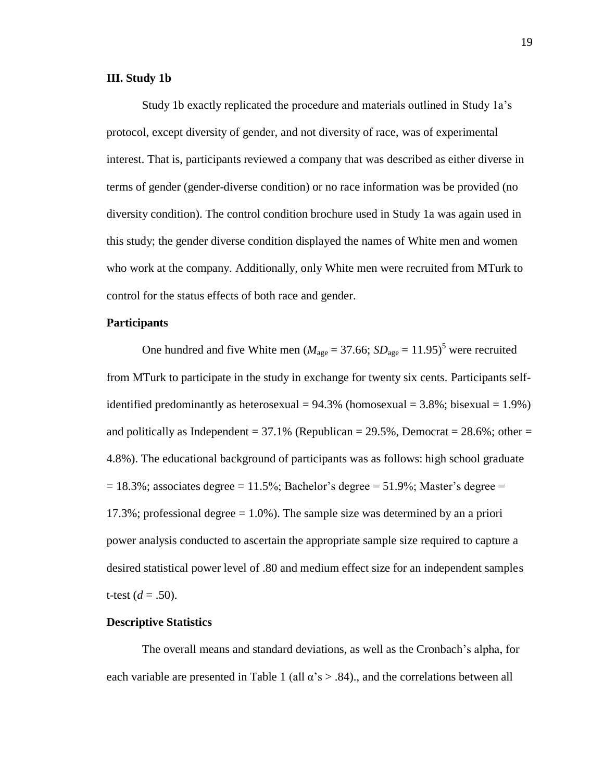#### **III. Study 1b**

Study 1b exactly replicated the procedure and materials outlined in Study 1a's protocol, except diversity of gender, and not diversity of race, was of experimental interest. That is, participants reviewed a company that was described as either diverse in terms of gender (gender-diverse condition) or no race information was be provided (no diversity condition). The control condition brochure used in Study 1a was again used in this study; the gender diverse condition displayed the names of White men and women who work at the company. Additionally, only White men were recruited from MTurk to control for the status effects of both race and gender.

#### **Participants**

One hundred and five White men ( $M_{\text{age}} = 37.66$ ;  $SD_{\text{age}} = 11.95$ )<sup>5</sup> were recruited from MTurk to participate in the study in exchange for twenty six cents. Participants selfidentified predominantly as heterosexual =  $94.3\%$  (homosexual =  $3.8\%$ ; bisexual =  $1.9\%$ ) and politically as Independent =  $37.1\%$  (Republican =  $29.5\%$ ), Democrat =  $28.6\%$ ; other = 4.8%). The educational background of participants was as follows: high school graduate  $= 18.3\%$ ; associates degree  $= 11.5\%$ ; Bachelor's degree  $= 51.9\%$ ; Master's degree  $=$ 17.3%; professional degree  $= 1.0\%$ ). The sample size was determined by an a priori power analysis conducted to ascertain the appropriate sample size required to capture a desired statistical power level of .80 and medium effect size for an independent samples t-test  $(d = .50)$ .

#### **Descriptive Statistics**

The overall means and standard deviations, as well as the Cronbach's alpha, for each variable are presented in Table 1 (all  $\alpha$ 's  $> .84$ )., and the correlations between all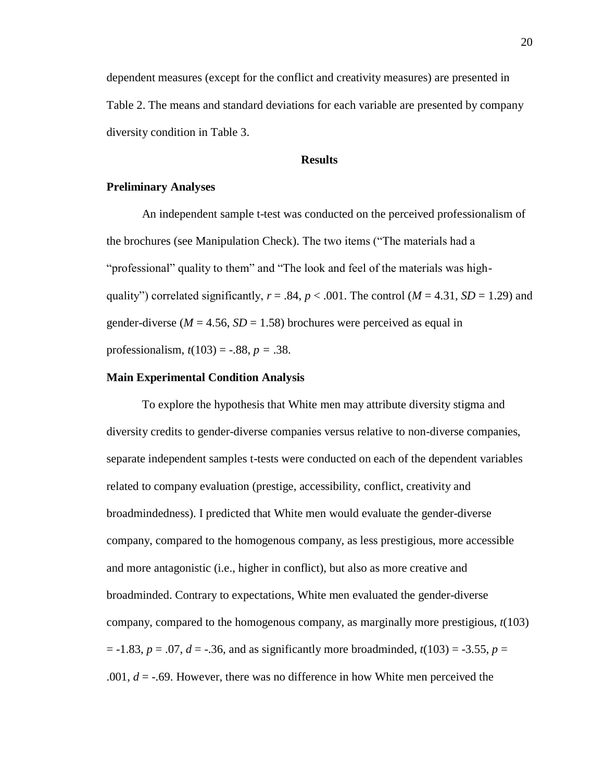dependent measures (except for the conflict and creativity measures) are presented in Table 2. The means and standard deviations for each variable are presented by company diversity condition in Table 3.

#### **Results**

#### **Preliminary Analyses**

An independent sample t-test was conducted on the perceived professionalism of the brochures (see Manipulation Check). The two items ("The materials had a "professional" quality to them" and "The look and feel of the materials was highquality") correlated significantly,  $r = .84$ ,  $p < .001$ . The control ( $M = 4.31$ ,  $SD = 1.29$ ) and gender-diverse ( $M = 4.56$ ,  $SD = 1.58$ ) brochures were perceived as equal in professionalism, *t*(103) = -.88, *p =* .38.

#### **Main Experimental Condition Analysis**

To explore the hypothesis that White men may attribute diversity stigma and diversity credits to gender-diverse companies versus relative to non-diverse companies, separate independent samples t-tests were conducted on each of the dependent variables related to company evaluation (prestige, accessibility, conflict, creativity and broadmindedness). I predicted that White men would evaluate the gender-diverse company, compared to the homogenous company, as less prestigious, more accessible and more antagonistic (i.e., higher in conflict), but also as more creative and broadminded. Contrary to expectations, White men evaluated the gender-diverse company, compared to the homogenous company, as marginally more prestigious, *t*(103)  $p = -1.83$ ,  $p = .07$ ,  $d = -0.36$ , and as significantly more broadminded,  $t(103) = -3.55$ ,  $p =$ .001,  $d = -0.69$ . However, there was no difference in how White men perceived the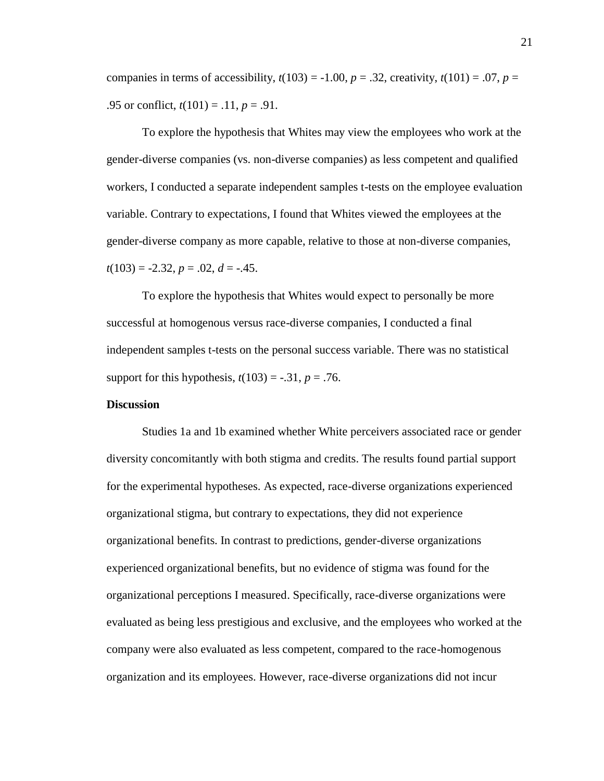companies in terms of accessibility,  $t(103) = -1.00$ ,  $p = .32$ , creativity,  $t(101) = .07$ ,  $p =$ .95 or conflict, *t*(101) = .11, *p* = .91.

To explore the hypothesis that Whites may view the employees who work at the gender-diverse companies (vs. non-diverse companies) as less competent and qualified workers, I conducted a separate independent samples t-tests on the employee evaluation variable. Contrary to expectations, I found that Whites viewed the employees at the gender-diverse company as more capable, relative to those at non-diverse companies, *t*(103) = -2.32, *p* = .02, *d* = -.45.

To explore the hypothesis that Whites would expect to personally be more successful at homogenous versus race-diverse companies, I conducted a final independent samples t-tests on the personal success variable. There was no statistical support for this hypothesis,  $t(103) = -.31$ ,  $p = .76$ .

#### **Discussion**

Studies 1a and 1b examined whether White perceivers associated race or gender diversity concomitantly with both stigma and credits. The results found partial support for the experimental hypotheses. As expected, race-diverse organizations experienced organizational stigma, but contrary to expectations, they did not experience organizational benefits. In contrast to predictions, gender-diverse organizations experienced organizational benefits, but no evidence of stigma was found for the organizational perceptions I measured. Specifically, race-diverse organizations were evaluated as being less prestigious and exclusive, and the employees who worked at the company were also evaluated as less competent, compared to the race-homogenous organization and its employees. However, race-diverse organizations did not incur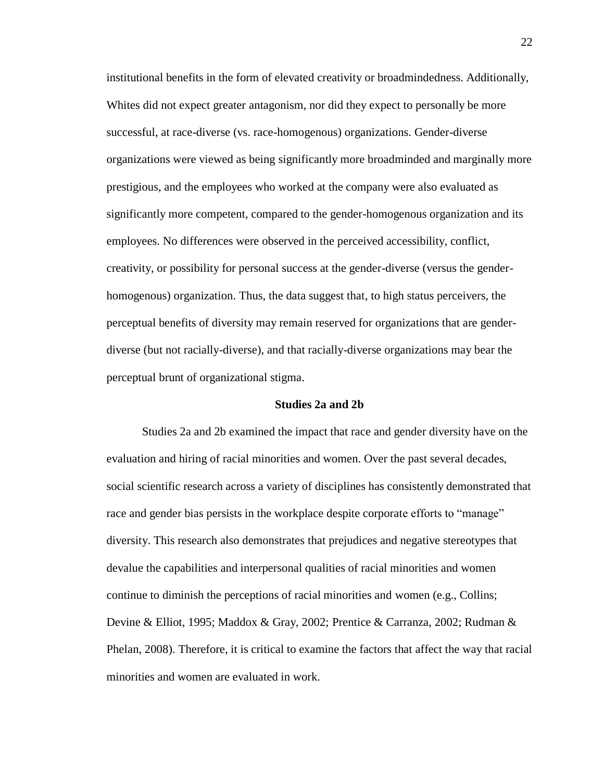institutional benefits in the form of elevated creativity or broadmindedness. Additionally, Whites did not expect greater antagonism, nor did they expect to personally be more successful, at race-diverse (vs. race-homogenous) organizations. Gender-diverse organizations were viewed as being significantly more broadminded and marginally more prestigious, and the employees who worked at the company were also evaluated as significantly more competent, compared to the gender-homogenous organization and its employees. No differences were observed in the perceived accessibility, conflict, creativity, or possibility for personal success at the gender-diverse (versus the genderhomogenous) organization. Thus, the data suggest that, to high status perceivers, the perceptual benefits of diversity may remain reserved for organizations that are genderdiverse (but not racially-diverse), and that racially-diverse organizations may bear the perceptual brunt of organizational stigma.

#### **Studies 2a and 2b**

Studies 2a and 2b examined the impact that race and gender diversity have on the evaluation and hiring of racial minorities and women. Over the past several decades, social scientific research across a variety of disciplines has consistently demonstrated that race and gender bias persists in the workplace despite corporate efforts to "manage" diversity. This research also demonstrates that prejudices and negative stereotypes that devalue the capabilities and interpersonal qualities of racial minorities and women continue to diminish the perceptions of racial minorities and women (e.g., Collins; Devine & Elliot, 1995; Maddox & Gray, 2002; Prentice & Carranza, 2002; Rudman & Phelan, 2008). Therefore, it is critical to examine the factors that affect the way that racial minorities and women are evaluated in work.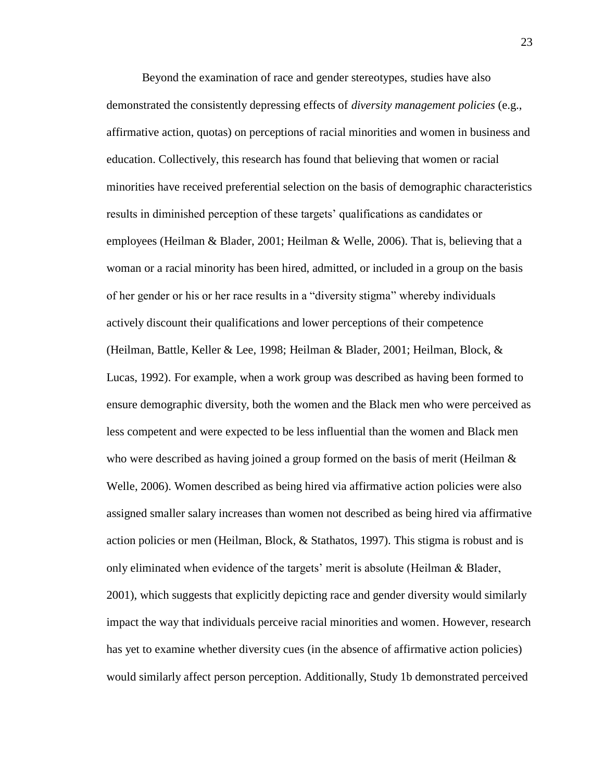Beyond the examination of race and gender stereotypes, studies have also demonstrated the consistently depressing effects of *diversity management policies* (e.g., affirmative action, quotas) on perceptions of racial minorities and women in business and education. Collectively, this research has found that believing that women or racial minorities have received preferential selection on the basis of demographic characteristics results in diminished perception of these targets' qualifications as candidates or employees (Heilman & Blader, 2001; Heilman & Welle, 2006). That is, believing that a woman or a racial minority has been hired, admitted, or included in a group on the basis of her gender or his or her race results in a "diversity stigma" whereby individuals actively discount their qualifications and lower perceptions of their competence (Heilman, Battle, Keller & Lee, 1998; Heilman & Blader, 2001; Heilman, Block, & Lucas, 1992). For example, when a work group was described as having been formed to ensure demographic diversity, both the women and the Black men who were perceived as less competent and were expected to be less influential than the women and Black men who were described as having joined a group formed on the basis of merit (Heilman  $\&$ Welle, 2006). Women described as being hired via affirmative action policies were also assigned smaller salary increases than women not described as being hired via affirmative action policies or men (Heilman, Block, & Stathatos, 1997). This stigma is robust and is only eliminated when evidence of the targets' merit is absolute (Heilman  $\&$  Blader, 2001), which suggests that explicitly depicting race and gender diversity would similarly impact the way that individuals perceive racial minorities and women. However, research has yet to examine whether diversity cues (in the absence of affirmative action policies) would similarly affect person perception. Additionally, Study 1b demonstrated perceived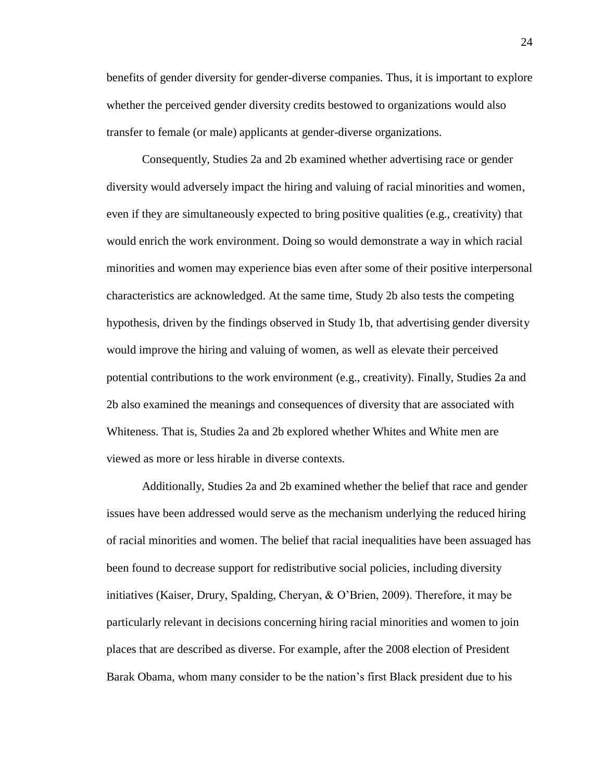benefits of gender diversity for gender-diverse companies. Thus, it is important to explore whether the perceived gender diversity credits bestowed to organizations would also transfer to female (or male) applicants at gender-diverse organizations.

Consequently, Studies 2a and 2b examined whether advertising race or gender diversity would adversely impact the hiring and valuing of racial minorities and women, even if they are simultaneously expected to bring positive qualities (e.g., creativity) that would enrich the work environment. Doing so would demonstrate a way in which racial minorities and women may experience bias even after some of their positive interpersonal characteristics are acknowledged. At the same time, Study 2b also tests the competing hypothesis, driven by the findings observed in Study 1b, that advertising gender diversity would improve the hiring and valuing of women, as well as elevate their perceived potential contributions to the work environment (e.g., creativity). Finally, Studies 2a and 2b also examined the meanings and consequences of diversity that are associated with Whiteness. That is, Studies 2a and 2b explored whether Whites and White men are viewed as more or less hirable in diverse contexts.

Additionally, Studies 2a and 2b examined whether the belief that race and gender issues have been addressed would serve as the mechanism underlying the reduced hiring of racial minorities and women. The belief that racial inequalities have been assuaged has been found to decrease support for redistributive social policies, including diversity initiatives (Kaiser, Drury, Spalding, Cheryan, & O'Brien, 2009). Therefore, it may be particularly relevant in decisions concerning hiring racial minorities and women to join places that are described as diverse. For example, after the 2008 election of President Barak Obama, whom many consider to be the nation's first Black president due to his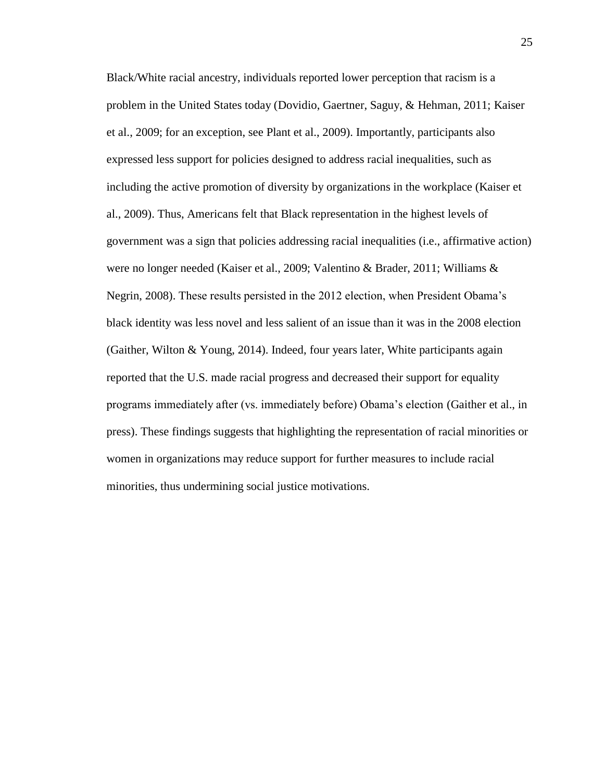Black/White racial ancestry, individuals reported lower perception that racism is a problem in the United States today (Dovidio, Gaertner, Saguy, & Hehman, 2011; Kaiser et al., 2009; for an exception, see Plant et al., 2009). Importantly, participants also expressed less support for policies designed to address racial inequalities, such as including the active promotion of diversity by organizations in the workplace (Kaiser et al., 2009). Thus, Americans felt that Black representation in the highest levels of government was a sign that policies addressing racial inequalities (i.e., affirmative action) were no longer needed (Kaiser et al., 2009; Valentino & Brader, 2011; Williams & Negrin, 2008). These results persisted in the 2012 election, when President Obama's black identity was less novel and less salient of an issue than it was in the 2008 election (Gaither, Wilton & Young, 2014). Indeed, four years later, White participants again reported that the U.S. made racial progress and decreased their support for equality programs immediately after (vs. immediately before) Obama's election (Gaither et al., in press). These findings suggests that highlighting the representation of racial minorities or women in organizations may reduce support for further measures to include racial minorities, thus undermining social justice motivations.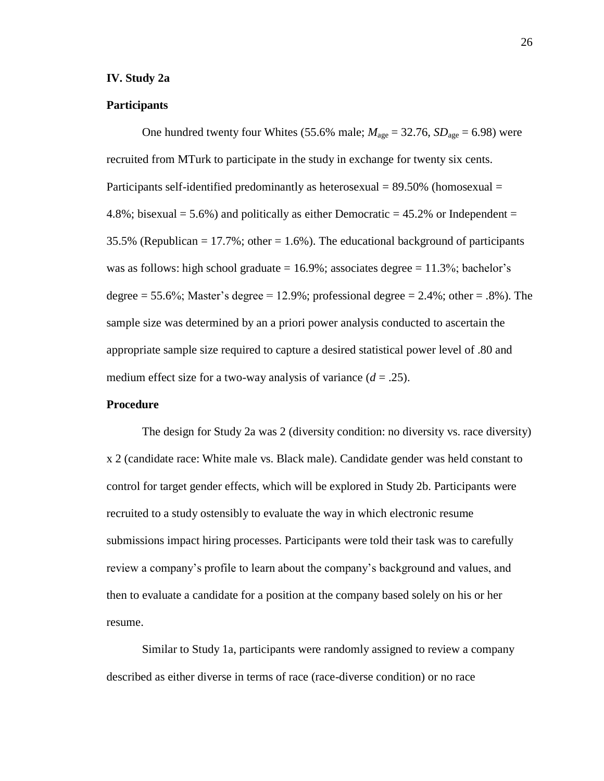#### **IV. Study 2a**

#### **Participants**

One hundred twenty four Whites (55.6% male;  $M_{\text{age}} = 32.76$ ,  $SD_{\text{age}} = 6.98$ ) were recruited from MTurk to participate in the study in exchange for twenty six cents. Participants self-identified predominantly as heterosexual = 89.50% (homosexual = 4.8%; bisexual  $= 5.6\%$ ) and politically as either Democratic  $= 45.2\%$  or Independent  $=$ 35.5% (Republican  $= 17.7\%$ ; other  $= 1.6\%$ ). The educational background of participants was as follows: high school graduate  $= 16.9\%$ ; associates degree  $= 11.3\%$ ; bachelor's degree  $= 55.6\%$ ; Master's degree  $= 12.9\%$ ; professional degree  $= 2.4\%$ ; other  $= .8\%$ ). The sample size was determined by an a priori power analysis conducted to ascertain the appropriate sample size required to capture a desired statistical power level of .80 and medium effect size for a two-way analysis of variance  $(d = .25)$ .

#### **Procedure**

The design for Study 2a was 2 (diversity condition: no diversity vs. race diversity) x 2 (candidate race: White male vs. Black male). Candidate gender was held constant to control for target gender effects, which will be explored in Study 2b. Participants were recruited to a study ostensibly to evaluate the way in which electronic resume submissions impact hiring processes. Participants were told their task was to carefully review a company's profile to learn about the company's background and values, and then to evaluate a candidate for a position at the company based solely on his or her resume.

Similar to Study 1a, participants were randomly assigned to review a company described as either diverse in terms of race (race-diverse condition) or no race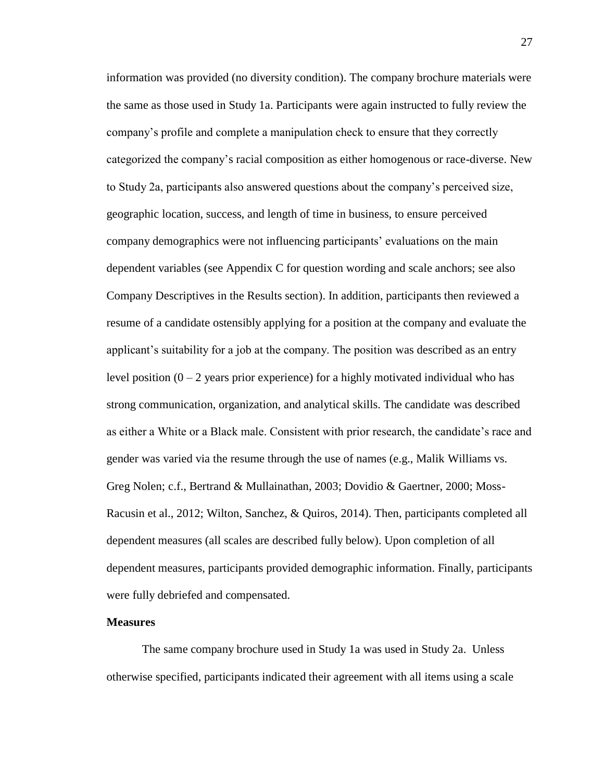information was provided (no diversity condition). The company brochure materials were the same as those used in Study 1a. Participants were again instructed to fully review the company's profile and complete a manipulation check to ensure that they correctly categorized the company's racial composition as either homogenous or race-diverse. New to Study 2a, participants also answered questions about the company's perceived size, geographic location, success, and length of time in business, to ensure perceived company demographics were not influencing participants' evaluations on the main dependent variables (see Appendix C for question wording and scale anchors; see also Company Descriptives in the Results section). In addition, participants then reviewed a resume of a candidate ostensibly applying for a position at the company and evaluate the applicant's suitability for a job at the company. The position was described as an entry level position  $(0 - 2)$  years prior experience) for a highly motivated individual who has strong communication, organization, and analytical skills. The candidate was described as either a White or a Black male. Consistent with prior research, the candidate's race and gender was varied via the resume through the use of names (e.g., Malik Williams vs. Greg Nolen; c.f., Bertrand & Mullainathan, 2003; Dovidio & Gaertner, 2000; Moss-Racusin et al., 2012; Wilton, Sanchez, & Quiros, 2014). Then, participants completed all dependent measures (all scales are described fully below). Upon completion of all dependent measures, participants provided demographic information. Finally, participants were fully debriefed and compensated.

#### **Measures**

The same company brochure used in Study 1a was used in Study 2a. Unless otherwise specified, participants indicated their agreement with all items using a scale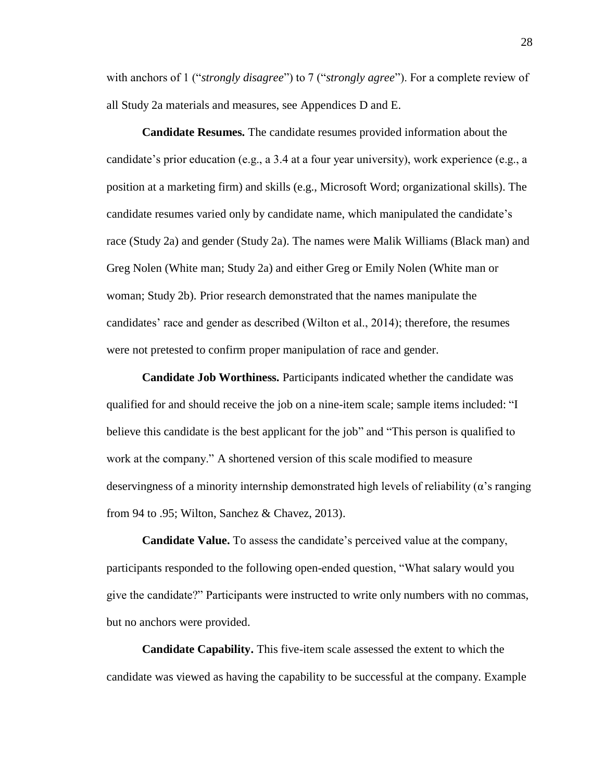with anchors of 1 ("*strongly disagree*") to 7 ("*strongly agree*"). For a complete review of all Study 2a materials and measures, see Appendices D and E.

**Candidate Resumes.** The candidate resumes provided information about the candidate's prior education (e.g., a 3.4 at a four year university), work experience (e.g., a position at a marketing firm) and skills (e.g., Microsoft Word; organizational skills). The candidate resumes varied only by candidate name, which manipulated the candidate's race (Study 2a) and gender (Study 2a). The names were Malik Williams (Black man) and Greg Nolen (White man; Study 2a) and either Greg or Emily Nolen (White man or woman; Study 2b). Prior research demonstrated that the names manipulate the candidates' race and gender as described (Wilton et al., 2014); therefore, the resumes were not pretested to confirm proper manipulation of race and gender.

**Candidate Job Worthiness.** Participants indicated whether the candidate was qualified for and should receive the job on a nine-item scale; sample items included: "I believe this candidate is the best applicant for the job" and "This person is qualified to work at the company." A shortened version of this scale modified to measure deservingness of a minority internship demonstrated high levels of reliability ( $\alpha$ 's ranging from 94 to .95; Wilton, Sanchez & Chavez, 2013).

**Candidate Value.** To assess the candidate's perceived value at the company, participants responded to the following open-ended question, "What salary would you give the candidate?" Participants were instructed to write only numbers with no commas, but no anchors were provided.

**Candidate Capability.** This five-item scale assessed the extent to which the candidate was viewed as having the capability to be successful at the company. Example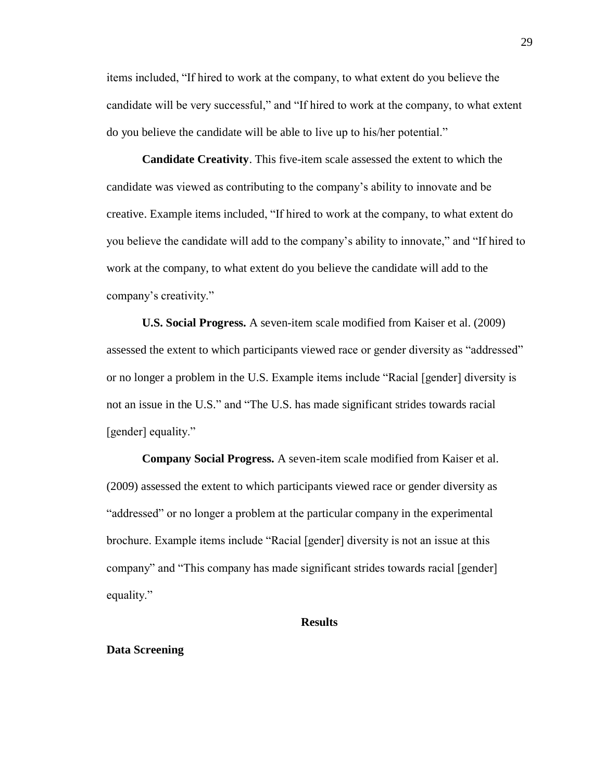items included, "If hired to work at the company, to what extent do you believe the candidate will be very successful," and "If hired to work at the company, to what extent do you believe the candidate will be able to live up to his/her potential."

**Candidate Creativity**. This five-item scale assessed the extent to which the candidate was viewed as contributing to the company's ability to innovate and be creative. Example items included, "If hired to work at the company, to what extent do you believe the candidate will add to the company's ability to innovate," and "If hired to work at the company, to what extent do you believe the candidate will add to the company's creativity."

**U.S. Social Progress.** A seven-item scale modified from Kaiser et al. (2009) assessed the extent to which participants viewed race or gender diversity as "addressed" or no longer a problem in the U.S. Example items include "Racial [gender] diversity is not an issue in the U.S." and "The U.S. has made significant strides towards racial [gender] equality."

**Company Social Progress.** A seven-item scale modified from Kaiser et al. (2009) assessed the extent to which participants viewed race or gender diversity as "addressed" or no longer a problem at the particular company in the experimental brochure. Example items include "Racial [gender] diversity is not an issue at this company" and "This company has made significant strides towards racial [gender] equality."

#### **Results**

### **Data Screening**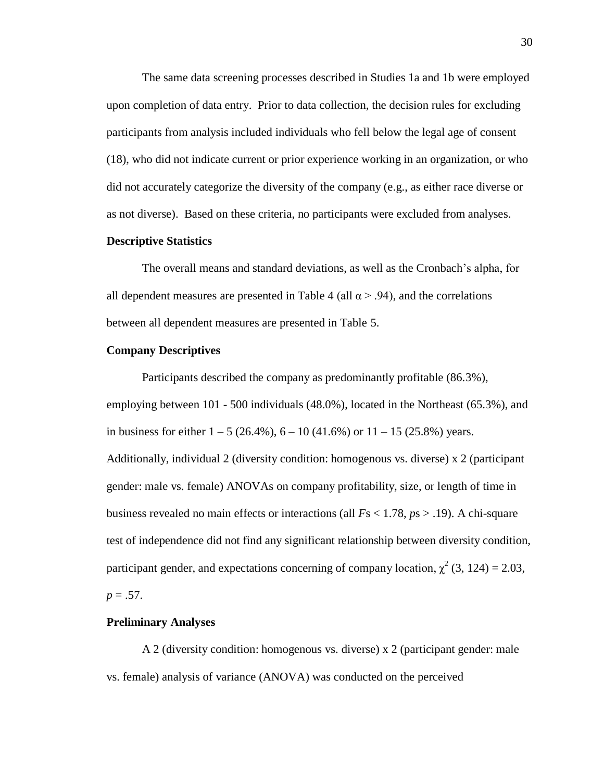The same data screening processes described in Studies 1a and 1b were employed upon completion of data entry. Prior to data collection, the decision rules for excluding participants from analysis included individuals who fell below the legal age of consent (18), who did not indicate current or prior experience working in an organization, or who did not accurately categorize the diversity of the company (e.g., as either race diverse or as not diverse). Based on these criteria, no participants were excluded from analyses.

## **Descriptive Statistics**

The overall means and standard deviations, as well as the Cronbach's alpha, for all dependent measures are presented in Table 4 (all  $\alpha$  > .94), and the correlations between all dependent measures are presented in Table 5.

#### **Company Descriptives**

Participants described the company as predominantly profitable (86.3%), employing between 101 - 500 individuals (48.0%), located in the Northeast (65.3%), and in business for either  $1 - 5 (26.4\%)$ ,  $6 - 10 (41.6\%)$  or  $11 - 15 (25.8\%)$  years. Additionally, individual 2 (diversity condition: homogenous vs. diverse) x 2 (participant gender: male vs. female) ANOVAs on company profitability, size, or length of time in business revealed no main effects or interactions (all *F*s < 1.78, *p*s > .19). A chi-square test of independence did not find any significant relationship between diversity condition, participant gender, and expectations concerning of company location,  $\chi^2$  (3, 124) = 2.03,  $p = .57$ .

#### **Preliminary Analyses**

A 2 (diversity condition: homogenous vs. diverse) x 2 (participant gender: male vs. female) analysis of variance (ANOVA) was conducted on the perceived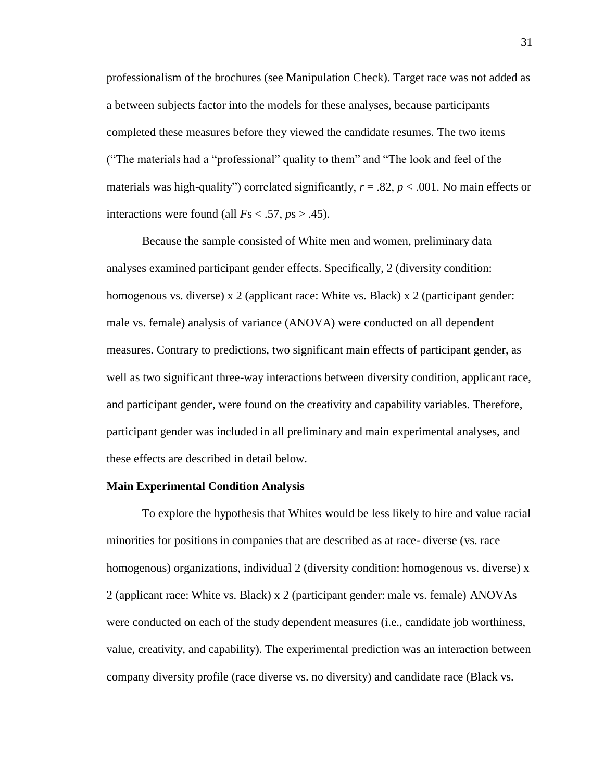professionalism of the brochures (see Manipulation Check). Target race was not added as a between subjects factor into the models for these analyses, because participants completed these measures before they viewed the candidate resumes. The two items ("The materials had a "professional" quality to them" and "The look and feel of the materials was high-quality") correlated significantly,  $r = .82$ ,  $p < .001$ . No main effects or interactions were found (all  $Fs < .57$ ,  $ps > .45$ ).

Because the sample consisted of White men and women, preliminary data analyses examined participant gender effects. Specifically, 2 (diversity condition: homogenous vs. diverse) x 2 (applicant race: White vs. Black) x 2 (participant gender: male vs. female) analysis of variance (ANOVA) were conducted on all dependent measures. Contrary to predictions, two significant main effects of participant gender, as well as two significant three-way interactions between diversity condition, applicant race, and participant gender, were found on the creativity and capability variables. Therefore, participant gender was included in all preliminary and main experimental analyses, and these effects are described in detail below.

## **Main Experimental Condition Analysis**

To explore the hypothesis that Whites would be less likely to hire and value racial minorities for positions in companies that are described as at race- diverse (vs. race homogenous) organizations, individual 2 (diversity condition: homogenous vs. diverse) x 2 (applicant race: White vs. Black) x 2 (participant gender: male vs. female) ANOVAs were conducted on each of the study dependent measures (i.e., candidate job worthiness, value, creativity, and capability). The experimental prediction was an interaction between company diversity profile (race diverse vs. no diversity) and candidate race (Black vs.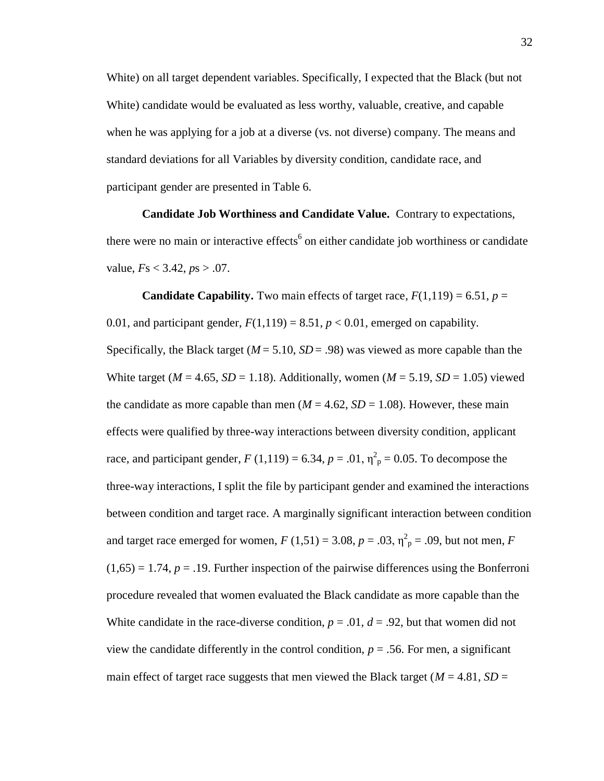White) on all target dependent variables. Specifically, I expected that the Black (but not White) candidate would be evaluated as less worthy, valuable, creative, and capable when he was applying for a job at a diverse (vs. not diverse) company. The means and standard deviations for all Variables by diversity condition, candidate race, and participant gender are presented in Table 6.

**Candidate Job Worthiness and Candidate Value.** Contrary to expectations, there were no main or interactive effects<sup>6</sup> on either candidate job worthiness or candidate value, *F*s < 3.42, *p*s > .07.

**Candidate Capability.** Two main effects of target race,  $F(1,119) = 6.51$ ,  $p =$ 0.01, and participant gender,  $F(1,119) = 8.51$ ,  $p < 0.01$ , emerged on capability. Specifically, the Black target ( $M = 5.10$ ,  $SD = .98$ ) was viewed as more capable than the White target ( $M = 4.65$ ,  $SD = 1.18$ ). Additionally, women ( $M = 5.19$ ,  $SD = 1.05$ ) viewed the candidate as more capable than men ( $M = 4.62$ ,  $SD = 1.08$ ). However, these main effects were qualified by three-way interactions between diversity condition, applicant race, and participant gender,  $F(1,119) = 6.34$ ,  $p = .01$ ,  $\eta_p^2 = 0.05$ . To decompose the three-way interactions, I split the file by participant gender and examined the interactions between condition and target race. A marginally significant interaction between condition and target race emerged for women,  $F(1,51) = 3.08$ ,  $p = .03$ ,  $\eta_{p}^{2} = .09$ , but not men, *F*  $(1,65) = 1.74$ ,  $p = .19$ . Further inspection of the pairwise differences using the Bonferroni procedure revealed that women evaluated the Black candidate as more capable than the White candidate in the race-diverse condition,  $p = .01$ ,  $d = .92$ , but that women did not view the candidate differently in the control condition,  $p = .56$ . For men, a significant main effect of target race suggests that men viewed the Black target ( $M = 4.81$ ,  $SD =$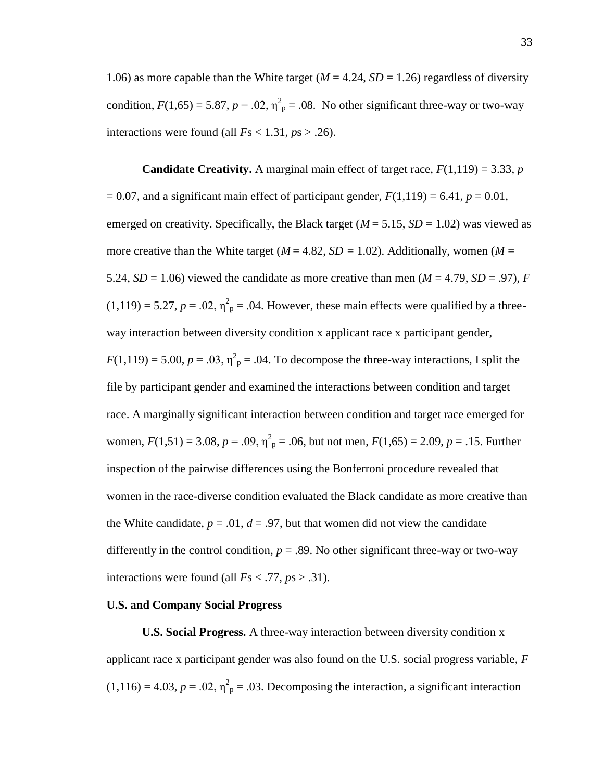1.06) as more capable than the White target ( $M = 4.24$ ,  $SD = 1.26$ ) regardless of diversity condition,  $F(1,65) = 5.87$ ,  $p = .02$ ,  $\eta_p^2 = .08$ . No other significant three-way or two-way interactions were found (all  $Fs < 1.31$ ,  $ps > .26$ ).

**Candidate Creativity.** A marginal main effect of target race,  $F(1,119) = 3.33$ , *p*  $= 0.07$ , and a significant main effect of participant gender,  $F(1,119) = 6.41$ ,  $p = 0.01$ , emerged on creativity. Specifically, the Black target ( $M = 5.15$ ,  $SD = 1.02$ ) was viewed as more creative than the White target ( $M = 4.82$ ,  $SD = 1.02$ ). Additionally, women ( $M =$ 5.24,  $SD = 1.06$ ) viewed the candidate as more creative than men ( $M = 4.79$ ,  $SD = .97$ ), *F*  $(1,119) = 5.27, p = .02, \eta^2$ <sub>p</sub> = .04. However, these main effects were qualified by a threeway interaction between diversity condition x applicant race x participant gender,  $F(1,119) = 5.00, p = .03, \eta^2_p = .04$ . To decompose the three-way interactions, I split the file by participant gender and examined the interactions between condition and target race. A marginally significant interaction between condition and target race emerged for women,  $F(1,51) = 3.08$ ,  $p = .09$ ,  $\eta^2$ <sub>p</sub> = .06, but not men,  $F(1,65) = 2.09$ ,  $p = .15$ . Further inspection of the pairwise differences using the Bonferroni procedure revealed that women in the race-diverse condition evaluated the Black candidate as more creative than the White candidate,  $p = .01$ ,  $d = .97$ , but that women did not view the candidate differently in the control condition,  $p = 0.89$ . No other significant three-way or two-way interactions were found (all  $Fs < .77$ ,  $ps > .31$ ).

#### **U.S. and Company Social Progress**

**U.S. Social Progress.** A three-way interaction between diversity condition x applicant race x participant gender was also found on the U.S. social progress variable, *F*  $(1,116) = 4.03, p = .02, \eta^2$ <sub>p</sub> = .03. Decomposing the interaction, a significant interaction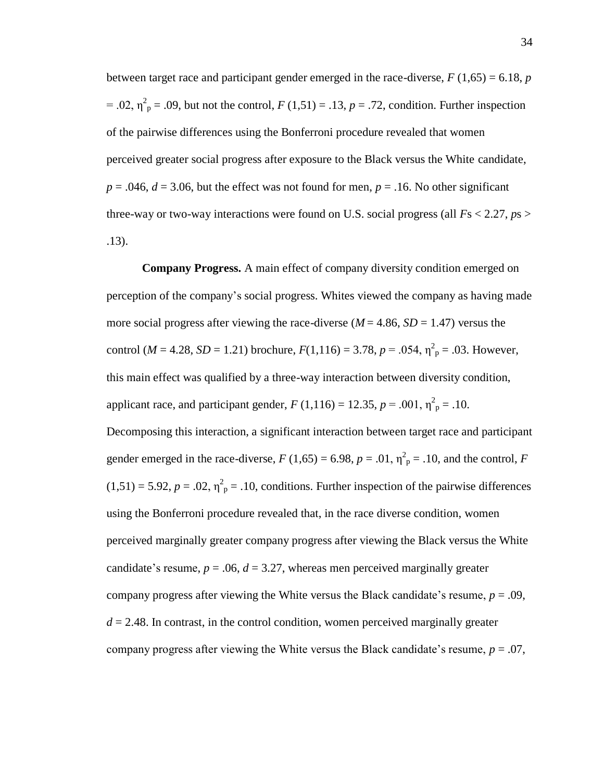between target race and participant gender emerged in the race-diverse,  $F(1,65) = 6.18$ ,  $p$  $= .02$ ,  $\eta_{\text{p}}^2 = .09$ , but not the control,  $F(1,51) = .13$ ,  $p = .72$ , condition. Further inspection of the pairwise differences using the Bonferroni procedure revealed that women perceived greater social progress after exposure to the Black versus the White candidate,  $p = .046$ ,  $d = 3.06$ , but the effect was not found for men,  $p = .16$ . No other significant three-way or two-way interactions were found on U.S. social progress (all *F*s < 2.27, *p*s > .13).

**Company Progress.** A main effect of company diversity condition emerged on perception of the company's social progress. Whites viewed the company as having made more social progress after viewing the race-diverse  $(M = 4.86, SD = 1.47)$  versus the control ( $M = 4.28$ ,  $SD = 1.21$ ) brochure,  $F(1,116) = 3.78$ ,  $p = .054$ ,  $\eta_{p}^{2} = .03$ . However, this main effect was qualified by a three-way interaction between diversity condition, applicant race, and participant gender,  $F(1,116) = 12.35, p = .001, \eta_{p}^{2} = .10$ . Decomposing this interaction, a significant interaction between target race and participant gender emerged in the race-diverse,  $F(1,65) = 6.98$ ,  $p = .01$ ,  $\eta_p^2 = .10$ , and the control,  $F$  $(1,51) = 5.92$ ,  $p = .02$ ,  $\eta^2$ <sub>p</sub> = .10, conditions. Further inspection of the pairwise differences using the Bonferroni procedure revealed that, in the race diverse condition, women perceived marginally greater company progress after viewing the Black versus the White candidate's resume,  $p = .06$ ,  $d = 3.27$ , whereas men perceived marginally greater company progress after viewing the White versus the Black candidate's resume,  $p = .09$ ,  $d = 2.48$ . In contrast, in the control condition, women perceived marginally greater company progress after viewing the White versus the Black candidate's resume, *p* = .07,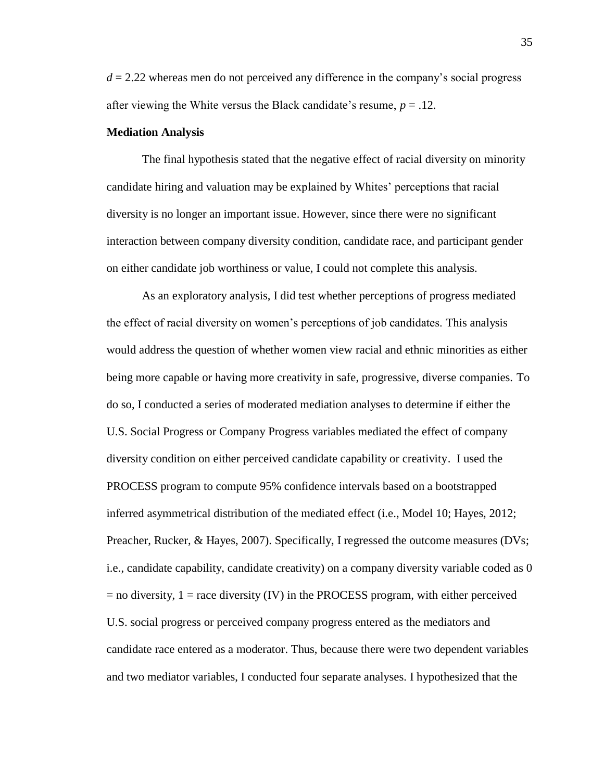$d = 2.22$  whereas men do not perceived any difference in the company's social progress after viewing the White versus the Black candidate's resume,  $p = .12$ .

## **Mediation Analysis**

The final hypothesis stated that the negative effect of racial diversity on minority candidate hiring and valuation may be explained by Whites' perceptions that racial diversity is no longer an important issue. However, since there were no significant interaction between company diversity condition, candidate race, and participant gender on either candidate job worthiness or value, I could not complete this analysis.

As an exploratory analysis, I did test whether perceptions of progress mediated the effect of racial diversity on women's perceptions of job candidates. This analysis would address the question of whether women view racial and ethnic minorities as either being more capable or having more creativity in safe, progressive, diverse companies. To do so, I conducted a series of moderated mediation analyses to determine if either the U.S. Social Progress or Company Progress variables mediated the effect of company diversity condition on either perceived candidate capability or creativity. I used the PROCESS program to compute 95% confidence intervals based on a bootstrapped inferred asymmetrical distribution of the mediated effect (i.e., Model 10; Hayes, 2012; Preacher, Rucker, & Hayes, 2007). Specifically, I regressed the outcome measures (DVs; i.e., candidate capability, candidate creativity) on a company diversity variable coded as 0  $=$  no diversity,  $1 =$  race diversity (IV) in the PROCESS program, with either perceived U.S. social progress or perceived company progress entered as the mediators and candidate race entered as a moderator. Thus, because there were two dependent variables and two mediator variables, I conducted four separate analyses. I hypothesized that the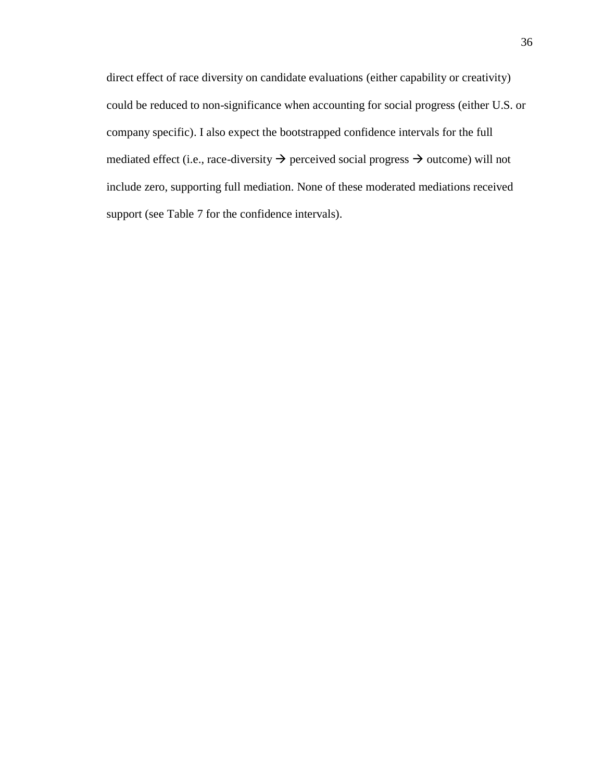direct effect of race diversity on candidate evaluations (either capability or creativity) could be reduced to non-significance when accounting for social progress (either U.S. or company specific). I also expect the bootstrapped confidence intervals for the full mediated effect (i.e., race-diversity  $\rightarrow$  perceived social progress  $\rightarrow$  outcome) will not include zero, supporting full mediation. None of these moderated mediations received support (see Table 7 for the confidence intervals).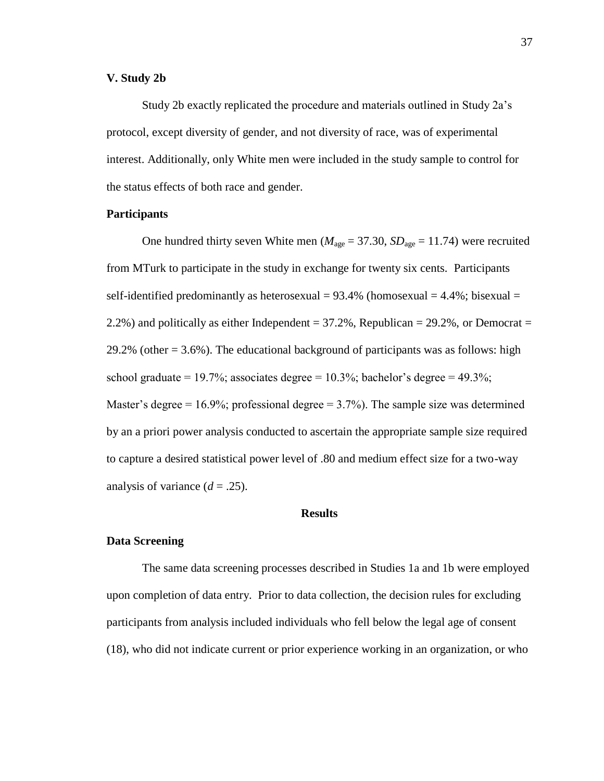## **V. Study 2b**

Study 2b exactly replicated the procedure and materials outlined in Study 2a's protocol, except diversity of gender, and not diversity of race, was of experimental interest. Additionally, only White men were included in the study sample to control for the status effects of both race and gender.

## **Participants**

One hundred thirty seven White men ( $M_{\text{age}} = 37.30$ ,  $SD_{\text{age}} = 11.74$ ) were recruited from MTurk to participate in the study in exchange for twenty six cents. Participants self-identified predominantly as heterosexual =  $93.4\%$  (homosexual =  $4.4\%$ ; bisexual = 2.2%) and politically as either Independent =  $37.2\%$ , Republican =  $29.2\%$ , or Democrat = 29.2% (other = 3.6%). The educational background of participants was as follows: high school graduate = 19.7%; associates degree = 10.3%; bachelor's degree = 49.3%; Master's degree =  $16.9\%$ ; professional degree =  $3.7\%$ ). The sample size was determined by an a priori power analysis conducted to ascertain the appropriate sample size required to capture a desired statistical power level of .80 and medium effect size for a two-way analysis of variance  $(d = .25)$ .

## **Results**

#### **Data Screening**

The same data screening processes described in Studies 1a and 1b were employed upon completion of data entry. Prior to data collection, the decision rules for excluding participants from analysis included individuals who fell below the legal age of consent (18), who did not indicate current or prior experience working in an organization, or who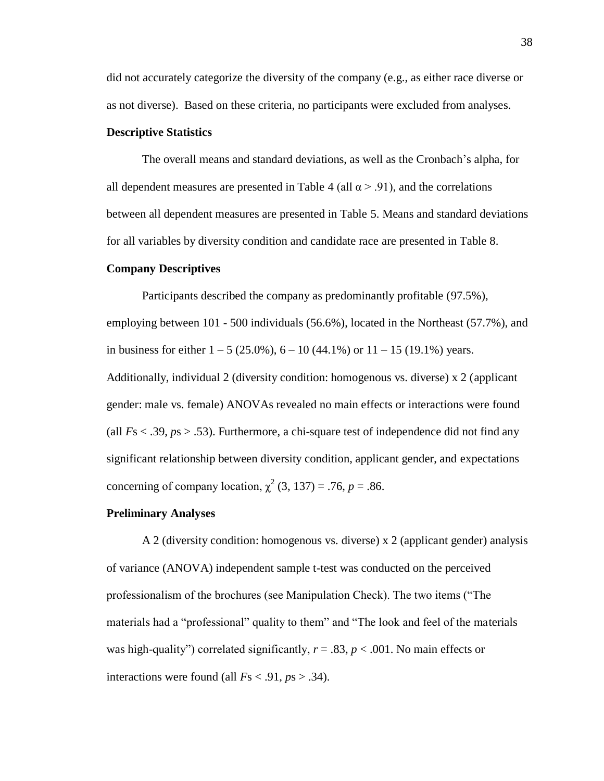did not accurately categorize the diversity of the company (e.g., as either race diverse or as not diverse). Based on these criteria, no participants were excluded from analyses.

## **Descriptive Statistics**

The overall means and standard deviations, as well as the Cronbach's alpha, for all dependent measures are presented in Table 4 (all  $\alpha$  > .91), and the correlations between all dependent measures are presented in Table 5. Means and standard deviations for all variables by diversity condition and candidate race are presented in Table 8.

#### **Company Descriptives**

Participants described the company as predominantly profitable (97.5%), employing between 101 - 500 individuals (56.6%), located in the Northeast (57.7%), and in business for either  $1 - 5 (25.0\%)$ ,  $6 - 10 (44.1\%)$  or  $11 - 15 (19.1\%)$  years. Additionally, individual 2 (diversity condition: homogenous vs. diverse) x 2 (applicant gender: male vs. female) ANOVAs revealed no main effects or interactions were found (all  $Fs < .39$ ,  $ps > .53$ ). Furthermore, a chi-square test of independence did not find any significant relationship between diversity condition, applicant gender, and expectations concerning of company location,  $\chi^2$  (3, 137) = .76, p = .86.

#### **Preliminary Analyses**

A 2 (diversity condition: homogenous vs. diverse) x 2 (applicant gender) analysis of variance (ANOVA) independent sample t-test was conducted on the perceived professionalism of the brochures (see Manipulation Check). The two items ("The materials had a "professional" quality to them" and "The look and feel of the materials was high-quality") correlated significantly,  $r = .83$ ,  $p < .001$ . No main effects or interactions were found (all  $Fs < .91, ps > .34$ ).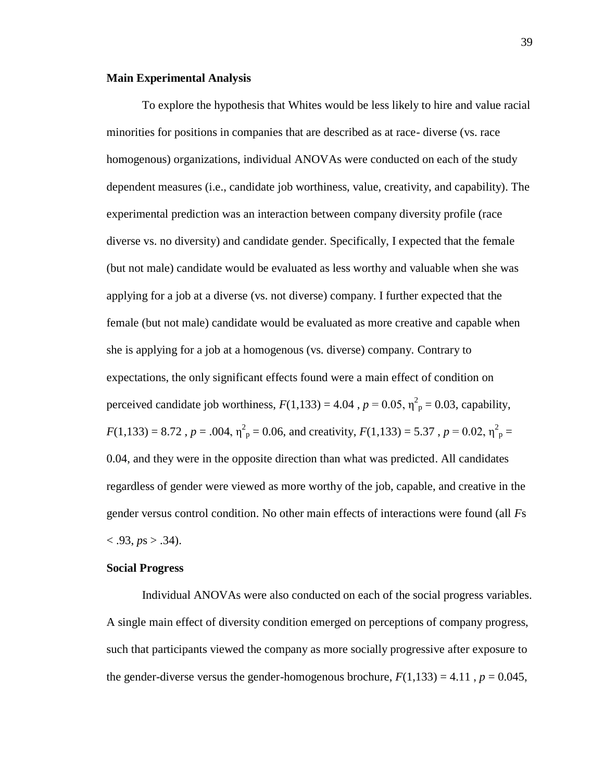## **Main Experimental Analysis**

To explore the hypothesis that Whites would be less likely to hire and value racial minorities for positions in companies that are described as at race- diverse (vs. race homogenous) organizations, individual ANOVAs were conducted on each of the study dependent measures (i.e., candidate job worthiness, value, creativity, and capability). The experimental prediction was an interaction between company diversity profile (race diverse vs. no diversity) and candidate gender. Specifically, I expected that the female (but not male) candidate would be evaluated as less worthy and valuable when she was applying for a job at a diverse (vs. not diverse) company. I further expected that the female (but not male) candidate would be evaluated as more creative and capable when she is applying for a job at a homogenous (vs. diverse) company. Contrary to expectations, the only significant effects found were a main effect of condition on perceived candidate job worthiness,  $F(1,133) = 4.04$ ,  $p = 0.05$ ,  $\eta_p^2 = 0.03$ , capability,  $F(1,133) = 8.72$ ,  $p = .004$ ,  $\eta_p^2 = 0.06$ , and creativity,  $F(1,133) = 5.37$ ,  $p = 0.02$ ,  $\eta_p^2 =$ 0.04, and they were in the opposite direction than what was predicted. All candidates regardless of gender were viewed as more worthy of the job, capable, and creative in the gender versus control condition. No other main effects of interactions were found (all *F*s  $< .93, ps > .34$ ).

#### **Social Progress**

Individual ANOVAs were also conducted on each of the social progress variables. A single main effect of diversity condition emerged on perceptions of company progress, such that participants viewed the company as more socially progressive after exposure to the gender-diverse versus the gender-homogenous brochure,  $F(1,133) = 4.11$ ,  $p = 0.045$ ,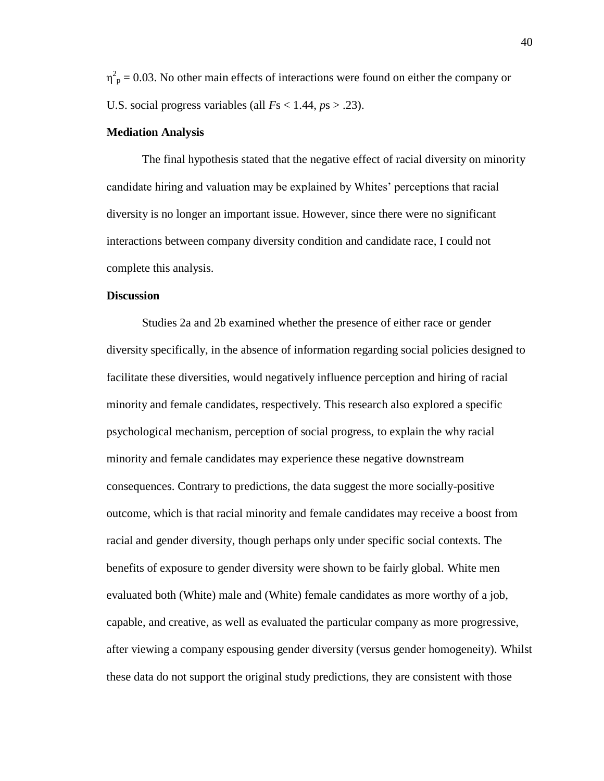$\eta_{\text{p}}^2 = 0.03$ . No other main effects of interactions were found on either the company or U.S. social progress variables (all *F*s < 1.44, *p*s > .23).

#### **Mediation Analysis**

The final hypothesis stated that the negative effect of racial diversity on minority candidate hiring and valuation may be explained by Whites' perceptions that racial diversity is no longer an important issue. However, since there were no significant interactions between company diversity condition and candidate race, I could not complete this analysis.

### **Discussion**

Studies 2a and 2b examined whether the presence of either race or gender diversity specifically, in the absence of information regarding social policies designed to facilitate these diversities, would negatively influence perception and hiring of racial minority and female candidates, respectively. This research also explored a specific psychological mechanism, perception of social progress, to explain the why racial minority and female candidates may experience these negative downstream consequences. Contrary to predictions, the data suggest the more socially-positive outcome, which is that racial minority and female candidates may receive a boost from racial and gender diversity, though perhaps only under specific social contexts. The benefits of exposure to gender diversity were shown to be fairly global. White men evaluated both (White) male and (White) female candidates as more worthy of a job, capable, and creative, as well as evaluated the particular company as more progressive, after viewing a company espousing gender diversity (versus gender homogeneity). Whilst these data do not support the original study predictions, they are consistent with those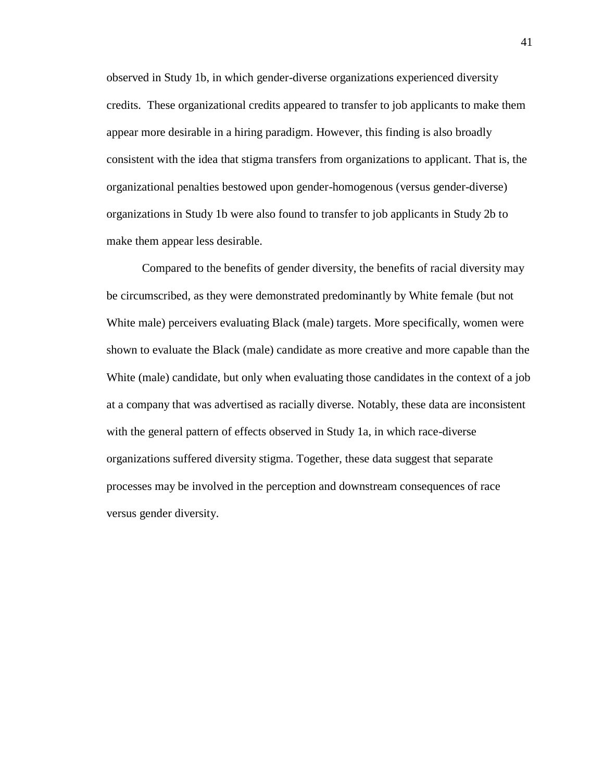observed in Study 1b, in which gender-diverse organizations experienced diversity credits. These organizational credits appeared to transfer to job applicants to make them appear more desirable in a hiring paradigm. However, this finding is also broadly consistent with the idea that stigma transfers from organizations to applicant. That is, the organizational penalties bestowed upon gender-homogenous (versus gender-diverse) organizations in Study 1b were also found to transfer to job applicants in Study 2b to make them appear less desirable.

Compared to the benefits of gender diversity, the benefits of racial diversity may be circumscribed, as they were demonstrated predominantly by White female (but not White male) perceivers evaluating Black (male) targets. More specifically, women were shown to evaluate the Black (male) candidate as more creative and more capable than the White (male) candidate, but only when evaluating those candidates in the context of a job at a company that was advertised as racially diverse. Notably, these data are inconsistent with the general pattern of effects observed in Study 1a, in which race-diverse organizations suffered diversity stigma. Together, these data suggest that separate processes may be involved in the perception and downstream consequences of race versus gender diversity.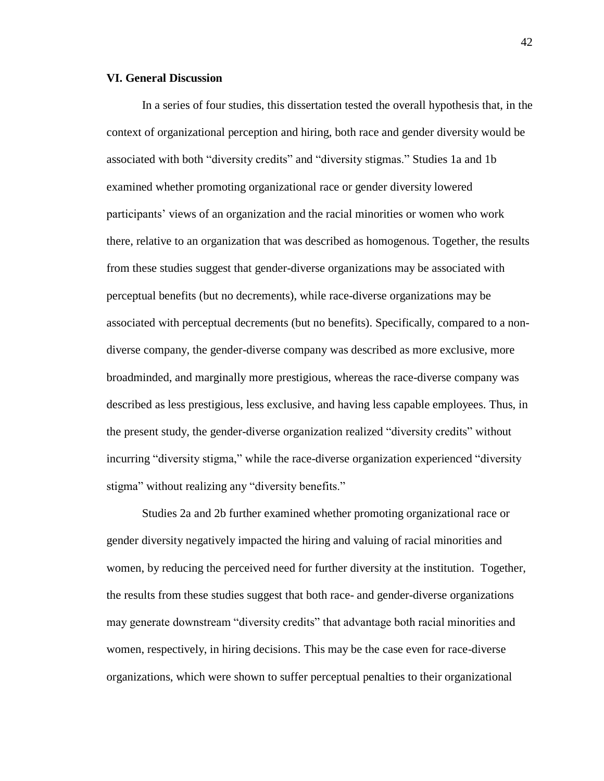## **VI. General Discussion**

In a series of four studies, this dissertation tested the overall hypothesis that, in the context of organizational perception and hiring, both race and gender diversity would be associated with both "diversity credits" and "diversity stigmas." Studies 1a and 1b examined whether promoting organizational race or gender diversity lowered participants' views of an organization and the racial minorities or women who work there, relative to an organization that was described as homogenous. Together, the results from these studies suggest that gender-diverse organizations may be associated with perceptual benefits (but no decrements), while race-diverse organizations may be associated with perceptual decrements (but no benefits). Specifically, compared to a nondiverse company, the gender-diverse company was described as more exclusive, more broadminded, and marginally more prestigious, whereas the race-diverse company was described as less prestigious, less exclusive, and having less capable employees. Thus, in the present study, the gender-diverse organization realized "diversity credits" without incurring "diversity stigma," while the race-diverse organization experienced "diversity stigma" without realizing any "diversity benefits."

Studies 2a and 2b further examined whether promoting organizational race or gender diversity negatively impacted the hiring and valuing of racial minorities and women, by reducing the perceived need for further diversity at the institution. Together, the results from these studies suggest that both race- and gender-diverse organizations may generate downstream "diversity credits" that advantage both racial minorities and women, respectively, in hiring decisions. This may be the case even for race-diverse organizations, which were shown to suffer perceptual penalties to their organizational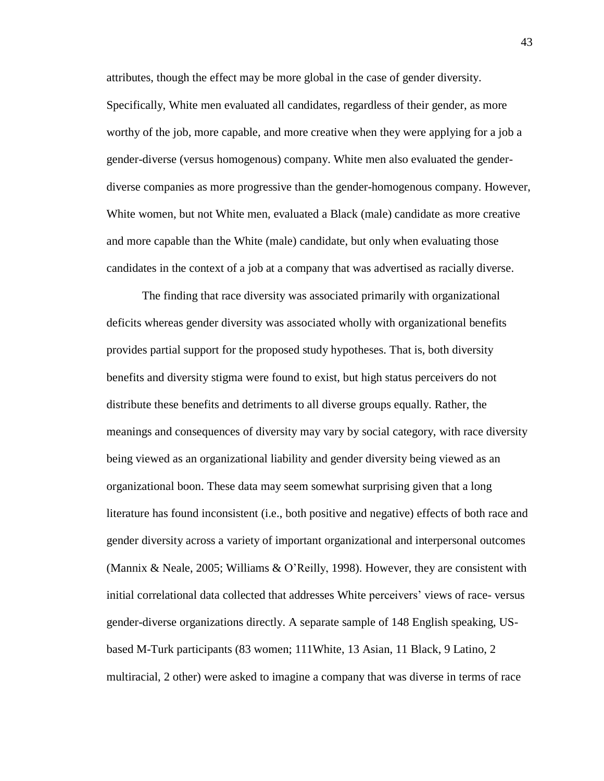attributes, though the effect may be more global in the case of gender diversity. Specifically, White men evaluated all candidates, regardless of their gender, as more worthy of the job, more capable, and more creative when they were applying for a job a gender-diverse (versus homogenous) company. White men also evaluated the genderdiverse companies as more progressive than the gender-homogenous company. However, White women, but not White men, evaluated a Black (male) candidate as more creative and more capable than the White (male) candidate, but only when evaluating those candidates in the context of a job at a company that was advertised as racially diverse.

The finding that race diversity was associated primarily with organizational deficits whereas gender diversity was associated wholly with organizational benefits provides partial support for the proposed study hypotheses. That is, both diversity benefits and diversity stigma were found to exist, but high status perceivers do not distribute these benefits and detriments to all diverse groups equally. Rather, the meanings and consequences of diversity may vary by social category, with race diversity being viewed as an organizational liability and gender diversity being viewed as an organizational boon. These data may seem somewhat surprising given that a long literature has found inconsistent (i.e., both positive and negative) effects of both race and gender diversity across a variety of important organizational and interpersonal outcomes (Mannix & Neale, 2005; Williams & O'Reilly, 1998). However, they are consistent with initial correlational data collected that addresses White perceivers' views of race- versus gender-diverse organizations directly. A separate sample of 148 English speaking, USbased M-Turk participants (83 women; 111White, 13 Asian, 11 Black, 9 Latino, 2 multiracial, 2 other) were asked to imagine a company that was diverse in terms of race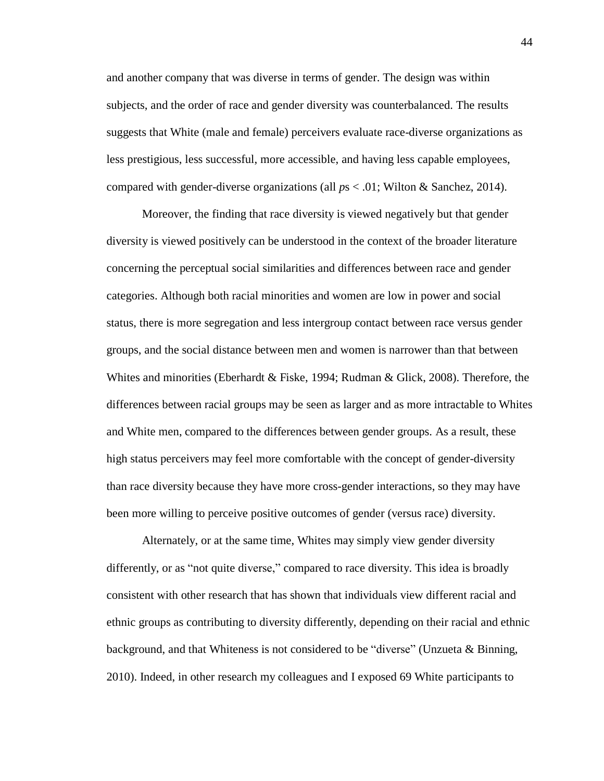and another company that was diverse in terms of gender. The design was within subjects, and the order of race and gender diversity was counterbalanced. The results suggests that White (male and female) perceivers evaluate race-diverse organizations as less prestigious, less successful, more accessible, and having less capable employees, compared with gender-diverse organizations (all *p*s < .01; Wilton & Sanchez, 2014).

Moreover, the finding that race diversity is viewed negatively but that gender diversity is viewed positively can be understood in the context of the broader literature concerning the perceptual social similarities and differences between race and gender categories. Although both racial minorities and women are low in power and social status, there is more segregation and less intergroup contact between race versus gender groups, and the social distance between men and women is narrower than that between Whites and minorities (Eberhardt & Fiske, 1994; Rudman & Glick, 2008). Therefore, the differences between racial groups may be seen as larger and as more intractable to Whites and White men, compared to the differences between gender groups. As a result, these high status perceivers may feel more comfortable with the concept of gender-diversity than race diversity because they have more cross-gender interactions, so they may have been more willing to perceive positive outcomes of gender (versus race) diversity.

Alternately, or at the same time, Whites may simply view gender diversity differently, or as "not quite diverse," compared to race diversity. This idea is broadly consistent with other research that has shown that individuals view different racial and ethnic groups as contributing to diversity differently, depending on their racial and ethnic background, and that Whiteness is not considered to be "diverse" (Unzueta & Binning, 2010). Indeed, in other research my colleagues and I exposed 69 White participants to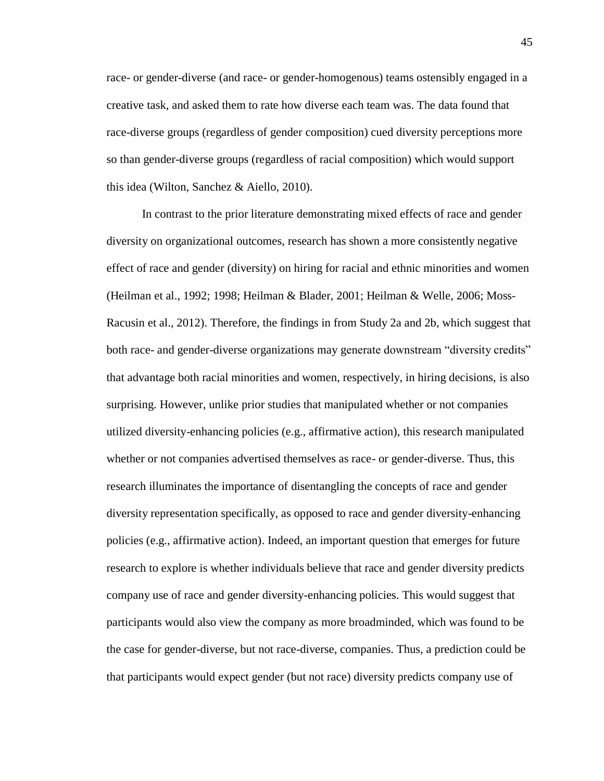race- or gender-diverse (and race- or gender-homogenous) teams ostensibly engaged in a creative task, and asked them to rate how diverse each team was. The data found that race-diverse groups (regardless of gender composition) cued diversity perceptions more so than gender-diverse groups (regardless of racial composition) which would support this idea (Wilton, Sanchez & Aiello, 2010).

In contrast to the prior literature demonstrating mixed effects of race and gender diversity on organizational outcomes, research has shown a more consistently negative effect of race and gender (diversity) on hiring for racial and ethnic minorities and women (Heilman et al., 1992; 1998; Heilman & Blader, 2001; Heilman & Welle, 2006; Moss-Racusin et al., 2012). Therefore, the findings in from Study 2a and 2b, which suggest that both race- and gender-diverse organizations may generate downstream "diversity credits" that advantage both racial minorities and women, respectively, in hiring decisions, is also surprising. However, unlike prior studies that manipulated whether or not companies utilized diversity-enhancing policies (e.g., affirmative action), this research manipulated whether or not companies advertised themselves as race- or gender-diverse. Thus, this research illuminates the importance of disentangling the concepts of race and gender diversity representation specifically, as opposed to race and gender diversity-enhancing policies (e.g., affirmative action). Indeed, an important question that emerges for future research to explore is whether individuals believe that race and gender diversity predicts company use of race and gender diversity-enhancing policies. This would suggest that participants would also view the company as more broadminded, which was found to be the case for gender-diverse, but not race-diverse, companies. Thus, a prediction could be that participants would expect gender (but not race) diversity predicts company use of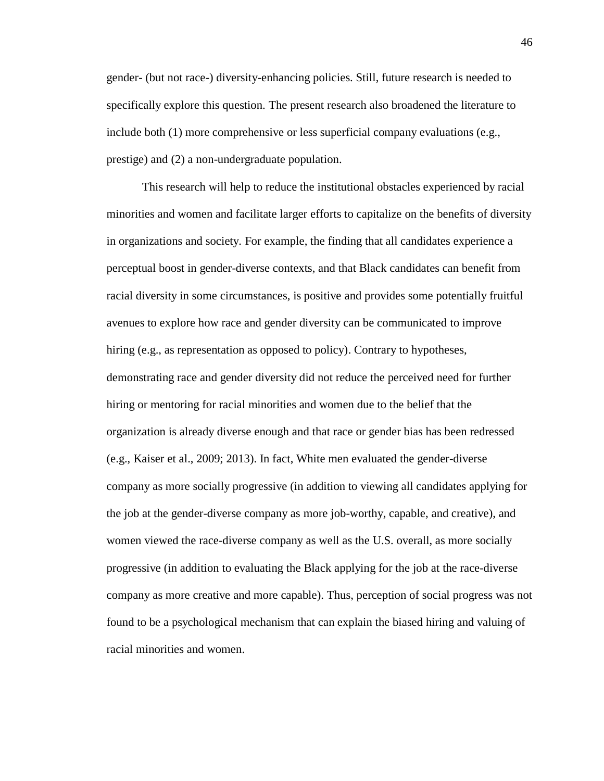gender- (but not race-) diversity-enhancing policies. Still, future research is needed to specifically explore this question. The present research also broadened the literature to include both (1) more comprehensive or less superficial company evaluations (e.g., prestige) and (2) a non-undergraduate population.

This research will help to reduce the institutional obstacles experienced by racial minorities and women and facilitate larger efforts to capitalize on the benefits of diversity in organizations and society. For example, the finding that all candidates experience a perceptual boost in gender-diverse contexts, and that Black candidates can benefit from racial diversity in some circumstances, is positive and provides some potentially fruitful avenues to explore how race and gender diversity can be communicated to improve hiring (e.g., as representation as opposed to policy). Contrary to hypotheses, demonstrating race and gender diversity did not reduce the perceived need for further hiring or mentoring for racial minorities and women due to the belief that the organization is already diverse enough and that race or gender bias has been redressed (e.g., Kaiser et al., 2009; 2013). In fact, White men evaluated the gender-diverse company as more socially progressive (in addition to viewing all candidates applying for the job at the gender-diverse company as more job-worthy, capable, and creative), and women viewed the race-diverse company as well as the U.S. overall, as more socially progressive (in addition to evaluating the Black applying for the job at the race-diverse company as more creative and more capable). Thus, perception of social progress was not found to be a psychological mechanism that can explain the biased hiring and valuing of racial minorities and women.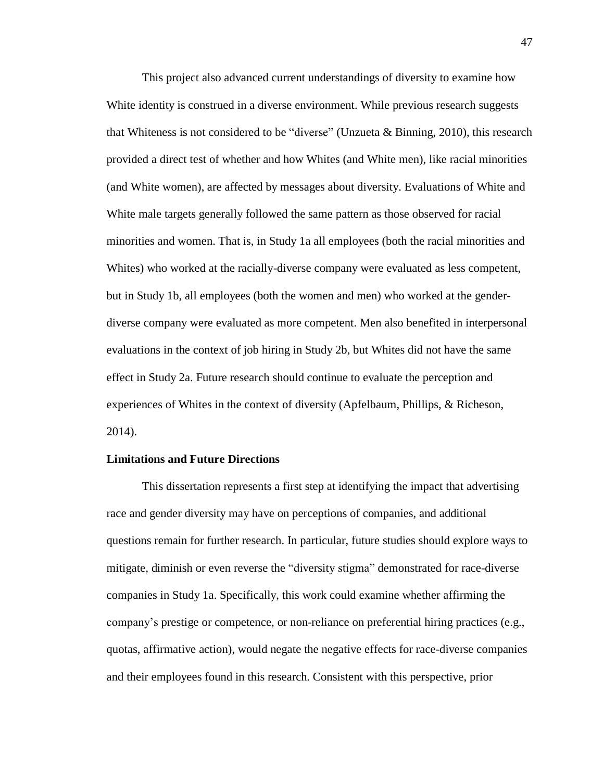This project also advanced current understandings of diversity to examine how White identity is construed in a diverse environment. While previous research suggests that Whiteness is not considered to be "diverse" (Unzueta & Binning, 2010), this research provided a direct test of whether and how Whites (and White men), like racial minorities (and White women), are affected by messages about diversity. Evaluations of White and White male targets generally followed the same pattern as those observed for racial minorities and women. That is, in Study 1a all employees (both the racial minorities and Whites) who worked at the racially-diverse company were evaluated as less competent, but in Study 1b, all employees (both the women and men) who worked at the genderdiverse company were evaluated as more competent. Men also benefited in interpersonal evaluations in the context of job hiring in Study 2b, but Whites did not have the same effect in Study 2a. Future research should continue to evaluate the perception and experiences of Whites in the context of diversity (Apfelbaum, Phillips, & Richeson, 2014).

## **Limitations and Future Directions**

This dissertation represents a first step at identifying the impact that advertising race and gender diversity may have on perceptions of companies, and additional questions remain for further research. In particular, future studies should explore ways to mitigate, diminish or even reverse the "diversity stigma" demonstrated for race-diverse companies in Study 1a. Specifically, this work could examine whether affirming the company's prestige or competence, or non-reliance on preferential hiring practices (e.g., quotas, affirmative action), would negate the negative effects for race-diverse companies and their employees found in this research. Consistent with this perspective, prior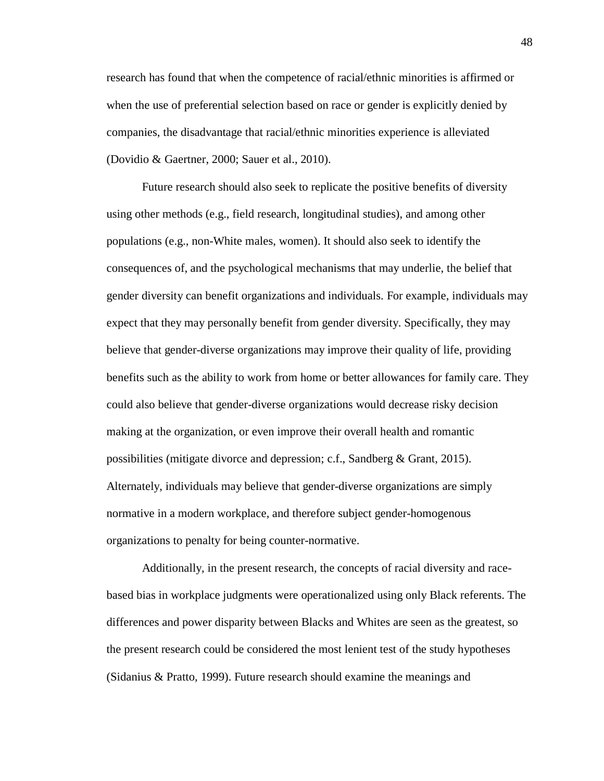research has found that when the competence of racial/ethnic minorities is affirmed or when the use of preferential selection based on race or gender is explicitly denied by companies, the disadvantage that racial/ethnic minorities experience is alleviated (Dovidio & Gaertner, 2000; Sauer et al., 2010).

Future research should also seek to replicate the positive benefits of diversity using other methods (e.g., field research, longitudinal studies), and among other populations (e.g., non-White males, women). It should also seek to identify the consequences of, and the psychological mechanisms that may underlie, the belief that gender diversity can benefit organizations and individuals. For example, individuals may expect that they may personally benefit from gender diversity. Specifically, they may believe that gender-diverse organizations may improve their quality of life, providing benefits such as the ability to work from home or better allowances for family care. They could also believe that gender-diverse organizations would decrease risky decision making at the organization, or even improve their overall health and romantic possibilities (mitigate divorce and depression; c.f., Sandberg & Grant, 2015). Alternately, individuals may believe that gender-diverse organizations are simply normative in a modern workplace, and therefore subject gender-homogenous organizations to penalty for being counter-normative.

Additionally, in the present research, the concepts of racial diversity and racebased bias in workplace judgments were operationalized using only Black referents. The differences and power disparity between Blacks and Whites are seen as the greatest, so the present research could be considered the most lenient test of the study hypotheses (Sidanius & Pratto, 1999). Future research should examine the meanings and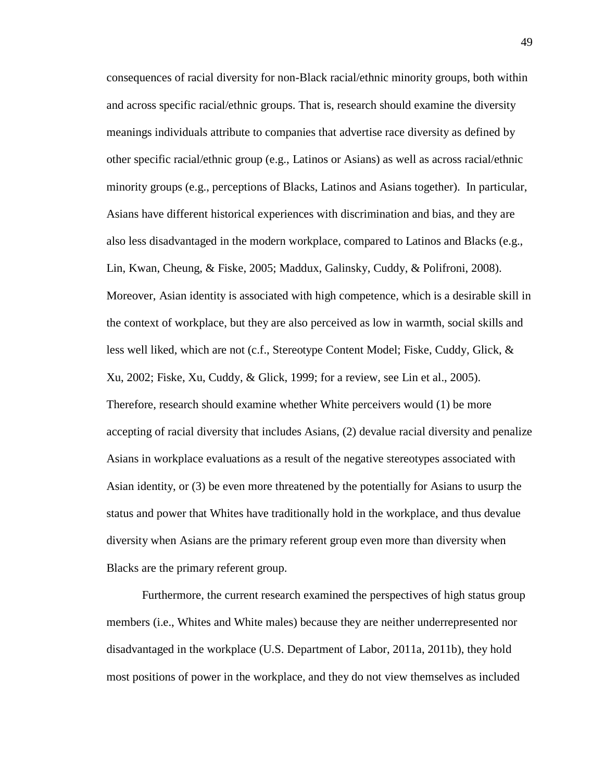consequences of racial diversity for non-Black racial/ethnic minority groups, both within and across specific racial/ethnic groups. That is, research should examine the diversity meanings individuals attribute to companies that advertise race diversity as defined by other specific racial/ethnic group (e.g., Latinos or Asians) as well as across racial/ethnic minority groups (e.g., perceptions of Blacks, Latinos and Asians together). In particular, Asians have different historical experiences with discrimination and bias, and they are also less disadvantaged in the modern workplace, compared to Latinos and Blacks (e.g., Lin, Kwan, Cheung, & Fiske, 2005; Maddux, Galinsky, Cuddy, & Polifroni, 2008). Moreover, Asian identity is associated with high competence, which is a desirable skill in the context of workplace, but they are also perceived as low in warmth, social skills and less well liked, which are not (c.f., Stereotype Content Model; Fiske, Cuddy, Glick, & Xu, 2002; Fiske, Xu, Cuddy, & Glick, 1999; for a review, see Lin et al., 2005). Therefore, research should examine whether White perceivers would (1) be more accepting of racial diversity that includes Asians, (2) devalue racial diversity and penalize Asians in workplace evaluations as a result of the negative stereotypes associated with Asian identity, or (3) be even more threatened by the potentially for Asians to usurp the status and power that Whites have traditionally hold in the workplace, and thus devalue diversity when Asians are the primary referent group even more than diversity when Blacks are the primary referent group.

Furthermore, the current research examined the perspectives of high status group members (i.e., Whites and White males) because they are neither underrepresented nor disadvantaged in the workplace (U.S. Department of Labor, 2011a, 2011b), they hold most positions of power in the workplace, and they do not view themselves as included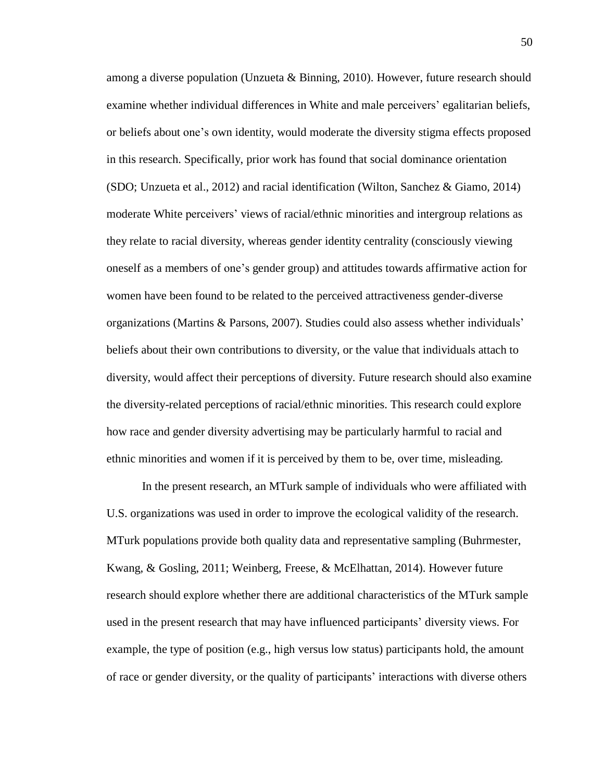among a diverse population (Unzueta & Binning, 2010). However, future research should examine whether individual differences in White and male perceivers' egalitarian beliefs, or beliefs about one's own identity, would moderate the diversity stigma effects proposed in this research. Specifically, prior work has found that social dominance orientation (SDO; Unzueta et al., 2012) and racial identification (Wilton, Sanchez & Giamo, 2014) moderate White perceivers' views of racial/ethnic minorities and intergroup relations as they relate to racial diversity, whereas gender identity centrality (consciously viewing oneself as a members of one's gender group) and attitudes towards affirmative action for women have been found to be related to the perceived attractiveness gender-diverse organizations (Martins & Parsons, 2007). Studies could also assess whether individuals' beliefs about their own contributions to diversity, or the value that individuals attach to diversity, would affect their perceptions of diversity. Future research should also examine the diversity-related perceptions of racial/ethnic minorities. This research could explore how race and gender diversity advertising may be particularly harmful to racial and ethnic minorities and women if it is perceived by them to be, over time, misleading.

In the present research, an MTurk sample of individuals who were affiliated with U.S. organizations was used in order to improve the ecological validity of the research. MTurk populations provide both quality data and representative sampling (Buhrmester, Kwang, & Gosling, 2011; Weinberg, Freese, & McElhattan, 2014). However future research should explore whether there are additional characteristics of the MTurk sample used in the present research that may have influenced participants' diversity views. For example, the type of position (e.g., high versus low status) participants hold, the amount of race or gender diversity, or the quality of participants' interactions with diverse others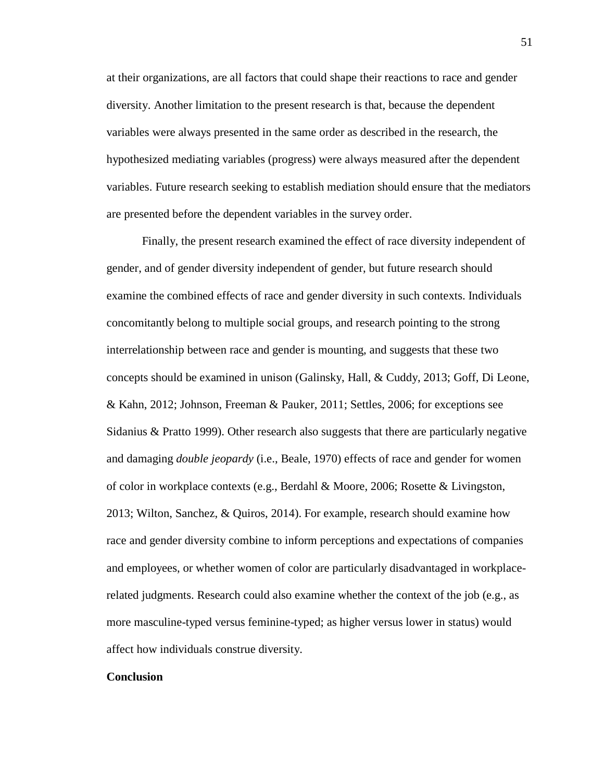at their organizations, are all factors that could shape their reactions to race and gender diversity. Another limitation to the present research is that, because the dependent variables were always presented in the same order as described in the research, the hypothesized mediating variables (progress) were always measured after the dependent variables. Future research seeking to establish mediation should ensure that the mediators are presented before the dependent variables in the survey order.

Finally, the present research examined the effect of race diversity independent of gender, and of gender diversity independent of gender, but future research should examine the combined effects of race and gender diversity in such contexts. Individuals concomitantly belong to multiple social groups, and research pointing to the strong interrelationship between race and gender is mounting, and suggests that these two concepts should be examined in unison (Galinsky, Hall, & Cuddy, 2013; Goff, Di Leone, & Kahn, 2012; Johnson, Freeman & Pauker, 2011; Settles, 2006; for exceptions see Sidanius  $\&$  Pratto 1999). Other research also suggests that there are particularly negative and damaging *double jeopardy* (i.e., Beale, 1970) effects of race and gender for women of color in workplace contexts (e.g., Berdahl & Moore, 2006; Rosette & Livingston, 2013; Wilton, Sanchez, & Quiros, 2014). For example, research should examine how race and gender diversity combine to inform perceptions and expectations of companies and employees, or whether women of color are particularly disadvantaged in workplacerelated judgments. Research could also examine whether the context of the job (e.g., as more masculine-typed versus feminine-typed; as higher versus lower in status) would affect how individuals construe diversity.

#### **Conclusion**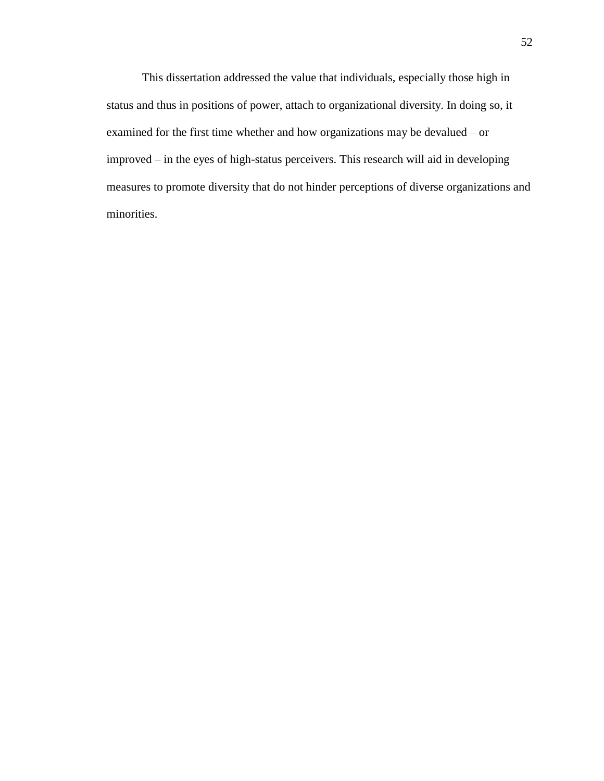This dissertation addressed the value that individuals, especially those high in status and thus in positions of power, attach to organizational diversity. In doing so, it examined for the first time whether and how organizations may be devalued – or improved – in the eyes of high-status perceivers. This research will aid in developing measures to promote diversity that do not hinder perceptions of diverse organizations and minorities.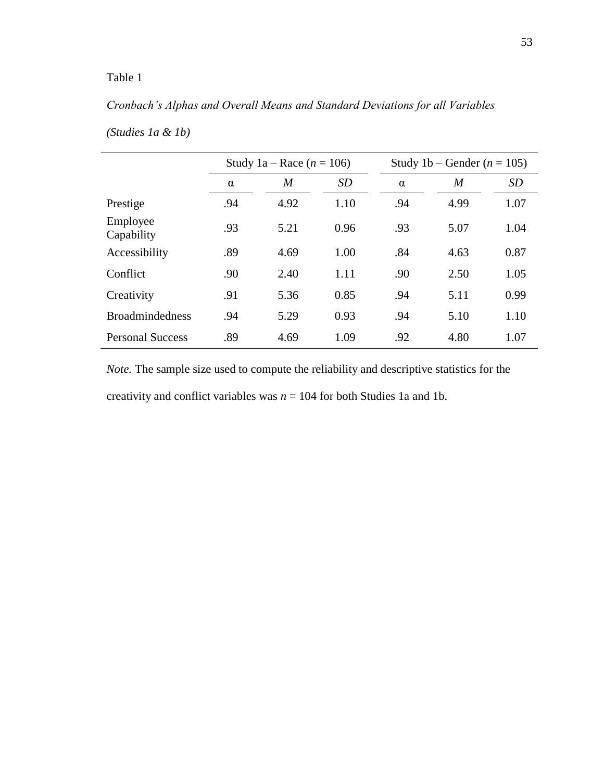## *Cronbach's Alphas and Overall Means and Standard Deviations for all Variables*

|                         |          | Study 1a – Race $(n = 106)$ |           | Study 1b – Gender ( $n = 105$ ) |      |           |  |  |
|-------------------------|----------|-----------------------------|-----------|---------------------------------|------|-----------|--|--|
|                         | $\alpha$ | M                           | <b>SD</b> | $\alpha$                        | M    | <b>SD</b> |  |  |
| Prestige                | .94      | 4.92                        | 1.10      | .94                             | 4.99 | 1.07      |  |  |
| Employee<br>Capability  | .93      | 5.21                        | 0.96      | .93                             | 5.07 | 1.04      |  |  |
| Accessibility           | .89      | 4.69                        | 1.00      | .84                             | 4.63 | 0.87      |  |  |
| Conflict                | .90      | 2.40                        | 1.11      | .90                             | 2.50 | 1.05      |  |  |
| Creativity              | .91      | 5.36                        | 0.85      | .94                             | 5.11 | 0.99      |  |  |
| <b>Broadmindedness</b>  | .94      | 5.29                        | 0.93      | .94                             | 5.10 | 1.10      |  |  |
| <b>Personal Success</b> | .89      | 4.69                        | 1.09      | .92                             | 4.80 | 1.07      |  |  |

## *(Studies 1a & 1b)*

*Note.* The sample size used to compute the reliability and descriptive statistics for the creativity and conflict variables was *n* = 104 for both Studies 1a and 1b.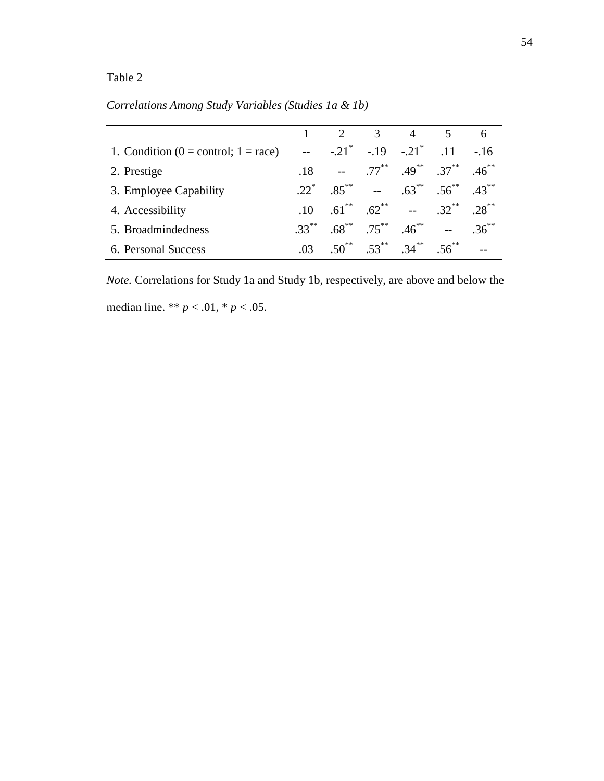|                                           |                 | 2 <sup>1</sup>      | $\mathcal{R}$         |                         |                                       |           |
|-------------------------------------------|-----------------|---------------------|-----------------------|-------------------------|---------------------------------------|-----------|
| 1. Condition ( $0 =$ control; $1 =$ race) |                 | $-.21$ <sup>*</sup> | $-19$                 | $-.21$ <sup>*</sup>     | .11                                   | $-16$     |
| 2. Prestige                               | .18             |                     |                       |                         | $-5$ $.77^{**}$ $.49^{**}$ $.37^{**}$ | $46^{**}$ |
| 3. Employee Capability                    | $22^*$          |                     | $85^{**}$ --          |                         | $.63^{**}$ $.56^{**}$                 | $.43***$  |
| 4. Accessibility                          | $\overline{10}$ |                     |                       | $.61$ $.62$ $.62$ $.71$ | $.32***$                              | $28^{**}$ |
| 5. Broadmindedness                        | $33***$         |                     | $.68^{**}$ $.75^{**}$ | $.46***$                |                                       | $36^{**}$ |
| 6. Personal Success                       | 03              | $50^{**}$           |                       | $53^{**}$ $34^{**}$     | $56^{**}$                             |           |

*Correlations Among Study Variables (Studies 1a & 1b)*

*Note.* Correlations for Study 1a and Study 1b, respectively, are above and below the median line. \*\* *p* < .01, \* *p* < .05.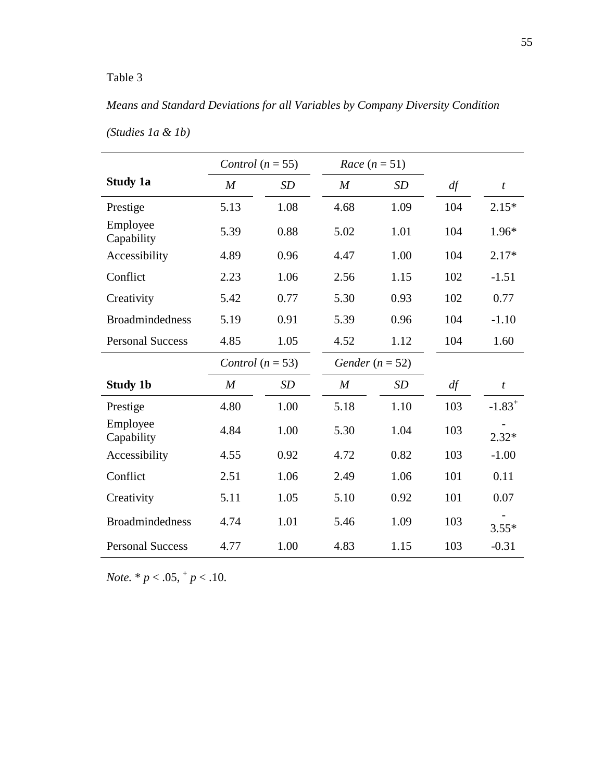## *Means and Standard Deviations for all Variables by Company Diversity Condition*

|                         |                  | Control $(n = 55)$ | Race $(n=51)$    |                   |     |                  |
|-------------------------|------------------|--------------------|------------------|-------------------|-----|------------------|
| Study 1a                | $\overline{M}$   | SD                 | $\boldsymbol{M}$ | SD                | df  | $\boldsymbol{t}$ |
| Prestige                | 5.13             | 1.08               | 4.68             | 1.09              | 104 | $2.15*$          |
| Employee<br>Capability  | 5.39             | 0.88               | 5.02             | 1.01              | 104 | 1.96*            |
| Accessibility           | 4.89             | 0.96               | 4.47             | 1.00              | 104 | $2.17*$          |
| Conflict                | 2.23             | 1.06               | 2.56             | 1.15              | 102 | $-1.51$          |
| Creativity              | 5.42             | 0.77               | 5.30             | 0.93              | 102 | 0.77             |
| <b>Broadmindedness</b>  | 5.19             | 0.91               | 5.39             | 0.96              | 104 | $-1.10$          |
| <b>Personal Success</b> | 4.85             | 1.05               | 4.52             | 1.12              | 104 | 1.60             |
|                         |                  | Control $(n = 53)$ |                  | Gender $(n = 52)$ |     |                  |
| <b>Study 1b</b>         | $\boldsymbol{M}$ | <b>SD</b>          | $\boldsymbol{M}$ | <b>SD</b>         | df  | $\boldsymbol{t}$ |
| Prestige                | 4.80             | 1.00               | 5.18             | 1.10              | 103 | $-1.83^{+}$      |
| Employee<br>Capability  | 4.84             | 1.00               | 5.30             | 1.04              | 103 | $2.32*$          |
| Accessibility           | 4.55             | 0.92               | 4.72             | 0.82              | 103 | $-1.00$          |
| Conflict                | 2.51             | 1.06               | 2.49             | 1.06              | 101 | 0.11             |
| Creativity              | 5.11             | 1.05               | 5.10             | 0.92              | 101 | 0.07             |
| <b>Broadmindedness</b>  | 4.74             | 1.01               | 5.46             | 1.09              | 103 | $3.55*$          |
| <b>Personal Success</b> | 4.77             | 1.00               | 4.83             | 1.15              | 103 | $-0.31$          |

*(Studies 1a & 1b)*

*Note.*  $* p < .05, \frac{1}{p} < .10$ .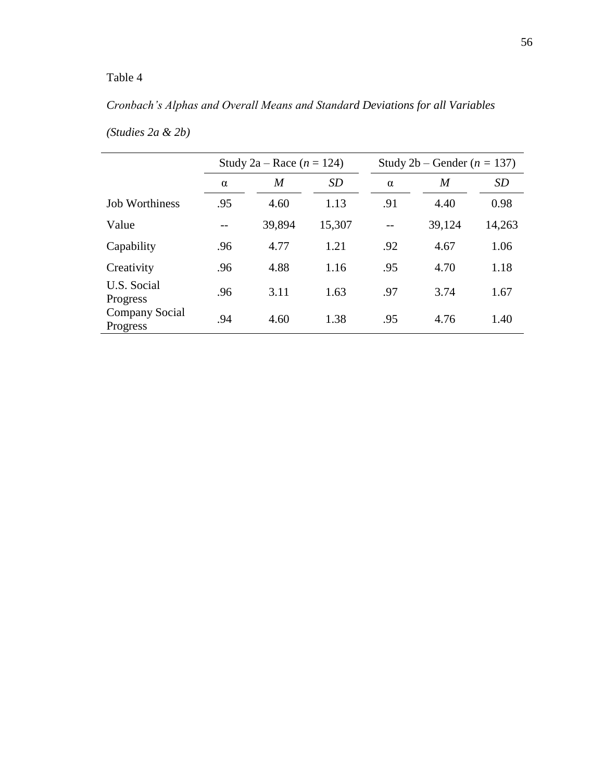# *Cronbach's Alphas and Overall Means and Standard Deviations for all Variables*

|                            | Study 2a – Race $(n = 124)$ |        |        | Study 2b – Gender ( $n = 137$ ) |        |        |  |  |
|----------------------------|-----------------------------|--------|--------|---------------------------------|--------|--------|--|--|
|                            | $\alpha$                    | M      | SD     | $\alpha$                        | M      | SD     |  |  |
| <b>Job Worthiness</b>      | .95                         | 4.60   | 1.13   | .91                             | 4.40   | 0.98   |  |  |
| Value                      |                             | 39,894 | 15,307 |                                 | 39,124 | 14,263 |  |  |
| Capability                 | .96                         | 4.77   | 1.21   | .92                             | 4.67   | 1.06   |  |  |
| Creativity                 | .96                         | 4.88   | 1.16   | .95                             | 4.70   | 1.18   |  |  |
| U.S. Social<br>Progress    | .96                         | 3.11   | 1.63   | .97                             | 3.74   | 1.67   |  |  |
| Company Social<br>Progress | .94                         | 4.60   | 1.38   | .95                             | 4.76   | 1.40   |  |  |

*(Studies 2a & 2b)*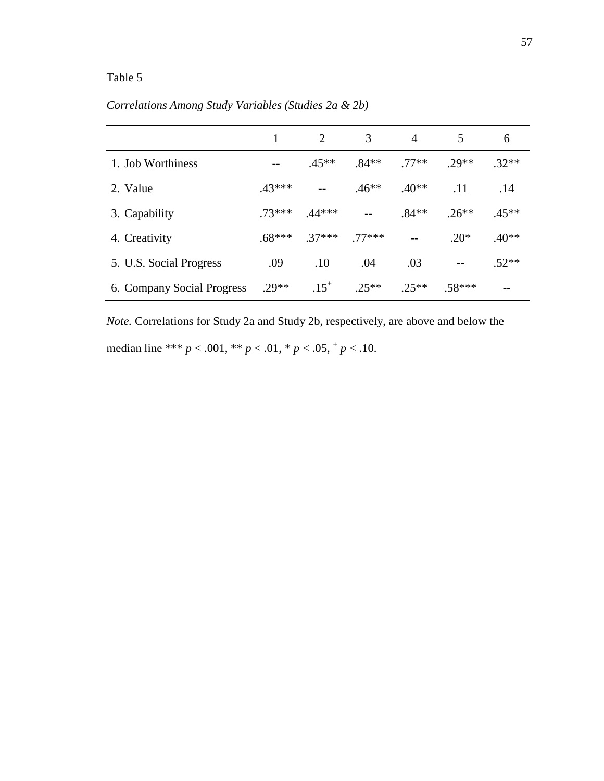|                            |          | 2         | 3       | $\overline{4}$ | 5        | 6       |
|----------------------------|----------|-----------|---------|----------------|----------|---------|
| 1. Job Worthiness          |          | $.45**$   | $.84**$ | $.77**$        | $.29**$  | $.32**$ |
| 2. Value                   | $.43***$ |           | $.46**$ | $.40**$        | .11      | .14     |
| 3. Capability              | $73***$  | $.44***$  |         | $.84**$        | $.26**$  | $.45**$ |
| 4. Creativity              | $.68***$ | $.37***$  | 77***   |                | $.20*$   | $.40**$ |
| 5. U.S. Social Progress    | .09      | .10       | .04     | .03            |          | $.52**$ |
| 6. Company Social Progress | $.29**$  | $.15^{+}$ | $.25**$ | $.25**$        | $.58***$ | --      |

*Correlations Among Study Variables (Studies 2a & 2b)*

*Note.* Correlations for Study 2a and Study 2b, respectively, are above and below the median line \*\*\*  $p < .001$ , \*\*  $p < .01$ , \*  $p < .05$ ,  $p < .10$ .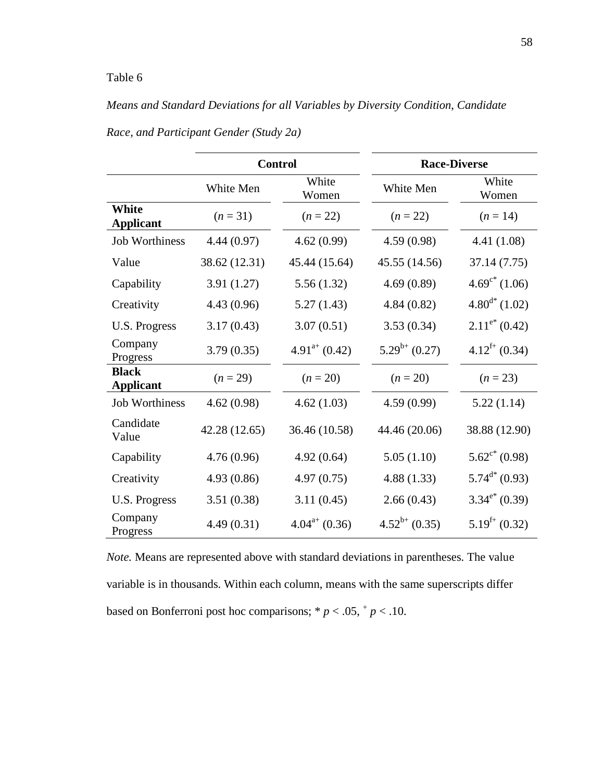## *Means and Standard Deviations for all Variables by Diversity Condition, Candidate*

|                                  |               | <b>Control</b>              | <b>Race-Diverse</b> |                             |  |  |
|----------------------------------|---------------|-----------------------------|---------------------|-----------------------------|--|--|
|                                  | White Men     | White<br>Women              | White Men           | White<br>Women              |  |  |
| White<br><b>Applicant</b>        | $(n=31)$      | $(n = 22)$                  | $(n = 22)$          | $(n = 14)$                  |  |  |
| <b>Job Worthiness</b>            | 4.44(0.97)    | 4.62(0.99)                  | 4.59(0.98)          | 4.41 (1.08)                 |  |  |
| Value                            | 38.62 (12.31) | 45.44 (15.64)               | 45.55 (14.56)       | 37.14 (7.75)                |  |  |
| Capability                       | 3.91(1.27)    | 5.56(1.32)                  | 4.69(0.89)          | $4.69^{\circ*}$ (1.06)      |  |  |
| Creativity                       | 4.43(0.96)    | 5.27(1.43)                  | 4.84(0.82)          | $4.80^{d*}$ (1.02)          |  |  |
| <b>U.S. Progress</b>             | 3.17(0.43)    | 3.07(0.51)                  | 3.53(0.34)          | $2.11^{\mathrm{e^*}}(0.42)$ |  |  |
| Company<br>Progress              | 3.79(0.35)    | $4.91^{a+}$ (0.42)          | $5.29^{b+}$ (0.27)  | $4.12^{f+}$ (0.34)          |  |  |
| <b>Black</b><br><b>Applicant</b> | $(n = 29)$    | $(n = 20)$                  | $(n = 20)$          | $(n = 23)$                  |  |  |
| <b>Job Worthiness</b>            | 4.62(0.98)    | 4.62(1.03)                  | 4.59(0.99)          | 5.22(1.14)                  |  |  |
| Candidate<br>Value               | 42.28 (12.65) | 36.46 (10.58)               | 44.46 (20.06)       | 38.88 (12.90)               |  |  |
| Capability                       | 4.76(0.96)    | 4.92(0.64)                  | 5.05(1.10)          | $5.62^{\circ*}$ (0.98)      |  |  |
| Creativity                       | 4.93(0.86)    | 4.97(0.75)                  | 4.88(1.33)          | $5.74^{\text{d}}(0.93)$     |  |  |
| <b>U.S. Progress</b>             | 3.51(0.38)    | 3.11(0.45)                  | 2.66(0.43)          | $3.34^{\mathrm{e^*}}(0.39)$ |  |  |
| Company<br>Progress              | 4.49(0.31)    | $4.04^{\mathrm{a}+}$ (0.36) | $4.52^{b+}$ (0.35)  | $5.19^{f+}$ (0.32)          |  |  |

*Race, and Participant Gender (Study 2a)*

*Note.* Means are represented above with standard deviations in parentheses. The value variable is in thousands. Within each column, means with the same superscripts differ based on Bonferroni post hoc comparisons;  $* p < .05, * p < .10$ .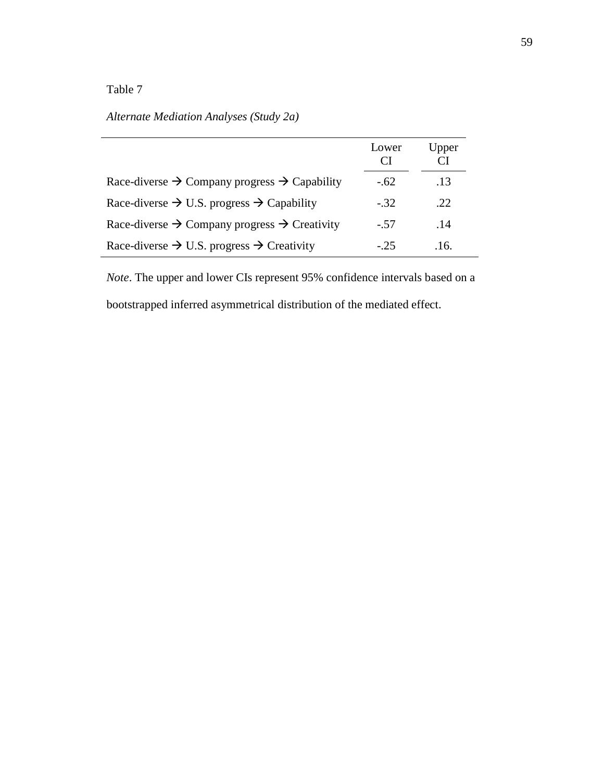## *Alternate Mediation Analyses (Study 2a)*

|                                                                      | Lower<br>CI | Upper |
|----------------------------------------------------------------------|-------------|-------|
| Race-diverse $\rightarrow$ Company progress $\rightarrow$ Capability | $-.62$      | .13   |
| Race-diverse $\rightarrow$ U.S. progress $\rightarrow$ Capability    | $-.32$      | .22   |
| Race-diverse $\rightarrow$ Company progress $\rightarrow$ Creativity | $-.57$      | .14   |
| Race-diverse $\rightarrow$ U.S. progress $\rightarrow$ Creativity    | $-25$       | .16.  |

*Note*. The upper and lower CIs represent 95% confidence intervals based on a bootstrapped inferred asymmetrical distribution of the mediated effect.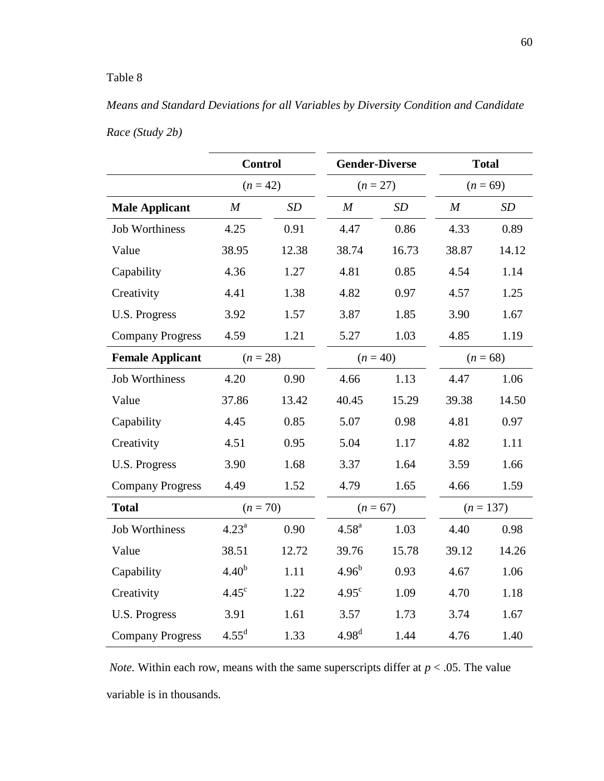## *Means and Standard Deviations for all Variables by Diversity Condition and Candidate*

|                         | <b>Control</b>    |       | <b>Gender-Diverse</b> |            | <b>Total</b>     |             |  |
|-------------------------|-------------------|-------|-----------------------|------------|------------------|-------------|--|
|                         | $(n = 42)$        |       | $(n = 27)$            |            | $(n = 69)$       |             |  |
| <b>Male Applicant</b>   | $\boldsymbol{M}$  | SD    | M                     | SD         | $\boldsymbol{M}$ | SD          |  |
| <b>Job Worthiness</b>   | 4.25              | 0.91  | 4.47                  | 0.86       | 4.33             | 0.89        |  |
| Value                   | 38.95             | 12.38 | 38.74                 | 16.73      | 38.87            | 14.12       |  |
| Capability              | 4.36              | 1.27  | 4.81                  | 0.85       | 4.54             | 1.14        |  |
| Creativity              | 4.41              | 1.38  | 4.82                  | 0.97       | 4.57             | 1.25        |  |
| <b>U.S. Progress</b>    | 3.92              | 1.57  | 3.87                  | 1.85       | 3.90             | 1.67        |  |
| <b>Company Progress</b> | 4.59              | 1.21  | 5.27                  | 1.03       | 4.85             | 1.19        |  |
| <b>Female Applicant</b> | $(n = 28)$        |       | $(n = 40)$            |            | $(n = 68)$       |             |  |
| <b>Job Worthiness</b>   | 4.20              | 0.90  | 4.66                  | 1.13       | 4.47             | 1.06        |  |
| Value                   | 37.86             | 13.42 | 40.45                 | 15.29      | 39.38            | 14.50       |  |
| Capability              | 4.45              | 0.85  | 5.07                  | 0.98       | 4.81             | 0.97        |  |
| Creativity              | 4.51              | 0.95  | 5.04                  | 1.17       | 4.82             | 1.11        |  |
| <b>U.S. Progress</b>    | 3.90              | 1.68  | 3.37                  | 1.64       | 3.59             | 1.66        |  |
| <b>Company Progress</b> | 4.49              | 1.52  | 4.79                  | 1.65       | 4.66             | 1.59        |  |
| <b>Total</b>            | $(n = 70)$        |       |                       | $(n = 67)$ |                  | $(n = 137)$ |  |
| <b>Job Worthiness</b>   | $4.23^a$          | 0.90  | 4.58 <sup>a</sup>     | 1.03       | 4.40             | 0.98        |  |
| Value                   | 38.51             | 12.72 | 39.76                 | 15.78      | 39.12            | 14.26       |  |
| Capability              | 4.40 <sup>b</sup> | 1.11  | 4.96 <sup>b</sup>     | 0.93       | 4.67             | 1.06        |  |
| Creativity              | $4.45^{\circ}$    | 1.22  | $4.95^{\circ}$        | 1.09       | 4.70             | 1.18        |  |
| U.S. Progress           | 3.91              | 1.61  | 3.57                  | 1.73       | 3.74             | 1.67        |  |
| <b>Company Progress</b> | $4.55^{\rm d}$    | 1.33  | 4.98 <sup>d</sup>     | 1.44       | 4.76             | 1.40        |  |

*Race (Study 2b)*

*Note.* Within each row, means with the same superscripts differ at *p* < .05. The value variable is in thousands.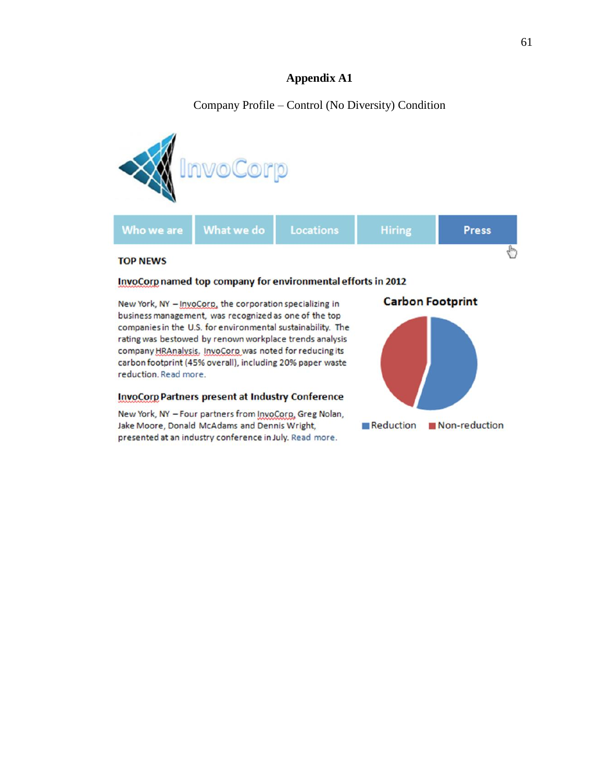## **Appendix A1**

Company Profile – Control (No Diversity) Condition



#### InvoCorp named top company for environmental efforts in 2012

New York, NY - InvoCorp, the corporation specializing in business management, was recognized as one of the top companies in the U.S. for environmental sustainability. The rating was bestowed by renown workplace trends analysis company HRAnalysis. InvoCorp was noted for reducing its carbon footprint (45% overall), including 20% paper waste reduction. Read more.

#### **InvoCorp Partners present at Industry Conference**

New York, NY - Four partners from InvoCorp, Greg Nolan, Jake Moore, Donald McAdams and Dennis Wright, presented at an industry conference in July. Read more.

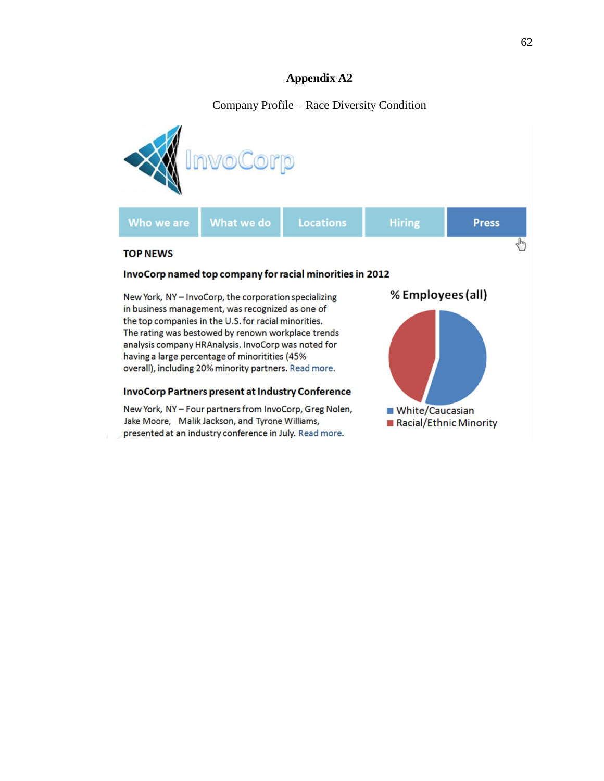## **Appendix A2**

## Company Profile – Race Diversity Condition

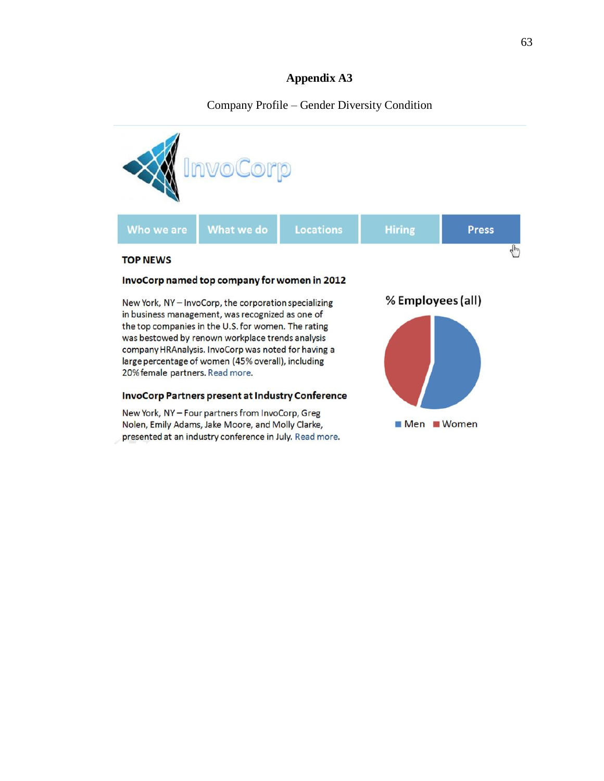## **Appendix A3**

## Company Profile – Gender Diversity Condition

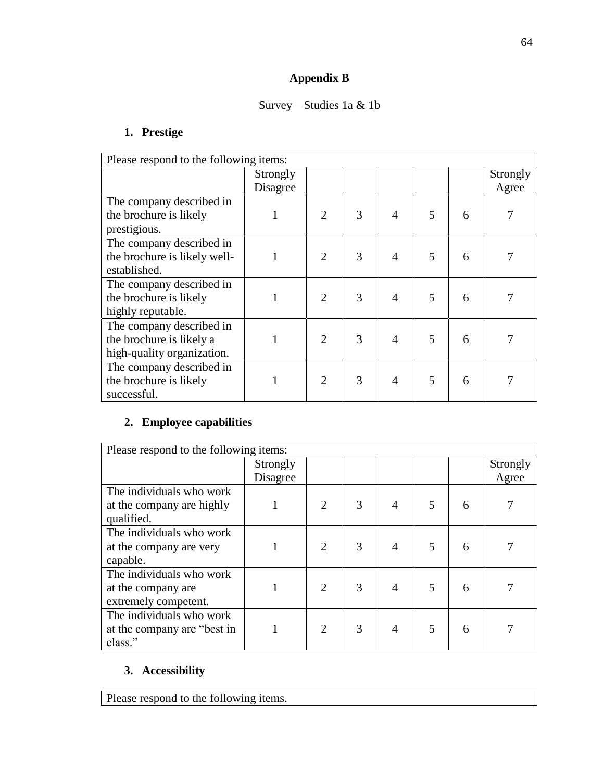# **Appendix B**

## Survey – Studies 1a & 1b

## **1. Prestige**

| Please respond to the following items: |          |                             |   |                |   |   |          |
|----------------------------------------|----------|-----------------------------|---|----------------|---|---|----------|
|                                        | Strongly |                             |   |                |   |   | Strongly |
|                                        | Disagree |                             |   |                |   |   | Agree    |
| The company described in               |          |                             |   |                |   |   |          |
| the brochure is likely                 |          | 2                           | 3 | 4              | 5 | 6 |          |
| prestigious.                           |          |                             |   |                |   |   |          |
| The company described in               |          |                             |   |                |   |   |          |
| the brochure is likely well-           |          | $\overline{2}$              | 3 | 4              | 5 | 6 |          |
| established.                           |          |                             |   |                |   |   |          |
| The company described in               |          |                             |   |                |   |   |          |
| the brochure is likely                 |          | $\mathcal{D}_{\mathcal{L}}$ | 3 | $\overline{4}$ | 5 | 6 |          |
| highly reputable.                      |          |                             |   |                |   |   |          |
| The company described in               |          |                             |   |                |   |   |          |
| the brochure is likely a               |          | $\overline{2}$              | 3 | $\overline{4}$ | 5 | 6 |          |
| high-quality organization.             |          |                             |   |                |   |   |          |
| The company described in               |          |                             |   |                |   |   |          |
| the brochure is likely                 |          | $\overline{2}$              | 3 | $\overline{4}$ | 5 | 6 |          |
| successful.                            |          |                             |   |                |   |   |          |

## **2. Employee capabilities**

| Please respond to the following items: |          |                             |   |   |   |   |          |
|----------------------------------------|----------|-----------------------------|---|---|---|---|----------|
|                                        | Strongly |                             |   |   |   |   | Strongly |
|                                        | Disagree |                             |   |   |   |   | Agree    |
| The individuals who work               |          |                             |   |   |   |   |          |
| at the company are highly              |          | 2                           | 3 | 4 | 5 | 6 |          |
| qualified.                             |          |                             |   |   |   |   |          |
| The individuals who work               |          |                             |   |   |   |   |          |
| at the company are very                |          | $\overline{2}$              | 3 | 4 | 5 | 6 |          |
| capable.                               |          |                             |   |   |   |   |          |
| The individuals who work               |          |                             |   |   |   |   |          |
| at the company are.                    |          | $\mathcal{D}_{\mathcal{L}}$ | 3 | 4 | 5 | 6 |          |
| extremely competent.                   |          |                             |   |   |   |   |          |
| The individuals who work               |          |                             |   |   |   |   |          |
| at the company are "best in            |          | 2                           | 3 | 4 | 5 | 6 |          |
| class."                                |          |                             |   |   |   |   |          |

## **3. Accessibility**

Please respond to the following items.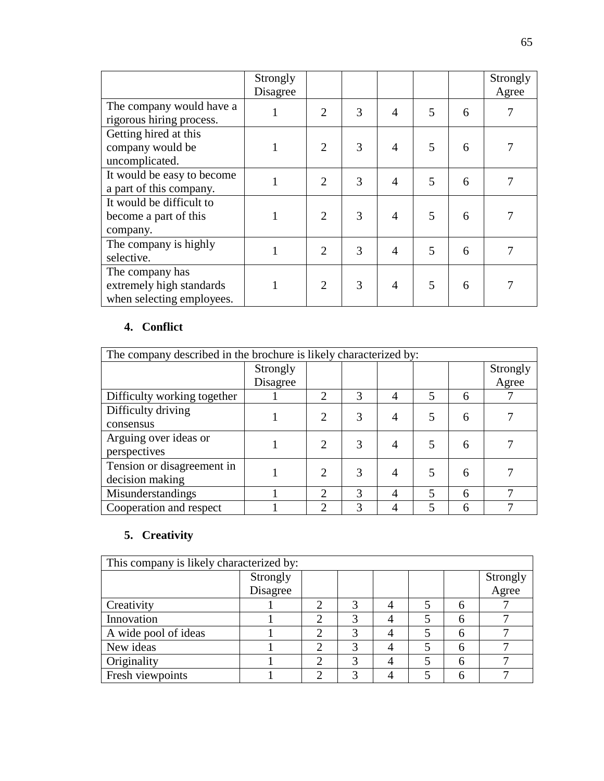|                                                                          | Strongly<br>Disagree |                |   |                |   |   | Strongly<br>Agree |
|--------------------------------------------------------------------------|----------------------|----------------|---|----------------|---|---|-------------------|
| The company would have a<br>rigorous hiring process.                     |                      | $\overline{2}$ | 3 | $\overline{4}$ | 5 | 6 |                   |
| Getting hired at this<br>company would be<br>uncomplicated.              |                      | $\overline{2}$ | 3 | $\overline{4}$ | 5 | 6 |                   |
| It would be easy to become<br>a part of this company.                    |                      | $\overline{2}$ | 3 | $\overline{4}$ | 5 | 6 |                   |
| It would be difficult to<br>become a part of this<br>company.            |                      | $\overline{2}$ | 3 | $\overline{4}$ | 5 | 6 |                   |
| The company is highly<br>selective.                                      | 1                    | $\overline{2}$ | 3 | $\overline{4}$ | 5 | 6 |                   |
| The company has<br>extremely high standards<br>when selecting employees. |                      | $\overline{2}$ | 3 | $\overline{4}$ | 5 | 6 |                   |

## **4. Conflict**

| The company described in the brochure is likely characterized by: |          |                             |   |   |   |   |          |  |
|-------------------------------------------------------------------|----------|-----------------------------|---|---|---|---|----------|--|
|                                                                   | Strongly |                             |   |   |   |   | Strongly |  |
|                                                                   | Disagree |                             |   |   |   |   | Agree    |  |
| Difficulty working together                                       |          | $\mathcal{D}_{\mathcal{L}}$ | 3 | 4 | 5 | 6 |          |  |
| Difficulty driving                                                |          | $\mathcal{D}_{\mathcal{L}}$ | 3 | 4 | 5 | 6 |          |  |
| consensus                                                         |          |                             |   |   |   |   |          |  |
| Arguing over ideas or                                             |          | $\mathcal{D}_{\mathcal{L}}$ | 3 | 4 | 5 | 6 |          |  |
| perspectives                                                      |          |                             |   |   |   |   |          |  |
| Tension or disagreement in                                        |          | $\mathcal{D}_{\mathcal{A}}$ | 3 | 4 | 5 | 6 |          |  |
| decision making                                                   |          |                             |   |   |   |   |          |  |
| Misunderstandings                                                 |          | $\mathcal{D}$               | 3 | 4 | 5 | 6 |          |  |
| Cooperation and respect                                           |          | 2                           | 3 | 4 | 5 | 6 |          |  |

# **5. Creativity**

| This company is likely characterized by: |          |   |   |  |  |   |                   |  |
|------------------------------------------|----------|---|---|--|--|---|-------------------|--|
|                                          | Strongly |   |   |  |  |   |                   |  |
|                                          | Disagree |   |   |  |  |   | Strongly<br>Agree |  |
| Creativity                               |          |   |   |  |  |   |                   |  |
| Innovation                               |          |   |   |  |  |   |                   |  |
| A wide pool of ideas                     |          |   |   |  |  |   |                   |  |
| New ideas                                |          |   |   |  |  |   |                   |  |
| Originality                              |          |   | 3 |  |  | 6 |                   |  |
| Fresh viewpoints                         |          | ◠ | 2 |  |  |   |                   |  |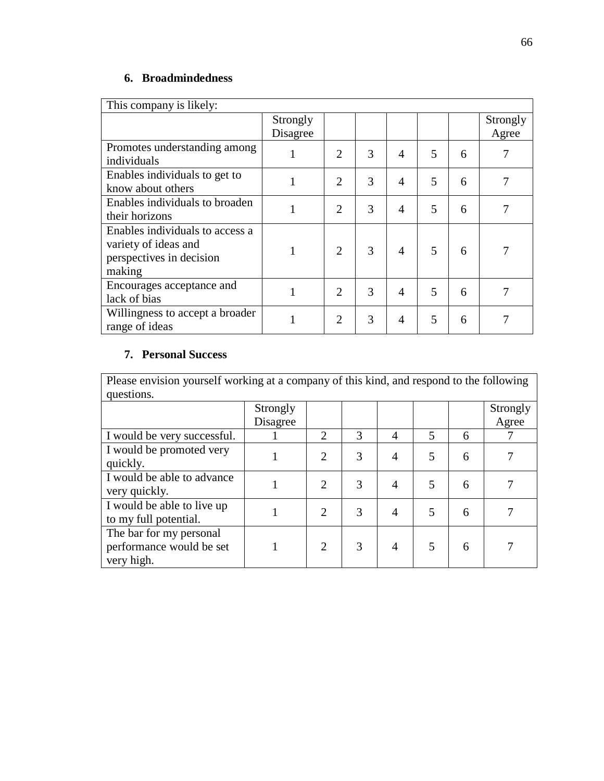## **6. Broadmindedness**

| This company is likely:         |          |                |   |                |   |   |          |
|---------------------------------|----------|----------------|---|----------------|---|---|----------|
|                                 | Strongly |                |   |                |   |   | Strongly |
|                                 | Disagree |                |   |                |   |   | Agree    |
| Promotes understanding among    |          | $\overline{2}$ | 3 | $\overline{4}$ | 5 | 6 | 7        |
| individuals                     | 1        |                |   |                |   |   |          |
| Enables individuals to get to   |          | $\overline{2}$ | 3 | $\overline{4}$ | 5 | 6 | 7        |
| know about others               |          |                |   |                |   |   |          |
| Enables individuals to broaden  |          | $\overline{2}$ | 3 | $\overline{4}$ | 5 | 6 | 7        |
| their horizons                  |          |                |   |                |   |   |          |
| Enables individuals to access a |          |                |   |                |   |   |          |
| variety of ideas and            |          | $\overline{2}$ | 3 | $\overline{4}$ | 5 | 6 | 7        |
| perspectives in decision        |          |                |   |                |   |   |          |
| making                          |          |                |   |                |   |   |          |
| Encourages acceptance and       |          | 2              | 3 | $\overline{4}$ | 5 | 6 |          |
| lack of bias                    |          |                |   |                |   |   |          |
| Willingness to accept a broader |          | $\overline{2}$ | 3 | $\overline{4}$ | 5 | 6 | 7        |
| range of ideas                  |          |                |   |                |   |   |          |

# **7. Personal Success**

Please envision yourself working at a company of this kind, and respond to the following questions.

| questions.                                                        |          |                |   |   |   |   |          |
|-------------------------------------------------------------------|----------|----------------|---|---|---|---|----------|
|                                                                   | Strongly |                |   |   |   |   | Strongly |
|                                                                   | Disagree |                |   |   |   |   | Agree    |
| I would be very successful.                                       |          | $\overline{2}$ | 3 | 4 | 5 | 6 |          |
| I would be promoted very<br>quickly.                              |          | 2              | 3 | 4 | 5 | 6 |          |
| I would be able to advance<br>very quickly.                       |          | $\overline{2}$ | 3 | 4 | 5 | 6 |          |
| I would be able to live up<br>to my full potential.               |          | $\overline{2}$ | 3 | 4 | 5 | 6 |          |
| The bar for my personal<br>performance would be set<br>very high. |          | 2              | 3 | 4 | 5 | 6 |          |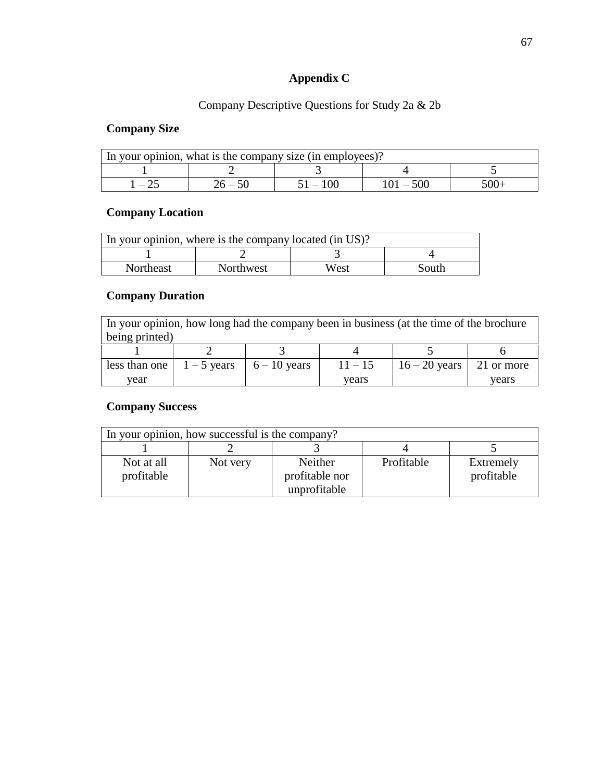# **Appendix C**

## Company Descriptive Questions for Study 2a & 2b

### **Company Size**

| In your opinion, what is the company size (in employees)? |  |  |  |  |  |  |
|-----------------------------------------------------------|--|--|--|--|--|--|
|                                                           |  |  |  |  |  |  |
|                                                           |  |  |  |  |  |  |

### **Company Location**

|           | In your opinion, where is the company located (in US)? |      |       |
|-----------|--------------------------------------------------------|------|-------|
|           |                                                        |      |       |
| Northeast | <b>Northwest</b>                                       | West | South |

## **Company Duration**

In your opinion, how long had the company been in business (at the time of the brochure being printed)

| less than one | $1-5$ years $6-10$ years | 11 – 15 | $16 - 20$ years 21 or more |       |
|---------------|--------------------------|---------|----------------------------|-------|
| vear          |                          | vears   |                            | vears |

### **Company Success**

| In your opinion, how successful is the company? |          |                |            |            |  |  |  |
|-------------------------------------------------|----------|----------------|------------|------------|--|--|--|
|                                                 |          |                |            |            |  |  |  |
| Not at all                                      | Not very | Neither        | Profitable | Extremely  |  |  |  |
| profitable                                      |          | profitable nor |            | profitable |  |  |  |
|                                                 |          | unprofitable   |            |            |  |  |  |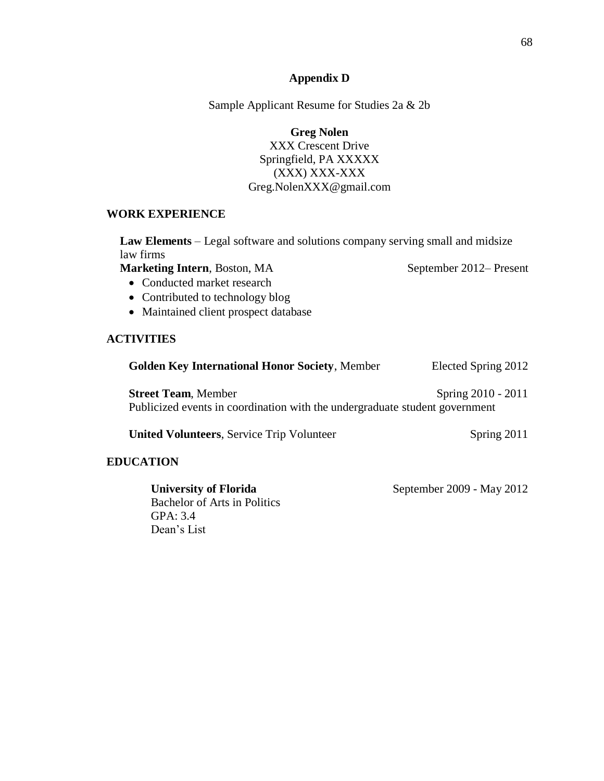#### **Appendix D**

Sample Applicant Resume for Studies 2a & 2b

**Greg Nolen** XXX Crescent Drive Springfield, PA XXXXX (XXX) XXX-XXX Greg.NolenXXX@gmail.com

#### **WORK EXPERIENCE**

**Law Elements** – Legal software and solutions company serving small and midsize law firms

**Marketing Intern**, Boston, MA September 2012– Present

- Conducted market research
- Contributed to technology blog
- Maintained client prospect database

#### **ACTIVITIES**

| <b>Golden Key International Honor Society, Member</b>                                                     | Elected Spring 2012 |
|-----------------------------------------------------------------------------------------------------------|---------------------|
| <b>Street Team, Member</b><br>Publicized events in coordination with the undergraduate student government | Spring 2010 - 2011  |
| <b>United Volunteers, Service Trip Volunteer</b>                                                          | Spring 2011         |
| TCATION                                                                                                   |                     |

### **EDUCATION**

Bachelor of Arts in Politics GPA: 3.4 Dean's List

**University of Florida** September 2009 - May 2012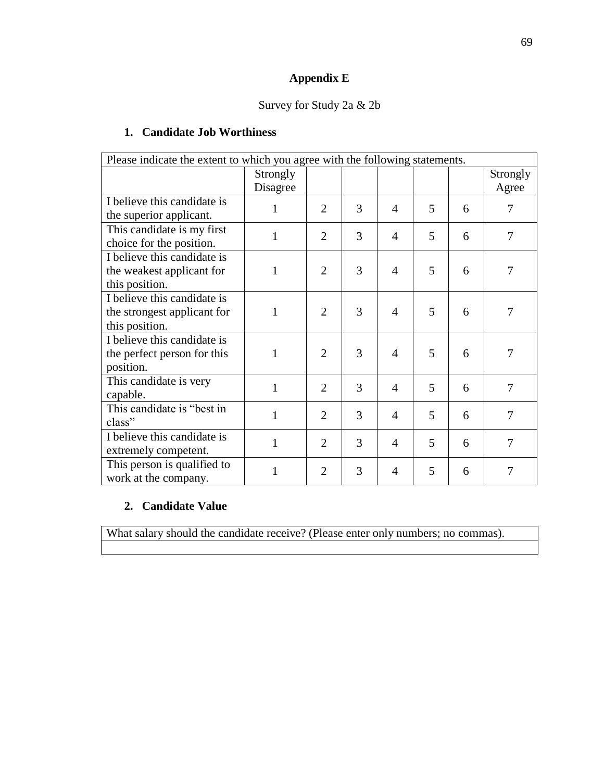# **Appendix E**

## Survey for Study 2a & 2b

## **1. Candidate Job Worthiness**

| Please indicate the extent to which you agree with the following statements. |          |                |   |                |   |   |          |
|------------------------------------------------------------------------------|----------|----------------|---|----------------|---|---|----------|
|                                                                              | Strongly |                |   |                |   |   | Strongly |
|                                                                              | Disagree |                |   |                |   |   | Agree    |
| I believe this candidate is                                                  | 1        | $\overline{2}$ | 3 | 4              | 5 | 6 | 7        |
| the superior applicant.                                                      |          |                |   |                |   |   |          |
| This candidate is my first                                                   | 1        | $\overline{2}$ | 3 | $\overline{4}$ | 5 | 6 | 7        |
| choice for the position.                                                     |          |                |   |                |   |   |          |
| I believe this candidate is                                                  |          |                |   |                |   |   |          |
| the weakest applicant for                                                    | 1        | $\overline{2}$ | 3 | $\overline{4}$ | 5 | 6 | 7        |
| this position.                                                               |          |                |   |                |   |   |          |
| I believe this candidate is                                                  |          |                |   |                |   |   |          |
| the strongest applicant for                                                  | 1        | $\overline{2}$ | 3 | $\overline{4}$ | 5 | 6 | 7        |
| this position.                                                               |          |                |   |                |   |   |          |
| I believe this candidate is                                                  |          |                |   |                |   |   |          |
| the perfect person for this                                                  | 1        | $\overline{2}$ | 3 | $\overline{4}$ | 5 | 6 | 7        |
| position.                                                                    |          |                |   |                |   |   |          |
| This candidate is very                                                       | 1        | $\overline{2}$ | 3 | $\overline{4}$ | 5 | 6 | 7        |
| capable.                                                                     |          |                |   |                |   |   |          |
| This candidate is "best in                                                   | 1        | $\overline{2}$ | 3 | $\overline{4}$ | 5 | 6 | 7        |
| class"                                                                       |          |                |   |                |   |   |          |
| I believe this candidate is                                                  | 1        | $\overline{2}$ | 3 | $\overline{4}$ | 5 | 6 | 7        |
| extremely competent.                                                         |          |                |   |                |   |   |          |
| This person is qualified to                                                  | 1        | $\overline{2}$ | 3 | $\overline{4}$ | 5 | 6 | 7        |
| work at the company.                                                         |          |                |   |                |   |   |          |

### **2. Candidate Value**

What salary should the candidate receive? (Please enter only numbers; no commas).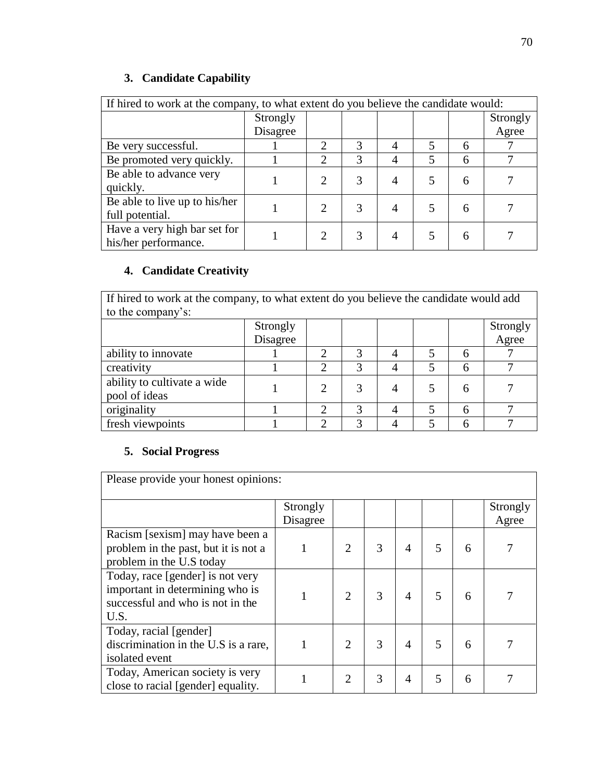# **3. Candidate Capability**

| If hired to work at the company, to what extent do you believe the candidate would: |          |   |   |                |   |   |          |
|-------------------------------------------------------------------------------------|----------|---|---|----------------|---|---|----------|
|                                                                                     | Strongly |   |   |                |   |   | Strongly |
|                                                                                     | Disagree |   |   |                |   |   | Agree    |
| Be very successful.                                                                 |          | 2 | 3 | $\overline{A}$ | 5 | 6 |          |
| Be promoted very quickly.                                                           |          | 2 | 3 | 4              | 5 | 6 |          |
| Be able to advance very                                                             |          |   |   | 4              | 5 | 6 |          |
| quickly.                                                                            |          |   |   |                |   |   |          |
| Be able to live up to his/her                                                       |          |   |   | 4              | 5 | 6 |          |
| full potential.                                                                     |          |   |   |                |   |   |          |
| Have a very high bar set for                                                        |          |   |   | 4              |   | 6 |          |
| his/her performance.                                                                |          |   |   |                |   |   |          |

## **4. Candidate Creativity**

If hired to work at the company, to what extent do you believe the candidate would add to the company's:

| $\frac{1}{2}$                                |          |   |                   |  |  |  |          |
|----------------------------------------------|----------|---|-------------------|--|--|--|----------|
|                                              | Strongly |   |                   |  |  |  | Strongly |
|                                              | Disagree |   |                   |  |  |  | Agree    |
| ability to innovate                          |          |   | $\mathbf{\Omega}$ |  |  |  |          |
| creativity                                   |          |   | っ                 |  |  |  |          |
| ability to cultivate a wide<br>pool of ideas |          |   |                   |  |  |  |          |
| originality                                  |          | ⌒ | 2                 |  |  |  |          |
| fresh viewpoints                             |          |   |                   |  |  |  |          |

## **5. Social Progress**

| Please provide your honest opinions:                                                                            |                      |                             |   |   |   |   |                   |
|-----------------------------------------------------------------------------------------------------------------|----------------------|-----------------------------|---|---|---|---|-------------------|
|                                                                                                                 | Strongly<br>Disagree |                             |   |   |   |   | Strongly<br>Agree |
| Racism [sexism] may have been a<br>problem in the past, but it is not a<br>problem in the U.S today             |                      | 2                           | 3 | 4 | 5 | 6 |                   |
| Today, race [gender] is not very<br>important in determining who is<br>successful and who is not in the<br>U.S. |                      | $\mathcal{D}_{\mathcal{L}}$ | 3 | 4 | 5 | 6 |                   |
| Today, racial [gender]<br>discrimination in the U.S is a rare,<br>isolated event                                | 1                    | $\overline{2}$              | 3 | 4 | 5 | 6 |                   |
| Today, American society is very<br>close to racial [gender] equality.                                           |                      | $\overline{2}$              | 3 | 4 | 5 | 6 |                   |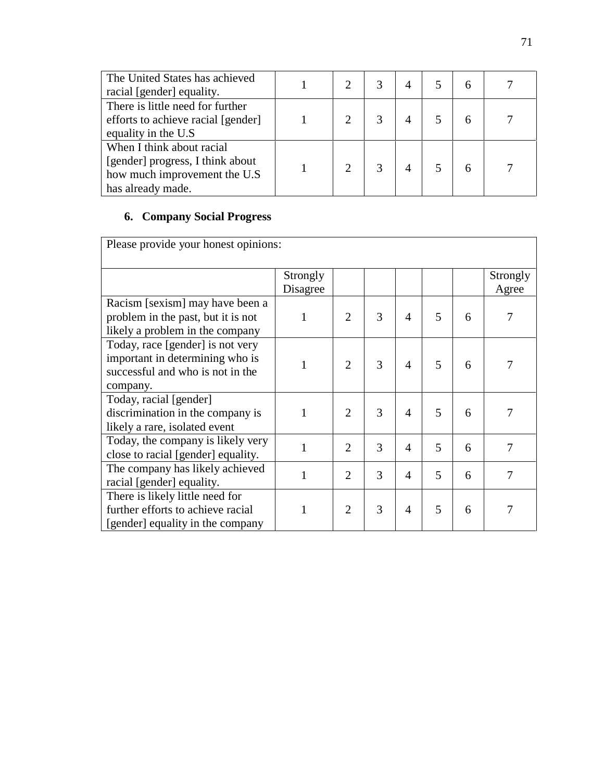| The United States has achieved<br>racial [gender] equality.                                                        |  |  |  |  |
|--------------------------------------------------------------------------------------------------------------------|--|--|--|--|
| There is little need for further<br>efforts to achieve racial [gender]<br>equality in the U.S.                     |  |  |  |  |
| When I think about racial<br>[gender] progress, I think about<br>how much improvement the U.S<br>has already made. |  |  |  |  |

# **6. Company Social Progress**

| Please provide your honest opinions:                                                                                |                      |                |   |                |   |   |                   |
|---------------------------------------------------------------------------------------------------------------------|----------------------|----------------|---|----------------|---|---|-------------------|
|                                                                                                                     | Strongly<br>Disagree |                |   |                |   |   | Strongly<br>Agree |
| Racism [sexism] may have been a<br>problem in the past, but it is not<br>likely a problem in the company            | 1                    | $\overline{2}$ | 3 | $\overline{4}$ | 5 | 6 | 7                 |
| Today, race [gender] is not very<br>important in determining who is<br>successful and who is not in the<br>company. | 1                    | $\overline{2}$ | 3 | 4              | 5 | 6 |                   |
| Today, racial [gender]<br>discrimination in the company is<br>likely a rare, isolated event                         | 1                    | $\overline{2}$ | 3 | 4              | 5 | 6 |                   |
| Today, the company is likely very<br>close to racial [gender] equality.                                             | $\mathbf{1}$         | $\overline{2}$ | 3 | 4              | 5 | 6 | 7                 |
| The company has likely achieved<br>racial [gender] equality.                                                        | $\mathbf{1}$         | $\overline{2}$ | 3 | 4              | 5 | 6 | 7                 |
| There is likely little need for<br>further efforts to achieve racial<br>[gender] equality in the company            |                      | $\overline{2}$ | 3 | $\overline{4}$ | 5 | 6 |                   |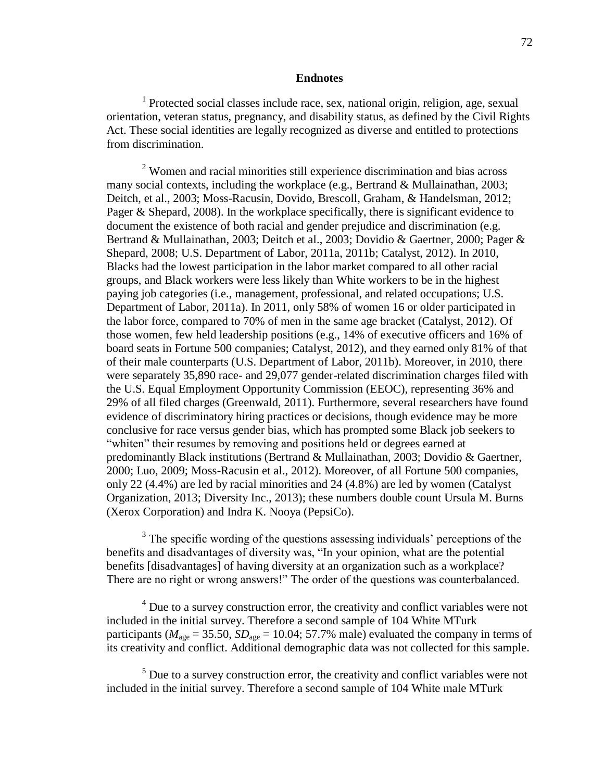#### **Endnotes**

<sup>1</sup> Protected social classes include race, sex, national origin, religion, age, sexual orientation, veteran status, pregnancy, and disability status, as defined by the Civil Rights Act. These social identities are legally recognized as diverse and entitled to protections from discrimination.

<sup>2</sup> Women and racial minorities still experience discrimination and bias across many social contexts, including the workplace (e.g., Bertrand & Mullainathan, 2003; Deitch, et al., 2003; Moss-Racusin, Dovido, Brescoll, Graham, & Handelsman, 2012; Pager & Shepard, 2008). In the workplace specifically, there is significant evidence to document the existence of both racial and gender prejudice and discrimination (e.g. Bertrand & Mullainathan, 2003; Deitch et al., 2003; Dovidio & Gaertner, 2000; Pager & Shepard, 2008; U.S. Department of Labor, 2011a, 2011b; Catalyst, 2012). In 2010, Blacks had the lowest participation in the labor market compared to all other racial groups, and Black workers were less likely than White workers to be in the highest paying job categories (i.e., management, professional, and related occupations; U.S. Department of Labor, 2011a). In 2011, only 58% of women 16 or older participated in the labor force, compared to 70% of men in the same age bracket (Catalyst, 2012). Of those women, few held leadership positions (e.g., 14% of executive officers and 16% of board seats in Fortune 500 companies; Catalyst, 2012), and they earned only 81% of that of their male counterparts (U.S. Department of Labor, 2011b). Moreover, in 2010, there were separately 35,890 race- and 29,077 gender-related discrimination charges filed with the U.S. Equal Employment Opportunity Commission (EEOC), representing 36% and 29% of all filed charges (Greenwald, 2011). Furthermore, several researchers have found evidence of discriminatory hiring practices or decisions, though evidence may be more conclusive for race versus gender bias, which has prompted some Black job seekers to "whiten" their resumes by removing and positions held or degrees earned at predominantly Black institutions (Bertrand & Mullainathan, 2003; Dovidio & Gaertner, 2000; Luo, 2009; Moss-Racusin et al., 2012). Moreover, of all Fortune 500 companies, only 22 (4.4%) are led by racial minorities and 24 (4.8%) are led by women (Catalyst Organization, 2013; Diversity Inc., 2013); these numbers double count Ursula M. Burns (Xerox Corporation) and Indra K. Nooya (PepsiCo).

 $3$  The specific wording of the questions assessing individuals' perceptions of the benefits and disadvantages of diversity was, "In your opinion, what are the potential benefits [disadvantages] of having diversity at an organization such as a workplace? There are no right or wrong answers!" The order of the questions was counterbalanced.

<sup>4</sup> Due to a survey construction error, the creativity and conflict variables were not included in the initial survey. Therefore a second sample of 104 White MTurk participants ( $M_{\text{age}} = 35.50$ ,  $SD_{\text{age}} = 10.04$ ; 57.7% male) evaluated the company in terms of its creativity and conflict. Additional demographic data was not collected for this sample.

 $<sup>5</sup>$  Due to a survey construction error, the creativity and conflict variables were not</sup> included in the initial survey. Therefore a second sample of 104 White male MTurk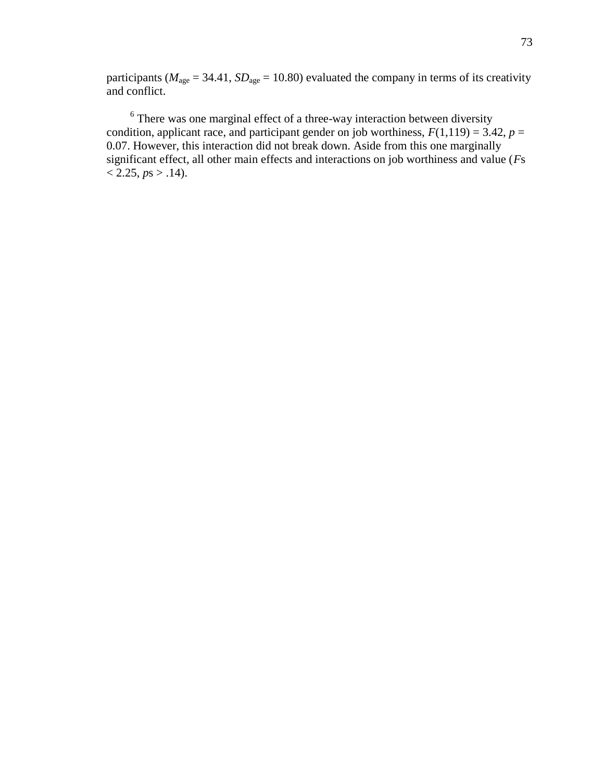participants ( $M_{\text{age}} = 34.41$ ,  $SD_{\text{age}} = 10.80$ ) evaluated the company in terms of its creativity and conflict.

 $6$  There was one marginal effect of a three-way interaction between diversity condition, applicant race, and participant gender on job worthiness,  $F(1,119) = 3.42$ ,  $p =$ 0.07. However, this interaction did not break down. Aside from this one marginally significant effect, all other main effects and interactions on job worthiness and value (*F*s  $<$  2.25,  $ps$  > .14).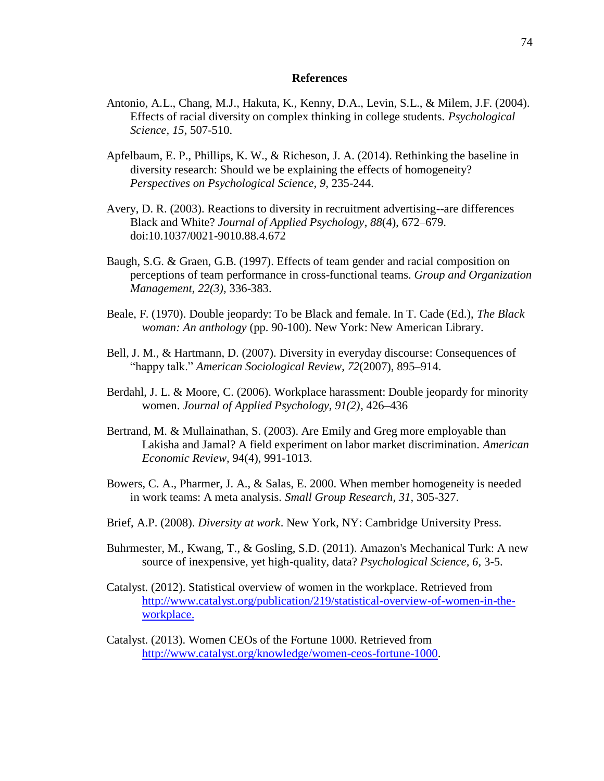#### **References**

- Antonio, A.L., Chang, M.J., Hakuta, K., Kenny, D.A., Levin, S.L., & Milem, J.F. (2004). Effects of racial diversity on complex thinking in college students. *Psychological Science, 15*, 507-510.
- Apfelbaum, E. P., Phillips, K. W., & Richeson, J. A. (2014). Rethinking the baseline in diversity research: Should we be explaining the effects of homogeneity? *Perspectives on Psychological Science, 9,* 235-244.
- Avery, D. R. (2003). Reactions to diversity in recruitment advertising--are differences Black and White? *Journal of Applied Psychology*, *88*(4), 672–679. doi:10.1037/0021-9010.88.4.672
- Baugh, S.G. & Graen, G.B. (1997). Effects of team gender and racial composition on perceptions of team performance in cross-functional teams. *Group and Organization Management, 22(3),* 336-383.
- Beale, F. (1970). Double jeopardy: To be Black and female. In T. Cade (Ed.), *The Black woman: An anthology* (pp. 90-100). New York: New American Library.
- Bell, J. M., & Hartmann, D. (2007). Diversity in everyday discourse: Consequences of "happy talk." *American Sociological Review*, *72*(2007), 895–914.
- Berdahl, J. L. & Moore, C. (2006). Workplace harassment: Double jeopardy for minority women. *Journal of Applied Psychology, 91(2)*, 426–436
- Bertrand, M. & Mullainathan, S. (2003). Are Emily and Greg more employable than Lakisha and Jamal? A field experiment on labor market discrimination. *American Economic Review,* 94(4), 991-1013.
- Bowers, C. A., Pharmer, J. A., & Salas, E. 2000. When member homogeneity is needed in work teams: A meta analysis. *Small Group Research, 31,* 305-327.
- Brief, A.P. (2008). *Diversity at work*. New York, NY: Cambridge University Press.
- Buhrmester, M., Kwang, T., & Gosling, S.D. (2011). Amazon's Mechanical Turk: A new source of inexpensive, yet high-quality, data? *Psychological Science, 6,* 3-5.
- Catalyst. (2012). Statistical overview of women in the workplace. Retrieved from [http://www.catalyst.org/publication/219/statistical-overview-of-women-in-the](http://www.catalyst.org/publication/219/statistical-overview-of-women-in-the-workplace)[workplace.](http://www.catalyst.org/publication/219/statistical-overview-of-women-in-the-workplace)
- Catalyst. (2013). Women CEOs of the Fortune 1000. Retrieved from [http://www.catalyst.org/knowledge/women-ceos-fortune-1000.](http://www.catalyst.org/knowledge/women-ceos-fortune-1000)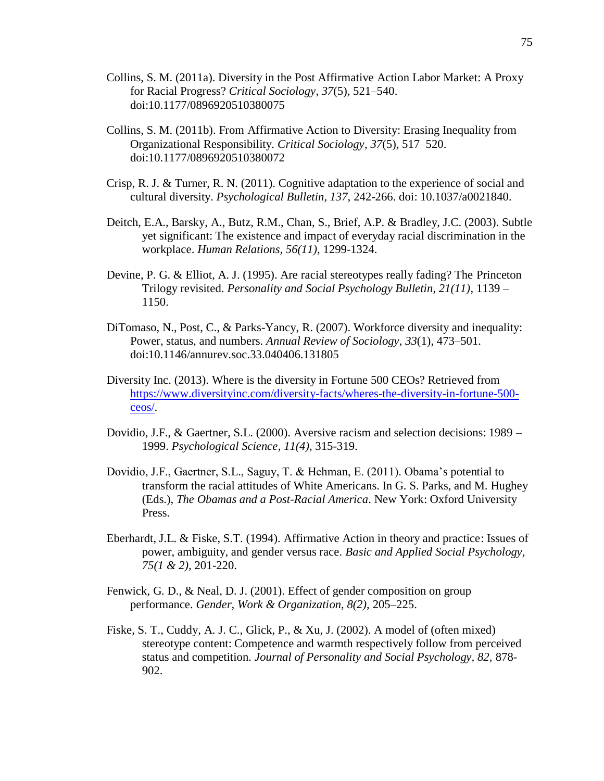- Collins, S. M. (2011a). Diversity in the Post Affirmative Action Labor Market: A Proxy for Racial Progress? *Critical Sociology*, *37*(5), 521–540. doi:10.1177/0896920510380075
- Collins, S. M. (2011b). From Affirmative Action to Diversity: Erasing Inequality from Organizational Responsibility. *Critical Sociology*, *37*(5), 517–520. doi:10.1177/0896920510380072
- Crisp, R. J. & Turner, R. N. (2011). Cognitive adaptation to the experience of social and cultural diversity. *Psychological Bulletin, 137,* 242-266. doi: 10.1037/a0021840.
- Deitch, E.A., Barsky, A., Butz, R.M., Chan, S., Brief, A.P. & Bradley, J.C. (2003). Subtle yet significant: The existence and impact of everyday racial discrimination in the workplace. *Human Relations, 56(11),* 1299-1324.
- Devine, P. G. & Elliot, A. J. (1995). Are racial stereotypes really fading? The Princeton Trilogy revisited. *Personality and Social Psychology Bulletin, 21(11)*, 1139 – 1150.
- DiTomaso, N., Post, C., & Parks-Yancy, R. (2007). Workforce diversity and inequality: Power, status, and numbers. *Annual Review of Sociology*, *33*(1), 473–501. doi:10.1146/annurev.soc.33.040406.131805
- Diversity Inc. (2013). Where is the diversity in Fortune 500 CEOs? Retrieved from [https://www.diversityinc.com/diversity-facts/wheres-the-diversity-in-fortune-500](https://www.diversityinc.com/diversity-facts/wheres-the-diversity-in-fortune-500-ceos/) [ceos/.](https://www.diversityinc.com/diversity-facts/wheres-the-diversity-in-fortune-500-ceos/)
- Dovidio, J.F., & Gaertner, S.L. (2000). Aversive racism and selection decisions: 1989 1999. *Psychological Science*, *11(4),* 315-319.
- Dovidio, J.F., Gaertner, S.L., Saguy, T. & Hehman, E. (2011). Obama's potential to transform the racial attitudes of White Americans. In G. S. Parks, and M. Hughey (Eds.), *The Obamas and a Post-Racial America*. New York: Oxford University Press.
- Eberhardt, J.L. & Fiske, S.T. (1994). Affirmative Action in theory and practice: Issues of power, ambiguity, and gender versus race. *Basic and Applied Social Psychology, 75(1 & 2),* 201-220.
- Fenwick, G. D., & Neal, D. J. (2001). Effect of gender composition on group performance. *Gender, Work & Organization, 8(2),* 205–225.
- Fiske, S. T., Cuddy, A. J. C., Glick, P., & Xu, J. (2002). A model of (often mixed) stereotype content: Competence and warmth respectively follow from perceived status and competition. *Journal of Personality and Social Psychology, 82,* 878- 902.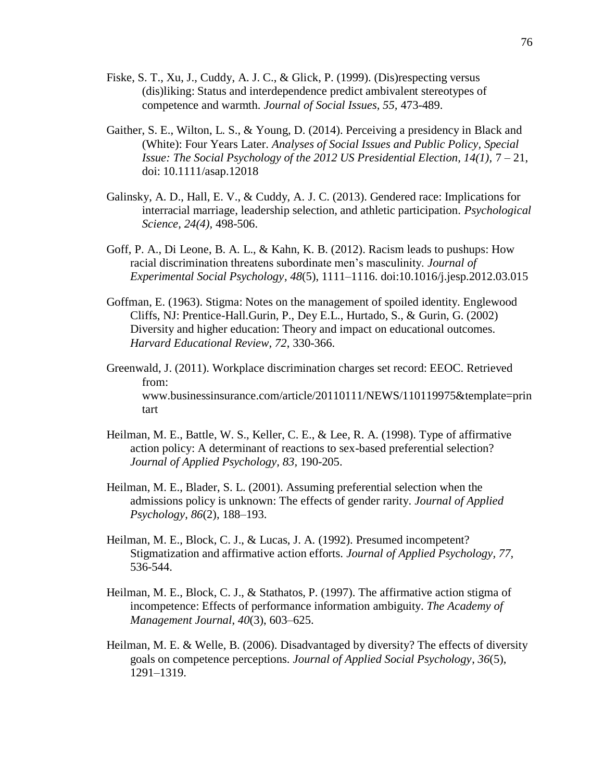- Fiske, S. T., Xu, J., Cuddy, A. J. C., & Glick, P. (1999). (Dis)respecting versus (dis)liking: Status and interdependence predict ambivalent stereotypes of competence and warmth. *Journal of Social Issues, 55,* 473-489.
- Gaither, S. E., Wilton, L. S., & Young, D. (2014). Perceiving a presidency in Black and (White): Four Years Later. *Analyses of Social Issues and Public Policy, Special Issue: The Social Psychology of the 2012 US Presidential Election, 14(1),* 7 – 21, doi: 10.1111/asap.12018
- Galinsky, A. D., Hall, E. V., & Cuddy, A. J. C. (2013). Gendered race: Implications for interracial marriage, leadership selection, and athletic participation. *Psychological Science, 24(4),* 498-506.
- Goff, P. A., Di Leone, B. A. L., & Kahn, K. B. (2012). Racism leads to pushups: How racial discrimination threatens subordinate men's masculinity. *Journal of Experimental Social Psychology*, *48*(5), 1111–1116. doi:10.1016/j.jesp.2012.03.015
- Goffman, E. (1963). Stigma: Notes on the management of spoiled identity. Englewood Cliffs, NJ: Prentice-Hall.Gurin, P., Dey E.L., Hurtado, S., & Gurin, G. (2002) Diversity and higher education: Theory and impact on educational outcomes. *Harvard Educational Review, 72*, 330-366.
- Greenwald, J. (2011). Workplace discrimination charges set record: EEOC. Retrieved from: www.businessinsurance.com/article/20110111/NEWS/110119975&template=prin tart
- Heilman, M. E., Battle, W. S., Keller, C. E., & Lee, R. A. (1998). Type of affirmative action policy: A determinant of reactions to sex-based preferential selection? *Journal of Applied Psychology, 83,* 190-205.
- Heilman, M. E., Blader, S. L. (2001). Assuming preferential selection when the admissions policy is unknown: The effects of gender rarity. *Journal of Applied Psychology*, *86*(2), 188–193.
- Heilman, M. E., Block, C. J., & Lucas, J. A. (1992). Presumed incompetent? Stigmatization and affirmative action efforts. *Journal of Applied Psychology, 77,* 536-544.
- Heilman, M. E., Block, C. J., & Stathatos, P. (1997). The affirmative action stigma of incompetence: Effects of performance information ambiguity. *The Academy of Management Journal*, *40*(3), 603–625.
- Heilman, M. E. & Welle, B. (2006). Disadvantaged by diversity? The effects of diversity goals on competence perceptions. *Journal of Applied Social Psychology*, *36*(5), 1291–1319.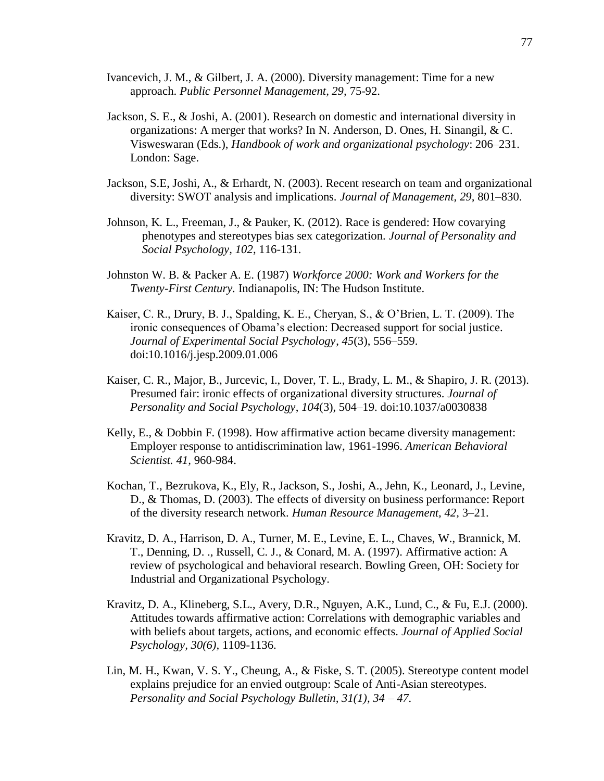- Ivancevich, J. M., & Gilbert, J. A. (2000). Diversity management: Time for a new approach. *Public Personnel Management, 29,* 75-92.
- Jackson, S. E., & Joshi, A. (2001). Research on domestic and international diversity in organizations: A merger that works? In N. Anderson, D. Ones, H. Sinangil, & C. Visweswaran (Eds.), *Handbook of work and organizational psychology*: 206–231. London: Sage.
- Jackson, S.E, Joshi, A., & Erhardt, N. (2003). Recent research on team and organizational diversity: SWOT analysis and implications. *Journal of Management, 29,* 801–830.
- Johnson, K. L., Freeman, J., & Pauker, K. (2012). Race is gendered: How covarying phenotypes and stereotypes bias sex categorization. *Journal of Personality and Social Psychology, 102*, 116-131.
- Johnston W. B. & Packer A. E. (1987) *Workforce 2000: Work and Workers for the Twenty-First Century.* Indianapolis, IN: The Hudson Institute.
- Kaiser, C. R., Drury, B. J., Spalding, K. E., Cheryan, S., & O'Brien, L. T. (2009). The ironic consequences of Obama's election: Decreased support for social justice. *Journal of Experimental Social Psychology*, *45*(3), 556–559. doi:10.1016/j.jesp.2009.01.006
- Kaiser, C. R., Major, B., Jurcevic, I., Dover, T. L., Brady, L. M., & Shapiro, J. R. (2013). Presumed fair: ironic effects of organizational diversity structures. *Journal of Personality and Social Psychology*, *104*(3), 504–19. doi:10.1037/a0030838
- Kelly, E., & Dobbin F. (1998). How affirmative action became diversity management: Employer response to antidiscrimination law, 1961-1996. *American Behavioral Scientist. 41,* 960-984.
- Kochan, T., Bezrukova, K., Ely, R., Jackson, S., Joshi, A., Jehn, K., Leonard, J., Levine, D., & Thomas, D. (2003). The effects of diversity on business performance: Report of the diversity research network. *Human Resource Management, 42,* 3–21.
- Kravitz, D. A., Harrison, D. A., Turner, M. E., Levine, E. L., Chaves, W., Brannick, M. T., Denning, D. ., Russell, C. J., & Conard, M. A. (1997). Affirmative action: A review of psychological and behavioral research. Bowling Green, OH: Society for Industrial and Organizational Psychology.
- Kravitz, D. A., Klineberg, S.L., Avery, D.R., Nguyen, A.K., Lund, C., & Fu, E.J. (2000). Attitudes towards affirmative action: Correlations with demographic variables and with beliefs about targets, actions, and economic effects. *Journal of Applied Social Psychology, 30(6),* 1109-1136.
- Lin, M. H., Kwan, V. S. Y., Cheung, A., & Fiske, S. T. (2005). Stereotype content model explains prejudice for an envied outgroup: Scale of Anti-Asian stereotypes. *Personality and Social Psychology Bulletin, 31(1), 34 – 47.*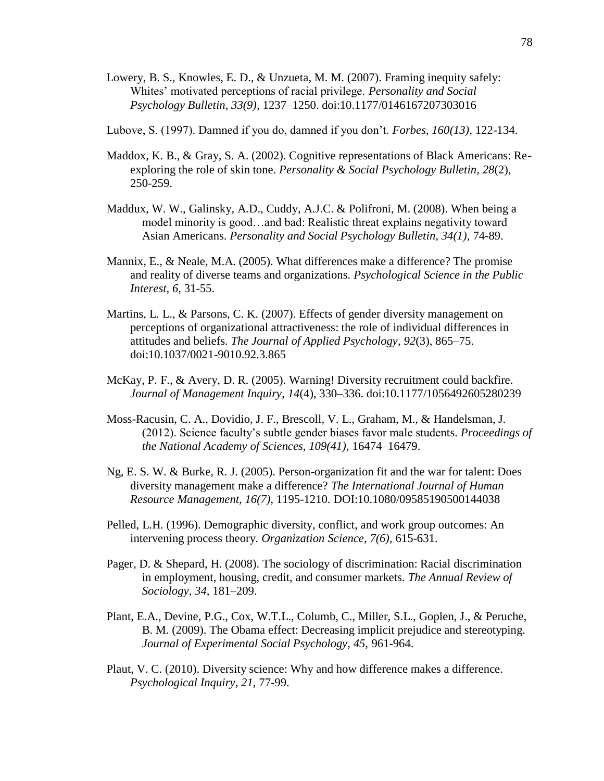- Lowery, B. S., Knowles, E. D., & Unzueta, M. M. (2007). Framing inequity safely: Whites' motivated perceptions of racial privilege. *Personality and Social Psychology Bulletin, 33(9),* 1237–1250. doi:10.1177/0146167207303016
- Lubove, S. (1997). Damned if you do, damned if you don't. *Forbes, 160(13),* 122-134.
- Maddox, K. B., & Gray, S. A. (2002). Cognitive representations of Black Americans: Reexploring the role of skin tone. *Personality & Social Psychology Bulletin, 28*(2), 250-259.
- Maddux, W. W., Galinsky, A.D., Cuddy, A.J.C. & Polifroni, M. (2008). When being a model minority is good…and bad: Realistic threat explains negativity toward Asian Americans. *Personality and Social Psychology Bulletin, 34(1),* 74-89.
- Mannix, E., & Neale, M.A. (2005). What differences make a difference? The promise and reality of diverse teams and organizations. *Psychological Science in the Public Interest, 6,* 31-55.
- Martins, L. L., & Parsons, C. K. (2007). Effects of gender diversity management on perceptions of organizational attractiveness: the role of individual differences in attitudes and beliefs. *The Journal of Applied Psychology*, *92*(3), 865–75. doi:10.1037/0021-9010.92.3.865
- McKay, P. F., & Avery, D. R. (2005). Warning! Diversity recruitment could backfire. *Journal of Management Inquiry*, *14*(4), 330–336. doi:10.1177/1056492605280239
- Moss-Racusin, C. A., Dovidio, J. F., Brescoll, V. L., Graham, M., & Handelsman, J. (2012). Science faculty's subtle gender biases favor male students. *Proceedings of the National Academy of Sciences, 109(41),* 16474–16479.
- Ng, E. S. W. & Burke, R. J. (2005). Person-organization fit and the war for talent: Does diversity management make a difference? *The International Journal of Human Resource Management, 16(7),* 1195-1210. DOI:10.1080/09585190500144038
- Pelled, L.H. (1996). Demographic diversity, conflict, and work group outcomes: An intervening process theory. *Organization Science, 7(6),* 615-631.
- Pager, D. & Shepard, H. (2008). The sociology of discrimination: Racial discrimination in employment, housing, credit, and consumer markets. *The Annual Review of Sociology, 34,* 181–209.
- Plant, E.A., Devine, P.G., Cox, W.T.L., Columb, C., Miller, S.L., Goplen, J., & Peruche, B. M. (2009). The Obama effect: Decreasing implicit prejudice and stereotyping. *Journal of Experimental Social Psychology, 45,* 961-964.
- Plaut, V. C. (2010). Diversity science: Why and how difference makes a difference. *Psychological Inquiry, 21,* 77-99.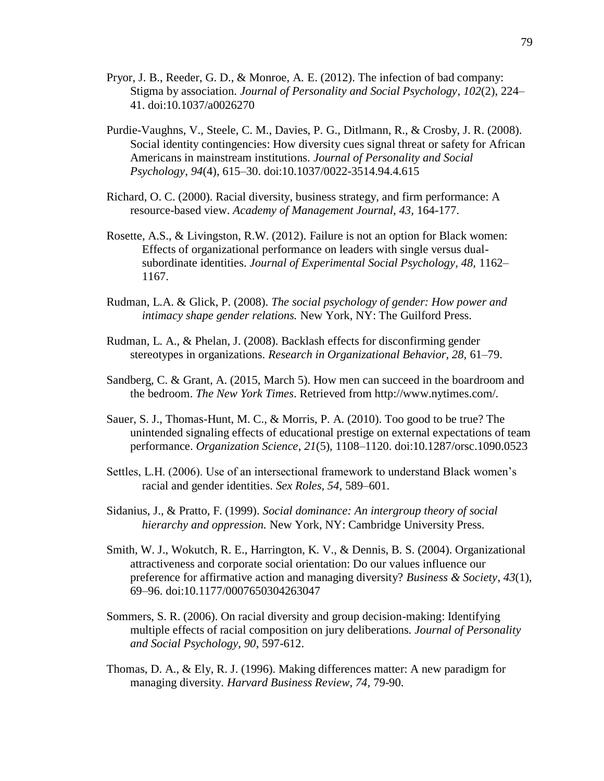- Pryor, J. B., Reeder, G. D., & Monroe, A. E. (2012). The infection of bad company: Stigma by association. *Journal of Personality and Social Psychology*, *102*(2), 224– 41. doi:10.1037/a0026270
- Purdie-Vaughns, V., Steele, C. M., Davies, P. G., Ditlmann, R., & Crosby, J. R. (2008). Social identity contingencies: How diversity cues signal threat or safety for African Americans in mainstream institutions. *Journal of Personality and Social Psychology*, *94*(4), 615–30. doi:10.1037/0022-3514.94.4.615
- Richard, O. C. (2000). Racial diversity, business strategy, and firm performance: A resource-based view. *Academy of Management Journal, 43,* 164-177.
- Rosette, A.S., & Livingston, R.W. (2012). Failure is not an option for Black women: Effects of organizational performance on leaders with single versus dualsubordinate identities. *Journal of Experimental Social Psychology, 48,* 1162– 1167.
- Rudman, L.A. & Glick, P. (2008). *The social psychology of gender: How power and intimacy shape gender relations.* New York, NY: The Guilford Press.
- Rudman, L. A., & Phelan, J. (2008). Backlash effects for disconfirming gender stereotypes in organizations. *Research in Organizational Behavior, 28,* 61–79.
- Sandberg, C. & Grant, A. (2015, March 5). How men can succeed in the boardroom and the bedroom. *The New York Times*. Retrieved from http://www.nytimes.com/.
- Sauer, S. J., Thomas-Hunt, M. C., & Morris, P. A. (2010). Too good to be true? The unintended signaling effects of educational prestige on external expectations of team performance. *Organization Science*, *21*(5), 1108–1120. doi:10.1287/orsc.1090.0523
- Settles, L.H. (2006). Use of an intersectional framework to understand Black women's racial and gender identities. *Sex Roles, 54,* 589–601.
- Sidanius, J., & Pratto, F. (1999). *Social dominance: An intergroup theory of social hierarchy and oppression.* New York, NY: Cambridge University Press.
- Smith, W. J., Wokutch, R. E., Harrington, K. V., & Dennis, B. S. (2004). Organizational attractiveness and corporate social orientation: Do our values influence our preference for affirmative action and managing diversity? *Business & Society*, *43*(1), 69–96. doi:10.1177/0007650304263047
- Sommers, S. R. (2006). On racial diversity and group decision-making: Identifying multiple effects of racial composition on jury deliberations. *Journal of Personality and Social Psychology, 90*, 597-612.
- Thomas, D. A., & Ely, R. J. (1996). Making differences matter: A new paradigm for managing diversity. *Harvard Business Review, 74,* 79-90.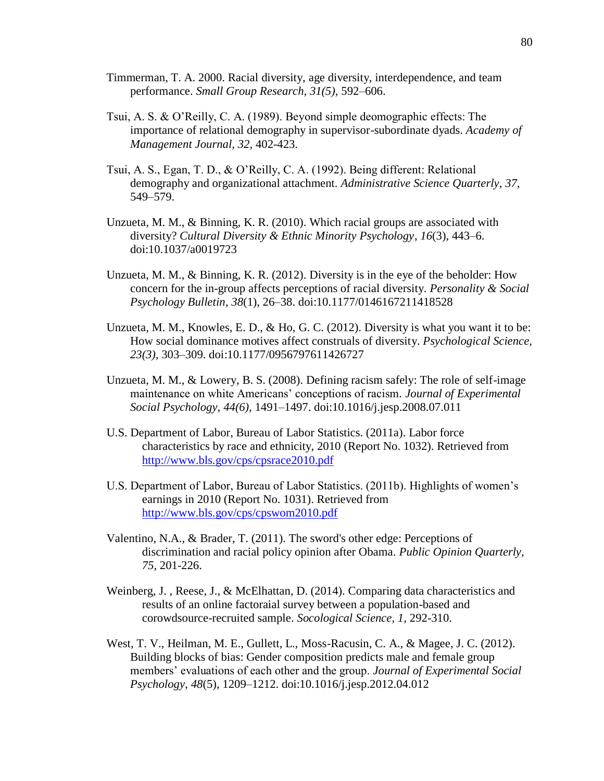- Timmerman, T. A. 2000. Racial diversity, age diversity, interdependence, and team performance. *Small Group Research, 31(5),* 592–606.
- Tsui, A. S. & O'Reilly, C. A. (1989). Beyond simple deomographic effects: The importance of relational demography in supervisor-subordinate dyads. *Academy of Management Journal, 32,* 402-423.
- Tsui, A. S., Egan, T. D., & O'Reilly, C. A. (1992). Being different: Relational demography and organizational attachment. *Administrative Science Quarterly, 37,*  549–579.
- Unzueta, M. M., & Binning, K. R. (2010). Which racial groups are associated with diversity? *Cultural Diversity & Ethnic Minority Psychology*, *16*(3), 443–6. doi:10.1037/a0019723
- Unzueta, M. M., & Binning, K. R. (2012). Diversity is in the eye of the beholder: How concern for the in-group affects perceptions of racial diversity. *Personality & Social Psychology Bulletin*, *38*(1), 26–38. doi:10.1177/0146167211418528
- Unzueta, M. M., Knowles, E. D., & Ho, G. C.  $(2012)$ . Diversity is what you want it to be: How social dominance motives affect construals of diversity. *Psychological Science, 23(3),* 303–309. doi:10.1177/0956797611426727
- Unzueta, M. M., & Lowery, B. S. (2008). Defining racism safely: The role of self-image maintenance on white Americans' conceptions of racism*. Journal of Experimental Social Psychology, 44(6),* 1491–1497. doi:10.1016/j.jesp.2008.07.011
- U.S. Department of Labor, Bureau of Labor Statistics. (2011a). Labor force characteristics by race and ethnicity, 2010 (Report No. 1032). Retrieved from <http://www.bls.gov/cps/cpsrace2010.pdf>
- U.S. Department of Labor, Bureau of Labor Statistics. (2011b). Highlights of women's earnings in 2010 (Report No. 1031). Retrieved from <http://www.bls.gov/cps/cpswom2010.pdf>
- Valentino, N.A., & Brader, T. (2011). The sword's other edge: Perceptions of discrimination and racial policy opinion after Obama. *Public Opinion Quarterly, 75,* 201-226.
- Weinberg, J. , Reese, J., & McElhattan, D. (2014). Comparing data characteristics and results of an online factoraial survey between a population-based and corowdsource-recruited sample. *Socological Science, 1,* 292-310.
- West, T. V., Heilman, M. E., Gullett, L., Moss-Racusin, C. A., & Magee, J. C. (2012). Building blocks of bias: Gender composition predicts male and female group members' evaluations of each other and the group. *Journal of Experimental Social Psychology*, *48*(5), 1209–1212. doi:10.1016/j.jesp.2012.04.012